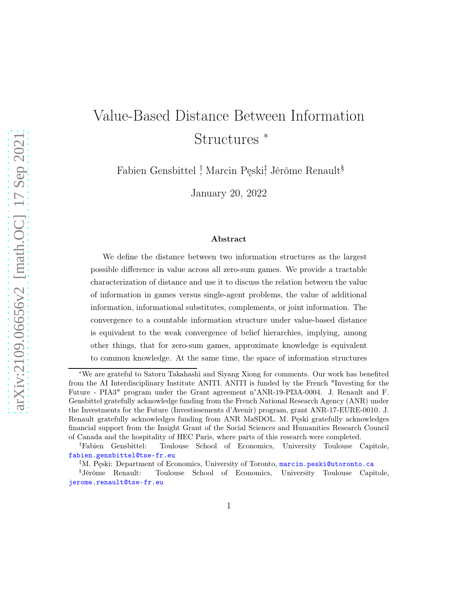# Value-Based Distance Between Information Structures <sup>∗</sup>

Fabien Gensbittel <sup>†</sup> Marcin Pęski<sup>‡</sup> Jérôme Renault<sup>§</sup>

January 20, 2022

#### Abstract

We define the distance between two information structures as the largest possible difference in value across all zero-sum games. We provide a tractable characterization of distance and use it to discuss the relation between the value of information in games versus single-agent problems, the value of additional information, informational substitutes, complements, or joint information. The convergence to a countable information structure under value-based distance is equivalent to the weak convergence of belief hierarchies, implying, among other things, that for zero-sum games, approximate knowledge is equivalent to common knowledge. At the same time, the space of information structures

<sup>∗</sup>We are grateful to Satoru Takahashi and Siyang Xiong for comments. Our work has benefited from the AI Interdisciplinary Institute ANITI. ANITI is funded by the French "Investing for the Future - PIA3" program under the Grant agreement n°ANR-19-PI3A-0004. J. Renault and F. Gensbittel gratefully acknowledge funding from the French National Research Agency (ANR) under the Investments for the Future (Investissements d'Avenir) program, grant ANR-17-EURE-0010. J. Renault gratefully acknowledges funding from ANR MaSDOL. M. Pęski gratefully acknowledges financial support from the Insight Grant of the Social Sciences and Humanities Research Council of Canada and the hospitality of HEC Paris, where parts of this research were completed.

<sup>†</sup>Fabien Gensbittel: Toulouse School of Economics, University Toulouse Capitole, <fabien.gensbittel@tse-fr.eu>

<sup>‡</sup>M. Pęski: Department of Economics, University of Toronto, <marcin.peski@utoronto.ca>

<sup>§</sup>Jérôme Renault: Toulouse School of Economics, University Toulouse Capitole, <jerome.renault@tse-fr.eu>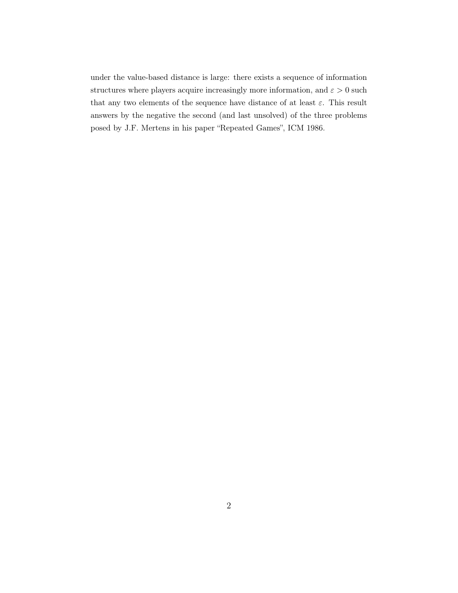under the value-based distance is large: there exists a sequence of information structures where players acquire increasingly more information, and  $\varepsilon > 0$  such that any two elements of the sequence have distance of at least  $\varepsilon$ . This result answers by the negative the second (and last unsolved) of the three problems posed by J.F. Mertens in his paper "Repeated Games", ICM 1986.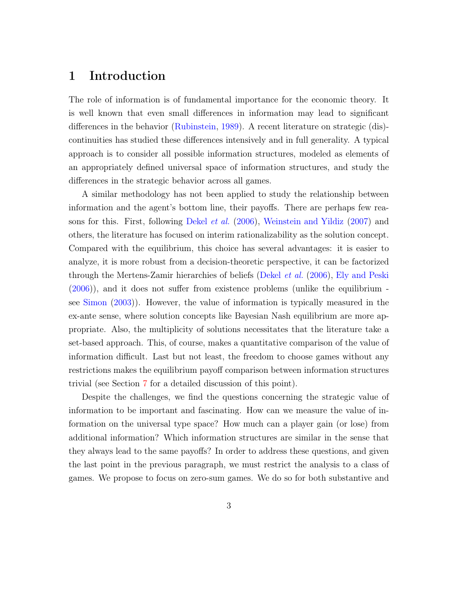## 1 Introduction

The role of information is of fundamental importance for the economic theory. It is well known that even small differences in information may lead to significant differences in the behavior [\(Rubinstein,](#page-95-0) [1989](#page-95-0)). A recent literature on strategic (dis) continuities has studied these differences intensively and in full generality. A typical approach is to consider all possible information structures, modeled as elements of an appropriately defined universal space of information structures, and study the differences in the strategic behavior across all games.

A similar methodology has not been applied to study the relationship between information and the agent's bottom line, their payoffs. There are perhaps few reasons for this. First, following [Dekel](#page-92-0) et al. [\(2006\)](#page-92-0), [Weinstein and Yildiz](#page-96-0) [\(2007](#page-96-0)) and others, the literature has focused on interim rationalizability as the solution concept. Compared with the equilibrium, this choice has several advantages: it is easier to analyze, it is more robust from a decision-theoretic perspective, it can be factorized through the Mertens-Zamir hierarchies of beliefs [\(Dekel](#page-92-0) et al. [\(2006\)](#page-92-0), [Ely and Peski](#page-93-0) [\(2006\)](#page-93-0)), and it does not suffer from existence problems (unlike the equilibrium see [Simon](#page-96-1) [\(2003\)](#page-96-1)). However, the value of information is typically measured in the ex-ante sense, where solution concepts like Bayesian Nash equilibrium are more appropriate. Also, the multiplicity of solutions necessitates that the literature take a set-based approach. This, of course, makes a quantitative comparison of the value of information difficult. Last but not least, the freedom to choose games without any restrictions makes the equilibrium payoff comparison between information structures trivial (see Section [7](#page-25-0) for a detailed discussion of this point).

Despite the challenges, we find the questions concerning the strategic value of information to be important and fascinating. How can we measure the value of information on the universal type space? How much can a player gain (or lose) from additional information? Which information structures are similar in the sense that they always lead to the same payoffs? In order to address these questions, and given the last point in the previous paragraph, we must restrict the analysis to a class of games. We propose to focus on zero-sum games. We do so for both substantive and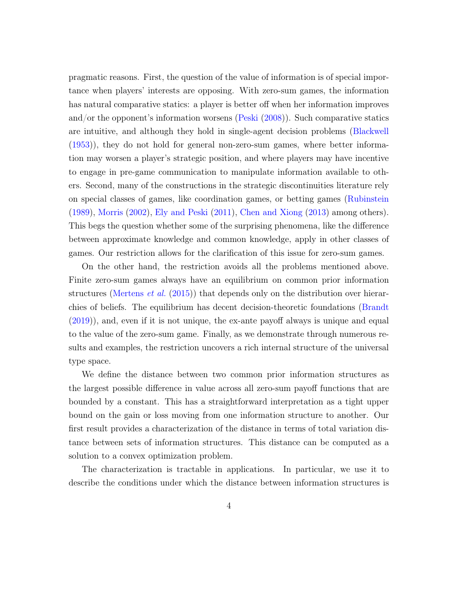pragmatic reasons. First, the question of the value of information is of special importance when players' interests are opposing. With zero-sum games, the information has natural comparative statics: a player is better off when her information improves and/or the opponent's information worsens [\(Peski](#page-95-1) [\(2008\)](#page-95-1)). Such comparative statics are intuitive, and although they hold in single-agent decision problems [\(Blackwell](#page-92-1) [\(1953\)](#page-92-1)), they do not hold for general non-zero-sum games, where better information may worsen a player's strategic position, and where players may have incentive to engage in pre-game communication to manipulate information available to others. Second, many of the constructions in the strategic discontinuities literature rely on special classes of games, like coordination games, or betting games [\(Rubinstein](#page-95-0) [\(1989\)](#page-95-0), [Morris](#page-94-0) [\(2002\)](#page-94-0), [Ely and Peski](#page-93-1) [\(2011\)](#page-93-1), [Chen and Xiong](#page-92-2) [\(2013\)](#page-92-2) among others). This begs the question whether some of the surprising phenomena, like the difference between approximate knowledge and common knowledge, apply in other classes of games. Our restriction allows for the clarification of this issue for zero-sum games.

On the other hand, the restriction avoids all the problems mentioned above. Finite zero-sum games always have an equilibrium on common prior information structures [\(Mertens](#page-94-1) *et al.* [\(2015\)](#page-94-1)) that depends only on the distribution over hierarchies of beliefs. The equilibrium has decent decision-theoretic foundations [\(Brandt](#page-92-3) [\(2019\)](#page-92-3)), and, even if it is not unique, the ex-ante payoff always is unique and equal to the value of the zero-sum game. Finally, as we demonstrate through numerous results and examples, the restriction uncovers a rich internal structure of the universal type space.

We define the distance between two common prior information structures as the largest possible difference in value across all zero-sum payoff functions that are bounded by a constant. This has a straightforward interpretation as a tight upper bound on the gain or loss moving from one information structure to another. Our first result provides a characterization of the distance in terms of total variation distance between sets of information structures. This distance can be computed as a solution to a convex optimization problem.

The characterization is tractable in applications. In particular, we use it to describe the conditions under which the distance between information structures is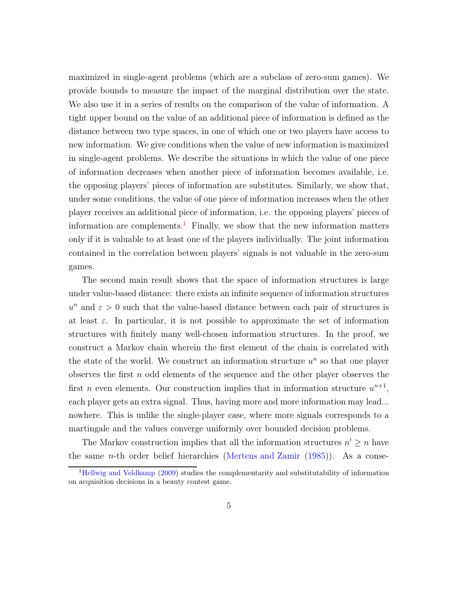maximized in single-agent problems (which are a subclass of zero-sum games). We provide bounds to measure the impact of the marginal distribution over the state. We also use it in a series of results on the comparison of the value of information. A tight upper bound on the value of an additional piece of information is defined as the distance between two type spaces, in one of which one or two players have access to new information. We give conditions when the value of new information is maximized in single-agent problems. We describe the situations in which the value of one piece of information decreases when another piece of information becomes available, i.e. the opposing players' pieces of information are substitutes. Similarly, we show that, under some conditions, the value of one piece of information increases when the other player receives an additional piece of information, i.e. the opposing players' pieces of information are complements.<sup>[1](#page-4-0)</sup> Finally, we show that the new information matters only if it is valuable to at least one of the players individually. The joint information contained in the correlation between players' signals is not valuable in the zero-sum games.

The second main result shows that the space of information structures is large under value-based distance: there exists an infinite sequence of information structures  $u^n$  and  $\varepsilon > 0$  such that the value-based distance between each pair of structures is at least  $\varepsilon$ . In particular, it is not possible to approximate the set of information structures with finitely many well-chosen information structures. In the proof, we construct a Markov chain wherein the first element of the chain is correlated with the state of the world. We construct an information structure  $u^n$  so that one player observes the first  $n$  odd elements of the sequence and the other player observes the first *n* even elements. Our construction implies that in information structure  $u^{n+1}$ , each player gets an extra signal. Thus, having more and more information may lead... nowhere. This is unlike the single-player case, where more signals corresponds to a martingale and the values converge uniformly over bounded decision problems.

The Markov construction implies that all the information structures  $n' \geq n$  have the same *n*-th order belief hierarchies [\(Mertens and Zamir](#page-94-2)  $(1985)$  $(1985)$ ). As a conse-

<span id="page-4-0"></span><sup>&</sup>lt;sup>1</sup>[Hellwig and Veldkamp](#page-93-2) [\(2009\)](#page-93-2) studies the complementarity and substitutability of information on acquisition decisions in a beauty contest game.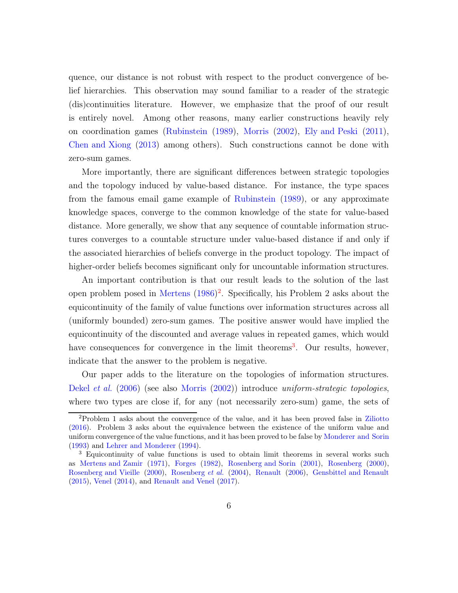quence, our distance is not robust with respect to the product convergence of belief hierarchies. This observation may sound familiar to a reader of the strategic (dis)continuities literature. However, we emphasize that the proof of our result is entirely novel. Among other reasons, many earlier constructions heavily rely on coordination games [\(Rubinstein](#page-95-0) [\(1989\)](#page-95-0), [Morris](#page-94-0) [\(2002](#page-94-0)), [Ely and Peski](#page-93-1) [\(2011\)](#page-93-1), [Chen and Xiong](#page-92-2) [\(2013\)](#page-92-2) among others). Such constructions cannot be done with zero-sum games.

More importantly, there are significant differences between strategic topologies and the topology induced by value-based distance. For instance, the type spaces from the famous email game example of [Rubinstein](#page-95-0) [\(1989\)](#page-95-0), or any approximate knowledge spaces, converge to the common knowledge of the state for value-based distance. More generally, we show that any sequence of countable information structures converges to a countable structure under value-based distance if and only if the associated hierarchies of beliefs converge in the product topology. The impact of higher-order beliefs becomes significant only for uncountable information structures.

An important contribution is that our result leads to the solution of the last open problem posed in [Mertens](#page-94-3) [\(1986\)](#page-94-3) [2](#page-5-0) . Specifically, his Problem 2 asks about the equicontinuity of the family of value functions over information structures across all (uniformly bounded) zero-sum games. The positive answer would have implied the equicontinuity of the discounted and average values in repeated games, which would have consequences for convergence in the limit theorems<sup>[3](#page-5-1)</sup>. Our results, however, indicate that the answer to the problem is negative.

Our paper adds to the literature on the topologies of information structures. [Dekel](#page-92-0) et al. [\(2006](#page-92-0)) (see also [Morris](#page-94-0) [\(2002\)](#page-94-0)) introduce uniform-strategic topologies, where two types are close if, for any (not necessarily zero-sum) game, the sets of

<span id="page-5-0"></span><sup>2</sup>Problem 1 asks about the convergence of the value, and it has been proved false in [Ziliotto](#page-96-2) [\(2016\)](#page-96-2). Problem 3 asks about the equivalence between the existence of the uniform value and uniform convergence of the value functions, and it has been proved to be false by [Monderer and Sorin](#page-94-4) [\(1993\)](#page-94-4) and [Lehrer and Monderer](#page-94-5) [\(1994](#page-94-5)).

<span id="page-5-1"></span><sup>3</sup> Equicontinuity of value functions is used to obtain limit theorems in several works such as [Mertens and Zamir](#page-94-6) [\(1971\)](#page-94-6), [Forges](#page-93-3) [\(1982\)](#page-93-3), [Rosenberg and Sorin](#page-95-2) [\(2001\)](#page-95-2), [Rosenberg](#page-95-3) [\(2000\)](#page-95-3), [Rosenberg and Vieille](#page-95-4) [\(2000](#page-95-4)), [Rosenberg](#page-95-5) et al. [\(2004\)](#page-95-5), [Renault](#page-95-6) [\(2006\)](#page-95-6), [Gensbittel and Renault](#page-93-4) [\(2015\)](#page-93-4), [Venel](#page-96-3) [\(2014\)](#page-96-3), and [Renault and Venel](#page-95-7) [\(2017\)](#page-95-7).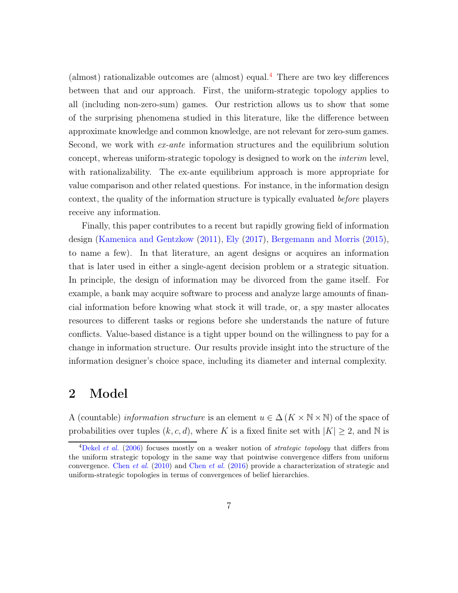(almost) rationalizable outcomes are (almost) equal.[4](#page-6-0) There are two key differences between that and our approach. First, the uniform-strategic topology applies to all (including non-zero-sum) games. Our restriction allows us to show that some of the surprising phenomena studied in this literature, like the difference between approximate knowledge and common knowledge, are not relevant for zero-sum games. Second, we work with ex-ante information structures and the equilibrium solution concept, whereas uniform-strategic topology is designed to work on the interim level, with rationalizability. The ex-ante equilibrium approach is more appropriate for value comparison and other related questions. For instance, in the information design context, the quality of the information structure is typically evaluated before players receive any information.

Finally, this paper contributes to a recent but rapidly growing field of information design [\(Kamenica and Gentzkow](#page-94-7) [\(2011](#page-94-7)), [Ely](#page-93-5) [\(2017\)](#page-93-5), [Bergemann and Morris](#page-92-4) [\(2015\)](#page-92-4), to name a few). In that literature, an agent designs or acquires an information that is later used in either a single-agent decision problem or a strategic situation. In principle, the design of information may be divorced from the game itself. For example, a bank may acquire software to process and analyze large amounts of financial information before knowing what stock it will trade, or, a spy master allocates resources to different tasks or regions before she understands the nature of future conflicts. Value-based distance is a tight upper bound on the willingness to pay for a change in information structure. Our results provide insight into the structure of the information designer's choice space, including its diameter and internal complexity.

## 2 Model

A (countable) *information structure* is an element  $u \in \Delta$  ( $K \times N \times N$ ) of the space of probabilities over tuples  $(k, c, d)$ , where K is a fixed finite set with  $|K| \geq 2$ , and N is

<span id="page-6-0"></span> $4$ [Dekel](#page-92-0) *et al.* [\(2006\)](#page-92-0) focuses mostly on a weaker notion of *strategic topology* that differs from the uniform strategic topology in the same way that pointwise convergence differs from uniform convergence. [Chen](#page-92-5) et al. [\(2010](#page-92-5)) and [Chen](#page-92-6) et al. [\(2016](#page-92-6)) provide a characterization of strategic and uniform-strategic topologies in terms of convergences of belief hierarchies.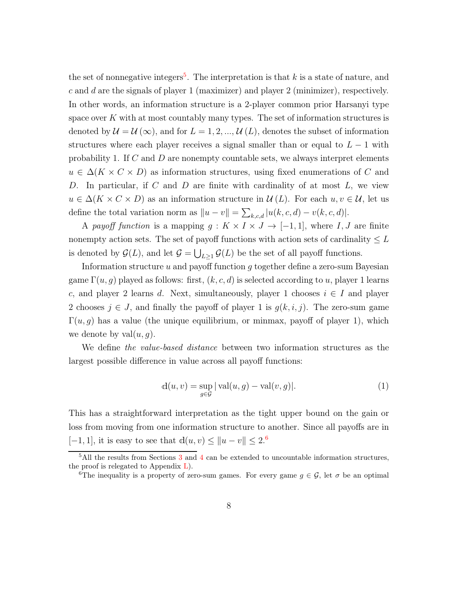the set of nonnegative integers<sup>[5](#page-7-0)</sup>. The interpretation is that  $k$  is a state of nature, and c and d are the signals of player 1 (maximizer) and player 2 (minimizer), respectively. In other words, an information structure is a 2-player common prior Harsanyi type space over  $K$  with at most countably many types. The set of information structures is denoted by  $\mathcal{U} = \mathcal{U}(\infty)$ , and for  $L = 1, 2, ..., \mathcal{U}(L)$ , denotes the subset of information structures where each player receives a signal smaller than or equal to  $L - 1$  with probability 1. If  $C$  and  $D$  are nonempty countable sets, we always interpret elements  $u \in \Delta(K \times C \times D)$  as information structures, using fixed enumerations of C and D. In particular, if C and D are finite with cardinality of at most  $L$ , we view  $u \in \Delta(K \times C \times D)$  as an information structure in  $\mathcal{U}(L)$ . For each  $u, v \in \mathcal{U}$ , let us define the total variation norm as  $||u - v|| = \sum_{k,c,d} |u(k,c,d) - v(k,c,d)|$ .

A payoff function is a mapping  $g: K \times I \times J \to [-1,1]$ , where I, J are finite nonempty action sets. The set of payoff functions with action sets of cardinality  $\leq L$ is denoted by  $\mathcal{G}(L)$ , and let  $\mathcal{G} = \bigcup_{L \geq 1} \mathcal{G}(L)$  be the set of all payoff functions.

Information structure u and payoff function g together define a zero-sum Bayesian game  $\Gamma(u, g)$  played as follows: first,  $(k, c, d)$  is selected according to u, player 1 learns c, and player 2 learns d. Next, simultaneously, player 1 chooses  $i \in I$  and player 2 chooses  $j \in J$ , and finally the payoff of player 1 is  $g(k, i, j)$ . The zero-sum game  $\Gamma(u, g)$  has a value (the unique equilibrium, or minmax, payoff of player 1), which we denote by  $val(u, q)$ .

We define the value-based distance between two information structures as the largest possible difference in value across all payoff functions:

<span id="page-7-2"></span>
$$
d(u, v) = \sup_{g \in \mathcal{G}} |val(u, g) - val(v, g)|.
$$
 (1)

This has a straightforward interpretation as the tight upper bound on the gain or loss from moving from one information structure to another. Since all payoffs are in  $[-1, 1]$ , it is easy to see that  $d(u, v) \le ||u - v|| \le 2.6$  $d(u, v) \le ||u - v|| \le 2.6$ 

 $5$ All the results from Sections [3](#page-8-0) and [4](#page-11-0) can be extended to uncountable information structures, the proof is relegated to Appendix  $L$ ).

<span id="page-7-1"></span><span id="page-7-0"></span><sup>&</sup>lt;sup>6</sup>The inequality is a property of zero-sum games. For every game  $g \in \mathcal{G}$ , let  $\sigma$  be an optimal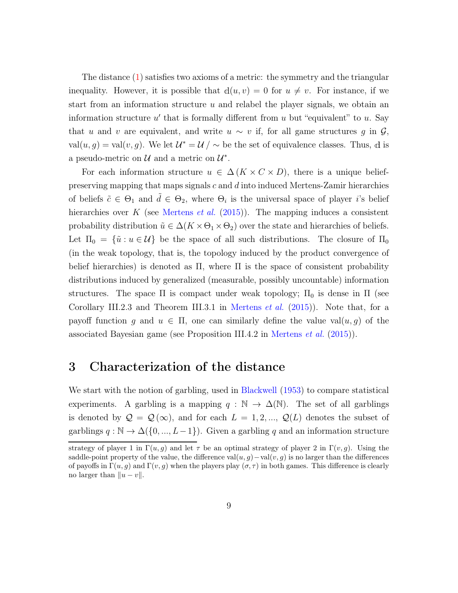The distance [\(1\)](#page-7-2) satisfies two axioms of a metric: the symmetry and the triangular inequality. However, it is possible that  $d(u, v) = 0$  for  $u \neq v$ . For instance, if we start from an information structure  $u$  and relabel the player signals, we obtain an information structure  $u'$  that is formally different from  $u$  but "equivalent" to  $u$ . Say that u and v are equivalent, and write  $u \sim v$  if, for all game structures g in  $\mathcal{G}$ , val $(u, g) = \text{val}(v, g)$ . We let  $\mathcal{U}^* = \mathcal{U} / \sim$  be the set of equivalence classes. Thus, d is a pseudo-metric on  $\mathcal U$  and a metric on  $\mathcal U^*$ .

For each information structure  $u \in \Delta(K \times C \times D)$ , there is a unique beliefpreserving mapping that maps signals c and d into induced Mertens-Zamir hierarchies of beliefs  $\tilde{c} \in \Theta_1$  and  $\tilde{d} \in \Theta_2$ , where  $\Theta_i$  is the universal space of player *i*'s belief hierarchies over K (see [Mertens](#page-94-1) *et al.* [\(2015\)](#page-94-1)). The mapping induces a consistent probability distribution  $\tilde{u} \in \Delta(K \times \Theta_1 \times \Theta_2)$  over the state and hierarchies of beliefs. Let  $\Pi_0 = {\tilde{u} : u \in \mathcal{U}}$  be the space of all such distributions. The closure of  $\Pi_0$ (in the weak topology, that is, the topology induced by the product convergence of belief hierarchies) is denoted as  $\Pi$ , where  $\Pi$  is the space of consistent probability distributions induced by generalized (measurable, possibly uncountable) information structures. The space  $\Pi$  is compact under weak topology;  $\Pi_0$  is dense in  $\Pi$  (see Corollary III.2.3 and Theorem III.3.1 in [Mertens](#page-94-1) *et al.* [\(2015](#page-94-1))). Note that, for a payoff function g and  $u \in \Pi$ , one can similarly define the value val $(u, g)$  of the associated Bayesian game (see Proposition III.4.2 in [Mertens](#page-94-1) et al. [\(2015\)](#page-94-1)).

## <span id="page-8-0"></span>3 Characterization of the distance

We start with the notion of garbling, used in [Blackwell](#page-92-1) [\(1953](#page-92-1)) to compare statistical experiments. A garbling is a mapping  $q : \mathbb{N} \to \Delta(\mathbb{N})$ . The set of all garblings is denoted by  $\mathcal{Q} = \mathcal{Q}(\infty)$ , and for each  $L = 1, 2, ..., \mathcal{Q}(L)$  denotes the subset of garblings  $q : \mathbb{N} \to \Delta({0, ..., L-1})$ . Given a garbling q and an information structure

strategy of player 1 in  $\Gamma(u, g)$  and let  $\tau$  be an optimal strategy of player 2 in  $\Gamma(v, g)$ . Using the saddle-point property of the value, the difference val $(u, g)$  –val $(v, g)$  is no larger than the differences of payoffs in  $\Gamma(u, g)$  and  $\Gamma(v, g)$  when the players play  $(\sigma, \tau)$  in both games. This difference is clearly no larger than  $||u - v||$ .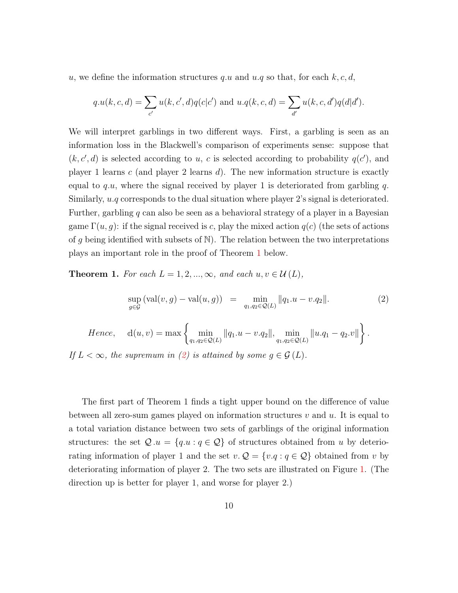u, we define the information structures q.u and  $u.q$  so that, for each  $k, c, d$ ,

$$
q.u(k, c, d) = \sum_{c'} u(k, c', d) q(c|c') \text{ and } u.q(k, c, d) = \sum_{d'} u(k, c, d') q(d|d').
$$

We will interpret garblings in two different ways. First, a garbling is seen as an information loss in the Blackwell's comparison of experiments sense: suppose that  $(k, c', d)$  is selected according to u, c is selected according to probability  $q(c')$ , and player 1 learns  $c$  (and player 2 learns  $d$ ). The new information structure is exactly equal to q.u, where the signal received by player 1 is deteriorated from garbling q. Similarly,  $u.q$  corresponds to the dual situation where player 2's signal is deteriorated. Further, garbling q can also be seen as a behavioral strategy of a player in a Bayesian game  $\Gamma(u, g)$ : if the signal received is c, play the mixed action  $g(c)$  (the sets of actions of g being identified with subsets of  $\mathbb N$ ). The relation between the two interpretations plays an important role in the proof of Theorem [1](#page-9-0) below.

<span id="page-9-0"></span>**Theorem 1.** For each  $L = 1, 2, ..., \infty$ , and each  $u, v \in \mathcal{U}(L)$ ,

<span id="page-9-1"></span>
$$
\sup_{g \in \mathcal{G}} (\text{val}(v, g) - \text{val}(u, g)) = \min_{q_1, q_2 \in \mathcal{Q}(L)} ||q_1. u - v. q_2||. \tag{2}
$$

Hence, 
$$
d(u, v) = max \left\{ \min_{q_1, q_2 \in \mathcal{Q}(L)} ||q_1 \cdot u - v \cdot q_2||, \min_{q_1, q_2 \in \mathcal{Q}(L)} ||u \cdot q_1 - q_2 \cdot v|| \right\}.
$$

If  $L < \infty$ , the supremum in [\(2\)](#page-9-1) is attained by some  $g \in \mathcal{G}(L)$ .

The first part of Theorem 1 finds a tight upper bound on the difference of value between all zero-sum games played on information structures  $v$  and  $u$ . It is equal to a total variation distance between two sets of garblings of the original information structures: the set  $\mathcal{Q} \cdot u = \{q \cdot u : q \in \mathcal{Q}\}\$  of structures obtained from u by deteriorating information of player 1 and the set  $v \mathcal{Q} = \{v \cdot q : q \in \mathcal{Q}\}\$ obtained from v by deteriorating information of player 2. The two sets are illustrated on Figure [1.](#page-10-0) (The direction up is better for player 1, and worse for player 2.)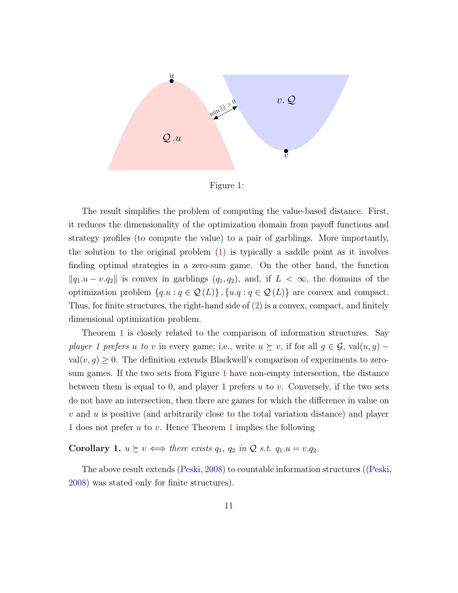

<span id="page-10-0"></span>Figure 1:

The result simplifies the problem of computing the value-based distance. First, it reduces the dimensionality of the optimization domain from payoff functions and strategy profiles (to compute the value) to a pair of garblings. More importantly, the solution to the original problem [\(1\)](#page-7-2) is typically a saddle point as it involves finding optimal strategies in a zero-sum game. On the other hand, the function  $\|q_1.u - v.q_2\|$  is convex in garblings  $(q_1, q_2)$ , and, if  $L < \infty$ , the domains of the optimization problem  $\{q.u : q \in \mathcal{Q}(L)\}\$ ,  $\{u.q : q \in \mathcal{Q}(L)\}\$  are convex and compact. Thus, for finite structures, the right-hand side of [\(2\)](#page-9-1) is a convex, compact, and finitely dimensional optimization problem.

Theorem [1](#page-9-0) is closely related to the comparison of information structures. Say player 1 prefers u to v in every game; i.e., write  $u \succeq v$ , if for all  $g \in \mathcal{G}$ , val $(u, g)$  –  $val(v, g) \geq 0$ . The definition extends Blackwell's comparison of experiments to zerosum games. If the two sets from Figure [1](#page-10-0) have non-empty intersection, the distance between them is equal to 0, and player 1 prefers  $u$  to  $v$ . Conversely, if the two sets do not have an intersection, then there are games for which the difference in value on  $v$  and  $u$  is positive (and arbitrarily close to the total variation distance) and player [1](#page-9-0) does not prefer  $u$  to  $v$ . Hence Theorem 1 implies the following

**Corollary 1.**  $u \succeq v \iff there \ exists \ q_1, \ q_2 \ in \ \mathcal{Q} \ s.t. \ q_1.u = v.q_2.$ 

The above result extends [\(Peski](#page-95-1), [2008](#page-95-1)) to countable information structures ([\(Peski](#page-95-1), [2008](#page-95-1)) was stated only for finite structures).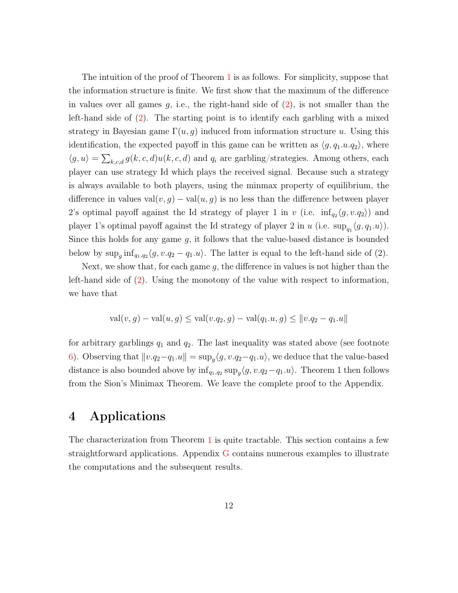The intuition of the proof of Theorem [1](#page-9-0) is as follows. For simplicity, suppose that the information structure is finite. We first show that the maximum of the difference in values over all games  $g$ , i.e., the right-hand side of  $(2)$ , is not smaller than the left-hand side of [\(2\)](#page-9-1). The starting point is to identify each garbling with a mixed strategy in Bayesian game  $\Gamma(u, g)$  induced from information structure u. Using this identification, the expected payoff in this game can be written as  $\langle g, q_1.u.q_2 \rangle$ , where  $\langle g, u \rangle = \sum_{k,c,d} g(k,c,d)u(k,c,d)$  and  $q_i$  are garbling/strategies. Among others, each player can use strategy Id which plays the received signal. Because such a strategy is always available to both players, using the minmax property of equilibrium, the difference in values val $(v, g)$  – val $(u, g)$  is no less than the difference between player 2's optimal payoff against the Id strategy of player 1 in v (i.e.  $\inf_{q_2}\langle g, v, q_2\rangle$ ) and player 1's optimal payoff against the Id strategy of player 2 in u (i.e.  $\sup_{q_1} \langle g, q_1.u \rangle$ ). Since this holds for any game  $g$ , it follows that the value-based distance is bounded below by  $\sup_g \inf_{q_1,q_2} \langle g, v,q_2-q_1.u \rangle$ . The latter is equal to the left-hand side of (2).

Next, we show that, for each game  $g$ , the difference in values is not higher than the left-hand side of [\(2\)](#page-9-1). Using the monotony of the value with respect to information, we have that

$$
val(v, g) - val(u, g) \leq val(v.q_2, g) - val(q_1.u, g) \leq ||v.q_2 - q_1.u||
$$

for arbitrary garblings  $q_1$  and  $q_2$ . The last inequality was stated above (see footnote [6\)](#page-7-1). Observing that  $||v.q_2-q_1.u|| = \sup_{g} \langle g, v.q_2-q_1.u \rangle$ , we deduce that the value-based distance is also bounded above by  $\inf_{q_1,q_2} \sup_{g} \langle g, v.q_2-q_1.u \rangle$ . Theorem 1 then follows from the Sion's Minimax Theorem. We leave the complete proof to the Appendix.

## <span id="page-11-0"></span>4 Applications

The characterization from Theorem [1](#page-9-0) is quite tractable. This section contains a few straightforward applications. Appendix [G](#page-56-0) contains numerous examples to illustrate the computations and the subsequent results.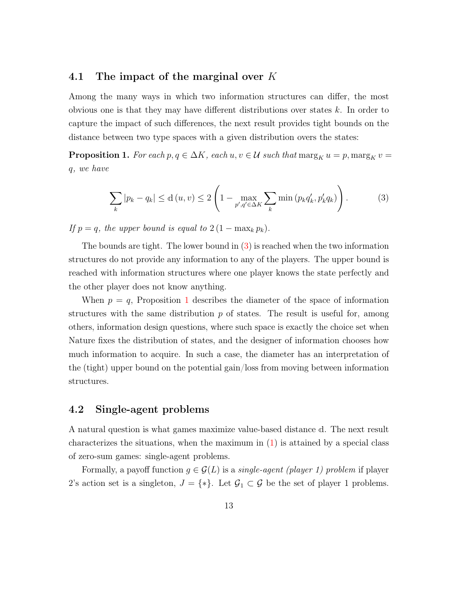### 4.1 The impact of the marginal over  $K$

Among the many ways in which two information structures can differ, the most obvious one is that they may have different distributions over states  $k$ . In order to capture the impact of such differences, the next result provides tight bounds on the distance between two type spaces with a given distribution overs the states:

<span id="page-12-1"></span>**Proposition 1.** For each  $p, q \in \Delta K$ , each  $u, v \in \mathcal{U}$  such that  $\max_{K} u = p$ ,  $\max_{K} v =$ q, we have

<span id="page-12-0"></span>
$$
\sum_{k} |p_k - q_k| \le d(u, v) \le 2\left(1 - \max_{p', q' \in \Delta K} \sum_{k} \min\left(p_k q'_k, p'_k q_k\right)\right). \tag{3}
$$

If  $p = q$ , the upper bound is equal to  $2(1 - \max_k p_k)$ .

The bounds are tight. The lower bound in [\(3\)](#page-12-0) is reached when the two information structures do not provide any information to any of the players. The upper bound is reached with information structures where one player knows the state perfectly and the other player does not know anything.

When  $p = q$ , Proposition [1](#page-12-1) describes the diameter of the space of information structures with the same distribution  $p$  of states. The result is useful for, among others, information design questions, where such space is exactly the choice set when Nature fixes the distribution of states, and the designer of information chooses how much information to acquire. In such a case, the diameter has an interpretation of the (tight) upper bound on the potential gain/loss from moving between information structures.

### 4.2 Single-agent problems

A natural question is what games maximize value-based distance <sup>d</sup>. The next result characterizes the situations, when the maximum in  $(1)$  is attained by a special class of zero-sum games: single-agent problems.

Formally, a payoff function  $g \in \mathcal{G}(L)$  is a *single-agent (player 1) problem* if player 2's action set is a singleton,  $J = \{*\}$ . Let  $\mathcal{G}_1 \subset \mathcal{G}$  be the set of player 1 problems.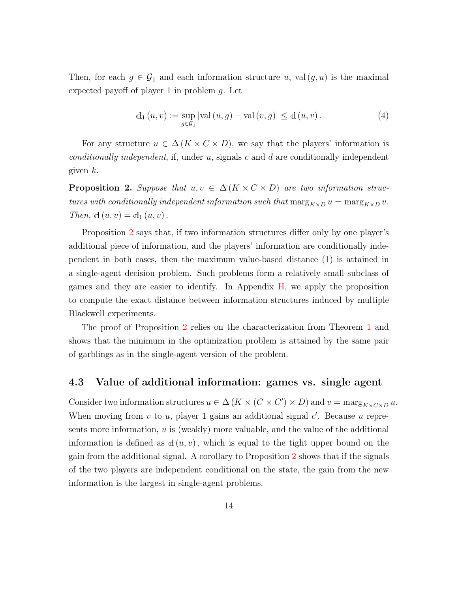Then, for each  $g \in \mathcal{G}_1$  and each information structure u, val $(g, u)$  is the maximal expected payoff of player 1 in problem g. Let

$$
d_1(u, v) := \sup_{g \in \mathcal{G}_1} |\text{val}(u, g) - \text{val}(v, g)| \le d(u, v).
$$
 (4)

For any structure  $u \in \Delta(K \times C \times D)$ , we say that the players' information is conditionally independent, if, under u, signals c and d are conditionally independent given  $k$ .

<span id="page-13-0"></span>**Proposition 2.** Suppose that  $u, v \in \Delta(K \times C \times D)$  are two information structures with conditionally independent information such that  $\max_{K\times D} u = \max_{K\times D} v$ . Then,  $d(u, v) = d_1(u, v)$ .

Proposition [2](#page-13-0) says that, if two information structures differ only by one player's additional piece of information, and the players' information are conditionally independent in both cases, then the maximum value-based distance [\(1\)](#page-7-2) is attained in a single-agent decision problem. Such problems form a relatively small subclass of games and they are easier to identify. In Appendix [H,](#page-62-0) we apply the proposition to compute the exact distance between information structures induced by multiple Blackwell experiments.

The proof of Proposition [2](#page-13-0) relies on the characterization from Theorem [1](#page-9-0) and shows that the minimum in the optimization problem is attained by the same pair of garblings as in the single-agent version of the problem.

### 4.3 Value of additional information: games vs. single agent

Consider two information structures  $u \in \Delta(K \times (C \times C') \times D)$  and  $v = \max_{K \times C \times D} u$ . When moving from  $v$  to  $u$ , player 1 gains an additional signal  $c'$ . Because  $u$  represents more information,  $u$  is (weakly) more valuable, and the value of the additional information is defined as  $d(u, v)$ , which is equal to the tight upper bound on the gain from the additional signal. A corollary to Proposition [2](#page-13-0) shows that if the signals of the two players are independent conditional on the state, the gain from the new information is the largest in single-agent problems.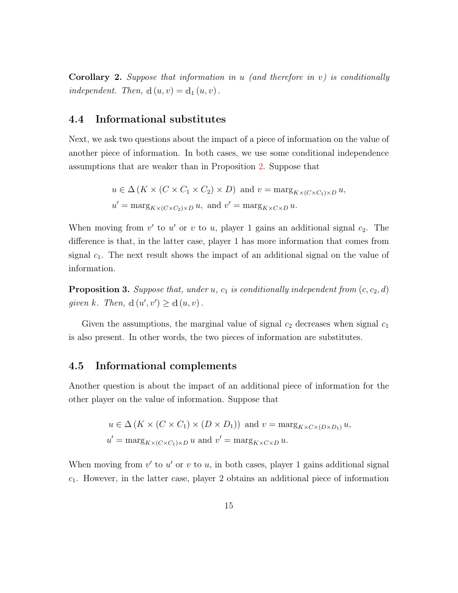<span id="page-14-1"></span>**Corollary 2.** Suppose that information in u (and therefore in v) is conditionally independent. Then,  $d(u, v) = d_1(u, v)$ .

## 4.4 Informational substitutes

Next, we ask two questions about the impact of a piece of information on the value of another piece of information. In both cases, we use some conditional independence assumptions that are weaker than in Proposition [2.](#page-13-0) Suppose that

$$
u \in \Delta (K \times (C \times C_1 \times C_2) \times D)
$$
 and  $v = \max_{K \times (C \times C_1) \times D} u$ ,  
\n $u' = \max_{K \times (C \times C_2) \times D} u$ , and  $v' = \max_{K \times C \times D} u$ .

When moving from  $v'$  to  $u'$  or  $v$  to  $u$ , player 1 gains an additional signal  $c_2$ . The difference is that, in the latter case, player 1 has more information that comes from signal  $c_1$ . The next result shows the impact of an additional signal on the value of information.

<span id="page-14-0"></span>**Proposition 3.** Suppose that, under u,  $c_1$  is conditionally independent from  $(c, c_2, d)$ given k. Then,  $d(u', v') \geq d(u, v)$ .

Given the assumptions, the marginal value of signal  $c_2$  decreases when signal  $c_1$ is also present. In other words, the two pieces of information are substitutes.

## 4.5 Informational complements

Another question is about the impact of an additional piece of information for the other player on the value of information. Suppose that

$$
u \in \Delta (K \times (C \times C_1) \times (D \times D_1))
$$
 and  $v = \max_{K \times C \times (D \times D_1)} u$ ,  
\n $u' = \max_{K \times (C \times C_1) \times D} u$  and  $v' = \max_{K \times C \times D} u$ .

When moving from  $v'$  to  $u'$  or  $v$  to  $u$ , in both cases, player 1 gains additional signal  $c_1$ . However, in the latter case, player 2 obtains an additional piece of information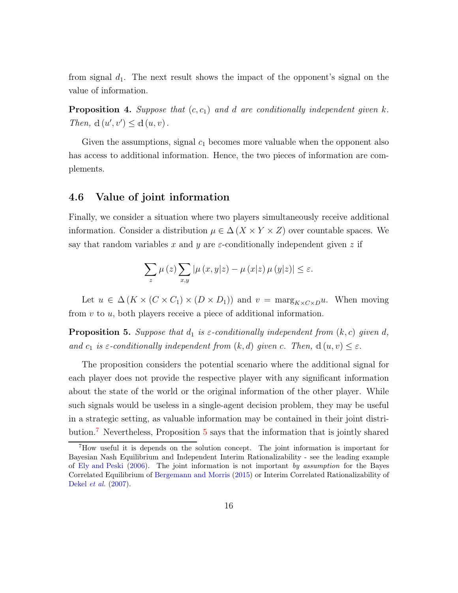from signal  $d_1$ . The next result shows the impact of the opponent's signal on the value of information.

<span id="page-15-3"></span>**Proposition 4.** Suppose that  $(c, c_1)$  and d are conditionally independent given k. Then,  $d(u', v') \leq d(u, v)$ .

Given the assumptions, signal  $c_1$  becomes more valuable when the opponent also has access to additional information. Hence, the two pieces of information are complements.

### <span id="page-15-2"></span>4.6 Value of joint information

Finally, we consider a situation where two players simultaneously receive additional information. Consider a distribution  $\mu \in \Delta(X \times Y \times Z)$  over countable spaces. We say that random variables x and y are  $\varepsilon$ -conditionally independent given z if

$$
\sum_{z}\mu\left(z\right)\sum_{x,y}\left|\mu\left(x,y|z\right)-\mu\left(x|z\right)\mu\left(y|z\right)\right|\leq\varepsilon.
$$

Let  $u \in \Delta(K \times (C \times C_1) \times (D \times D_1))$  and  $v = \max_{K \times C \times D} u$ . When moving from  $v$  to  $u$ , both players receive a piece of additional information.

<span id="page-15-1"></span>**Proposition 5.** Suppose that  $d_1$  is  $\varepsilon$ -conditionally independent from  $(k, c)$  given d, and  $c_1$  is  $\varepsilon$ -conditionally independent from  $(k, d)$  given c. Then,  $d(u, v) \leq \varepsilon$ .

The proposition considers the potential scenario where the additional signal for each player does not provide the respective player with any significant information about the state of the world or the original information of the other player. While such signals would be useless in a single-agent decision problem, they may be useful in a strategic setting, as valuable information may be contained in their joint distribution.[7](#page-15-0) Nevertheless, Proposition [5](#page-15-1) says that the information that is jointly shared

<span id="page-15-0"></span><sup>7</sup>How useful it is depends on the solution concept. The joint information is important for Bayesian Nash Equilibrium and Independent Interim Rationalizability - see the leading example of [Ely and Peski](#page-93-0) [\(2006\)](#page-93-0). The joint information is not important by assumption for the Bayes Correlated Equilibrium of [Bergemann and Morris](#page-92-4) [\(2015](#page-92-4)) or Interim Correlated Rationalizability of [Dekel](#page-93-6) et al. [\(2007\)](#page-93-6).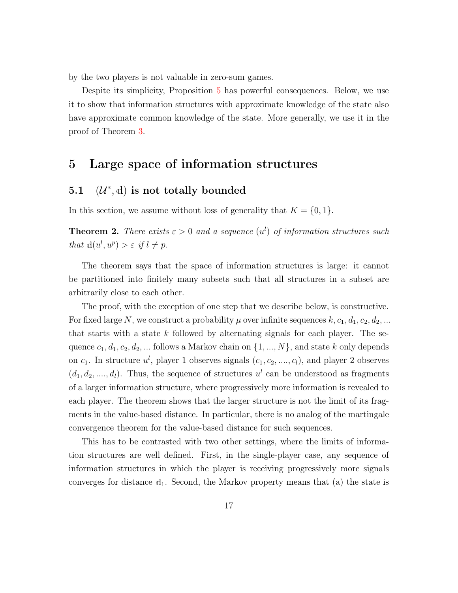by the two players is not valuable in zero-sum games.

Despite its simplicity, Proposition [5](#page-15-1) has powerful consequences. Below, we use it to show that information structures with approximate knowledge of the state also have approximate common knowledge of the state. More generally, we use it in the proof of Theorem [3.](#page-19-0)

## 5 Large space of information structures

## 5.1  $(\mathcal{U}^*, d)$  is not totally bounded

In this section, we assume without loss of generality that  $K = \{0, 1\}.$ 

<span id="page-16-0"></span>**Theorem 2.** There exists  $\varepsilon > 0$  and a sequence  $(u^l)$  of information structures such that  $d(u^l, u^p) > \varepsilon$  if  $l \neq p$ .

The theorem says that the space of information structures is large: it cannot be partitioned into finitely many subsets such that all structures in a subset are arbitrarily close to each other.

The proof, with the exception of one step that we describe below, is constructive. For fixed large N, we construct a probability  $\mu$  over infinite sequences  $k, c_1, d_1, c_2, d_2, ...$ that starts with a state k followed by alternating signals for each player. The sequence  $c_1, d_1, c_2, d_2, \dots$  follows a Markov chain on  $\{1, ..., N\}$ , and state k only depends on  $c_1$ . In structure  $u^l$ , player 1 observes signals  $(c_1, c_2, \ldots, c_l)$ , and player 2 observes  $(d_1, d_2, \ldots, d_l)$ . Thus, the sequence of structures  $u^l$  can be understood as fragments of a larger information structure, where progressively more information is revealed to each player. The theorem shows that the larger structure is not the limit of its fragments in the value-based distance. In particular, there is no analog of the martingale convergence theorem for the value-based distance for such sequences.

This has to be contrasted with two other settings, where the limits of information structures are well defined. First, in the single-player case, any sequence of information structures in which the player is receiving progressively more signals converges for distance  $d_1$ . Second, the Markov property means that (a) the state is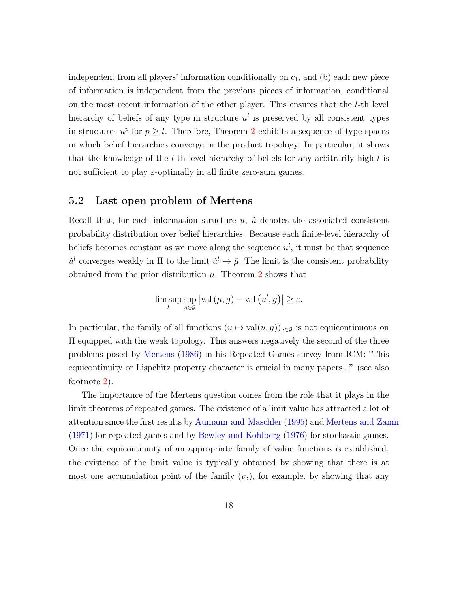independent from all players' information conditionally on  $c_1$ , and (b) each new piece of information is independent from the previous pieces of information, conditional on the most recent information of the other player. This ensures that the l-th level hierarchy of beliefs of any type in structure  $u<sup>l</sup>$  is preserved by all consistent types in structures  $u^p$  for  $p \geq l$ . Therefore, Theorem [2](#page-16-0) exhibits a sequence of type spaces in which belief hierarchies converge in the product topology. In particular, it shows that the knowledge of the *l*-th level hierarchy of beliefs for any arbitrarily high  $l$  is not sufficient to play  $\varepsilon$ -optimally in all finite zero-sum games.

### 5.2 Last open problem of Mertens

Recall that, for each information structure  $u, \tilde{u}$  denotes the associated consistent probability distribution over belief hierarchies. Because each finite-level hierarchy of beliefs becomes constant as we move along the sequence  $u^l$ , it must be that sequence  $\tilde{u}^l$  converges weakly in  $\Pi$  to the limit  $\tilde{u}^l \to \tilde{\mu}$ . The limit is the consistent probability obtained from the prior distribution  $\mu$ . Theorem [2](#page-16-0) shows that

$$
\limsup_{l} \sup_{g \in \mathcal{G}} \left| \text{val} \left( \mu, g \right) - \text{val} \left( u^l, g \right) \right| \ge \varepsilon.
$$

In particular, the family of all functions  $(u \mapsto val(u, g))_{g \in \mathcal{G}}$  is not equicontinuous on Π equipped with the weak topology. This answers negatively the second of the three problems posed by [Mertens](#page-94-3) [\(1986\)](#page-94-3) in his Repeated Games survey from ICM: "This equicontinuity or Lispchitz property character is crucial in many papers..." (see also footnote [2\)](#page-5-0).

The importance of the Mertens question comes from the role that it plays in the limit theorems of repeated games. The existence of a limit value has attracted a lot of attention since the first results by [Aumann and Maschler](#page-92-7) [\(1995\)](#page-92-7) and [Mertens and Zamir](#page-94-6) [\(1971\)](#page-94-6) for repeated games and by [Bewley and Kohlberg](#page-92-8) [\(1976\)](#page-92-8) for stochastic games. Once the equicontinuity of an appropriate family of value functions is established, the existence of the limit value is typically obtained by showing that there is at most one accumulation point of the family  $(v_{\delta})$ , for example, by showing that any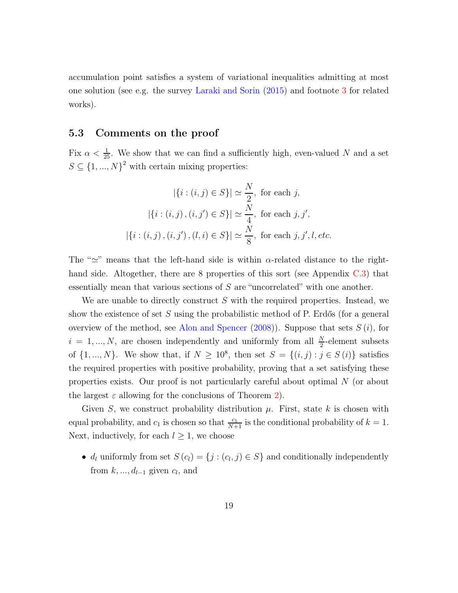accumulation point satisfies a system of variational inequalities admitting at most one solution (see e.g. the survey [Laraki and Sorin](#page-94-8) [\(2015\)](#page-94-8) and footnote [3](#page-5-1) for related works).

## 5.3 Comments on the proof

Fix  $\alpha < \frac{1}{25}$ . We show that we can find a sufficiently high, even-valued N and a set  $S \subseteq \{1, ..., N\}^2$  with certain mixing properties:

$$
|\{i : (i,j) \in S\}| \simeq \frac{N}{2}, \text{ for each } j,
$$

$$
|\{i : (i,j), (i,j') \in S\}| \simeq \frac{N}{4}, \text{ for each } j, j',
$$

$$
|\{i : (i,j), (i,j'), (l,i) \in S\}| \simeq \frac{N}{8}, \text{ for each } j, j', l, etc.
$$

The " $\approx$ " means that the left-hand side is within  $\alpha$ -related distance to the right-hand side. Altogether, there are 8 properties of this sort (see Appendix [C.3\)](#page-42-0) that essentially mean that various sections of S are "uncorrelated" with one another.

We are unable to directly construct  $S$  with the required properties. Instead, we show the existence of set  $S$  using the probabilistic method of P. Erdős (for a general overview of the method, see [Alon and Spencer](#page-92-9)  $(2008)$ ). Suppose that sets  $S(i)$ , for  $i = 1, ..., N$ , are chosen independently and uniformly from all  $\frac{N}{2}$ -element subsets of  $\{1, ..., N\}$ . We show that, if  $N \geq 10^8$ , then set  $S = \{(i, j) : j \in S(i)\}$  satisfies the required properties with positive probability, proving that a set satisfying these properties exists. Our proof is not particularly careful about optimal N (or about the largest  $\varepsilon$  allowing for the conclusions of Theorem [2\)](#page-16-0).

Given S, we construct probability distribution  $\mu$ . First, state k is chosen with equal probability, and  $c_1$  is chosen so that  $\frac{c_1}{N+1}$  is the conditional probability of  $k = 1$ . Next, inductively, for each  $l \geq 1$ , we choose

•  $d_l$  uniformly from set  $S(c_l) = \{j : (c_l, j) \in S\}$  and conditionally independently from  $k, \ldots, d_{l-1}$  given  $c_l$ , and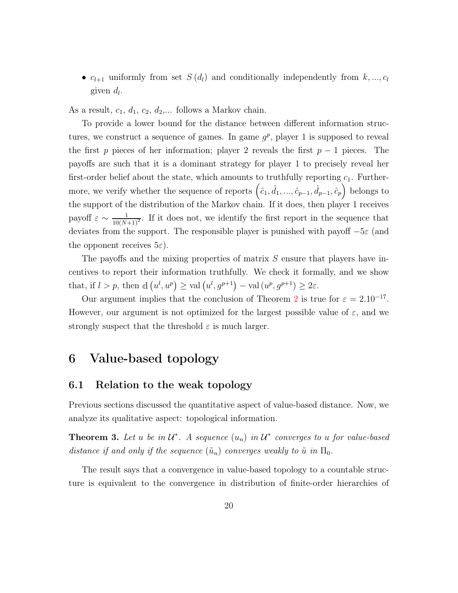•  $c_{l+1}$  uniformly from set  $S(d_l)$  and conditionally independently from  $k, ..., c_l$ given  $d_l$ .

As a result,  $c_1$ ,  $d_1$ ,  $c_2$ ,  $d_2$ ,... follows a Markov chain.

To provide a lower bound for the distance between different information structures, we construct a sequence of games. In game  $g^p$ , player 1 is supposed to reveal the first p pieces of her information; player 2 reveals the first  $p-1$  pieces. The payoffs are such that it is a dominant strategy for player 1 to precisely reveal her first-order belief about the state, which amounts to truthfully reporting  $c_1$ . Furthermore, we verify whether the sequence of reports  $(\hat{c}_1, \hat{d}_1, ..., \hat{c}_{p-1}, \hat{d}_{p-1}, \hat{c}_p)$  belongs to the support of the distribution of the Markov chain. If it does, then player 1 receives payoff  $\varepsilon \sim \frac{1}{10(N+1)^2}$ . If it does not, we identify the first report in the sequence that deviates from the support. The responsible player is punished with payoff  $-5\varepsilon$  (and the opponent receives  $5\varepsilon$ ).

The payoffs and the mixing properties of matrix S ensure that players have incentives to report their information truthfully. We check it formally, and we show that, if  $l > p$ , then  $d(u^l, u^p) \geq \text{val}(u^l, g^{p+1}) - \text{val}(u^p, g^{p+1}) \geq 2\varepsilon$ .

Our argument implies that the conclusion of Theorem [2](#page-16-0) is true for  $\varepsilon = 2.10^{-17}$ . However, our argument is not optimized for the largest possible value of  $\varepsilon$ , and we strongly suspect that the threshold  $\varepsilon$  is much larger.

## 6 Value-based topology

### 6.1 Relation to the weak topology

Previous sections discussed the quantitative aspect of value-based distance. Now, we analyze its qualitative aspect: topological information.

<span id="page-19-0"></span>**Theorem 3.** Let u be in  $\mathcal{U}^*$ . A sequence  $(u_n)$  in  $\mathcal{U}^*$  converges to u for value-based distance if and only if the sequence  $(\tilde{u}_n)$  converges weakly to  $\tilde{u}$  in  $\Pi_0$ .

The result says that a convergence in value-based topology to a countable structure is equivalent to the convergence in distribution of finite-order hierarchies of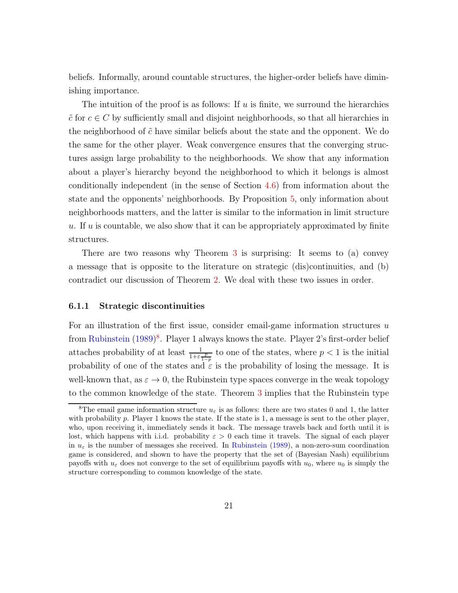beliefs. Informally, around countable structures, the higher-order beliefs have diminishing importance.

The intuition of the proof is as follows: If  $u$  is finite, we surround the hierarchies  $\tilde{c}$  for  $c \in C$  by sufficiently small and disjoint neighborhoods, so that all hierarchies in the neighborhood of  $\tilde{c}$  have similar beliefs about the state and the opponent. We do the same for the other player. Weak convergence ensures that the converging structures assign large probability to the neighborhoods. We show that any information about a player's hierarchy beyond the neighborhood to which it belongs is almost conditionally independent (in the sense of Section [4.6\)](#page-15-2) from information about the state and the opponents' neighborhoods. By Proposition [5,](#page-15-1) only information about neighborhoods matters, and the latter is similar to the information in limit structure  $u$ . If  $u$  is countable, we also show that it can be appropriately approximated by finite structures.

There are two reasons why Theorem [3](#page-19-0) is surprising: It seems to (a) convey a message that is opposite to the literature on strategic (dis)continuities, and (b) contradict our discussion of Theorem [2.](#page-16-0) We deal with these two issues in order.

#### 6.1.1 Strategic discontinuities

For an illustration of the first issue, consider email-game information structures  $u$ from [Rubinstein](#page-95-0) [\(1989\)](#page-95-0)<sup>[8](#page-20-0)</sup>. Player 1 always knows the state. Player 2's first-order belief attaches probability of at least  $\frac{1}{1+\varepsilon\frac{p}{1-p}}$  to one of the states, where  $p < 1$  is the initial probability of one of the states and  $\varepsilon$  is the probability of losing the message. It is well-known that, as  $\varepsilon \to 0$ , the Rubinstein type spaces converge in the weak topology to the common knowledge of the state. Theorem [3](#page-19-0) implies that the Rubinstein type

<span id="page-20-0"></span><sup>&</sup>lt;sup>8</sup>The email game information structure  $u_{\varepsilon}$  is as follows: there are two states 0 and 1, the latter with probability  $p$ . Player 1 knows the state. If the state is 1, a message is sent to the other player, who, upon receiving it, immediately sends it back. The message travels back and forth until it is lost, which happens with i.i.d. probability  $\varepsilon > 0$  each time it travels. The signal of each player in  $u_{\varepsilon}$  is the number of messages she received. In [Rubinstein](#page-95-0) [\(1989\)](#page-95-0), a non-zero-sum coordination game is considered, and shown to have the property that the set of (Bayesian Nash) equilibrium payoffs with  $u_{\varepsilon}$  does not converge to the set of equilibrium payoffs with  $u_0$ , where  $u_0$  is simply the structure corresponding to common knowledge of the state.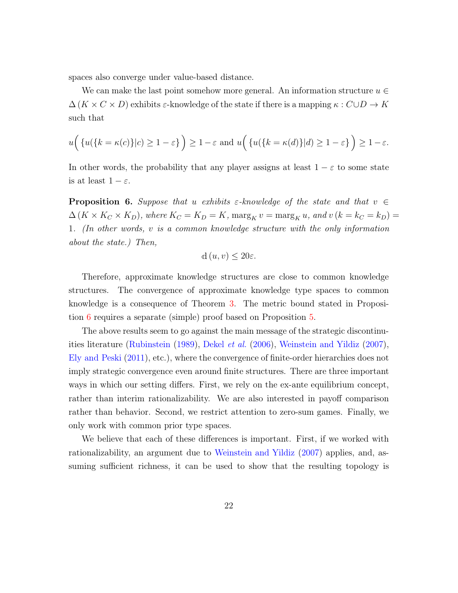spaces also converge under value-based distance.

We can make the last point somehow more general. An information structure  $u \in$  $\Delta(K \times C \times D)$  exhibits  $\varepsilon$ -knowledge of the state if there is a mapping  $\kappa: C \cup D \to K$ such that

$$
u\Big(\{u(\{k=\kappa(c)\}|c)\geq 1-\varepsilon\}\Big)\geq 1-\varepsilon\text{ and }u\Big(\{u(\{k=\kappa(d)\}|d)\geq 1-\varepsilon\}\Big)\geq 1-\varepsilon.
$$

In other words, the probability that any player assigns at least  $1 - \varepsilon$  to some state is at least  $1 - \varepsilon$ .

<span id="page-21-0"></span>**Proposition 6.** Suppose that u exhibits  $\varepsilon$ -knowledge of the state and that  $v \in$  $\Delta(K \times K_C \times K_D)$ , where  $K_C = K_D = K$ ,  $\max_{K} v = \max_{K} u$ , and  $v(k = k_C = k_D) =$ 1. (In other words, v is a common knowledge structure with the only information about the state.) Then,

$$
d(u, v) \le 20\varepsilon.
$$

Therefore, approximate knowledge structures are close to common knowledge structures. The convergence of approximate knowledge type spaces to common knowledge is a consequence of Theorem [3.](#page-19-0) The metric bound stated in Proposition [6](#page-21-0) requires a separate (simple) proof based on Proposition [5.](#page-15-1)

The above results seem to go against the main message of the strategic discontinuities literature [\(Rubinstein](#page-95-0) [\(1989\)](#page-95-0), [Dekel](#page-92-0) et al. [\(2006\)](#page-92-0), [Weinstein and Yildiz](#page-96-0) [\(2007\)](#page-96-0), [Ely and Peski](#page-93-1) [\(2011\)](#page-93-1), etc.), where the convergence of finite-order hierarchies does not imply strategic convergence even around finite structures. There are three important ways in which our setting differs. First, we rely on the ex-ante equilibrium concept, rather than interim rationalizability. We are also interested in payoff comparison rather than behavior. Second, we restrict attention to zero-sum games. Finally, we only work with common prior type spaces.

We believe that each of these differences is important. First, if we worked with rationalizability, an argument due to [Weinstein and Yildiz](#page-96-0) [\(2007\)](#page-96-0) applies, and, assuming sufficient richness, it can be used to show that the resulting topology is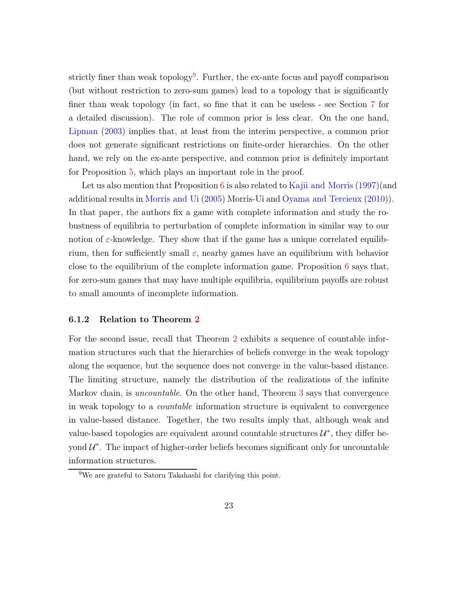strictly finer than weak topology<sup>[9](#page-22-0)</sup>. Further, the ex-ante focus and payoff comparison (but without restriction to zero-sum games) lead to a topology that is significantly finer than weak topology (in fact, so fine that it can be useless - see Section [7](#page-25-0) for a detailed discussion). The role of common prior is less clear. On the one hand, [Lipman](#page-94-9) [\(2003](#page-94-9)) implies that, at least from the interim perspective, a common prior does not generate significant restrictions on finite-order hierarchies. On the other hand, we rely on the ex-ante perspective, and common prior is definitely important for Proposition [5,](#page-15-1) which plays an important role in the proof.

Let us also mention that Proposition  $6$  is also related to [Kajii and Morris](#page-93-7) [\(1997\)](#page-93-7)(and additional results in [Morris and Ui](#page-95-8) [\(2005\)](#page-95-8) Morris-Ui and [Oyama and Tercieux](#page-95-9) [\(2010\)](#page-95-9)). In that paper, the authors fix a game with complete information and study the robustness of equilibria to perturbation of complete information in similar way to our notion of  $\varepsilon$ -knowledge. They show that if the game has a unique correlated equilibrium, then for sufficiently small  $\varepsilon$ , nearby games have an equilibrium with behavior close to the equilibrium of the complete information game. Proposition [6](#page-21-0) says that, for zero-sum games that may have multiple equilibria, equilibrium payoffs are robust to small amounts of incomplete information.

#### 6.1.2 Relation to Theorem [2](#page-16-0)

For the second issue, recall that Theorem [2](#page-16-0) exhibits a sequence of countable information structures such that the hierarchies of beliefs converge in the weak topology along the sequence, but the sequence does not converge in the value-based distance. The limiting structure, namely the distribution of the realizations of the infinite Markov chain, is *uncountable*. On the other hand, Theorem [3](#page-19-0) says that convergence in weak topology to a countable information structure is equivalent to convergence in value-based distance. Together, the two results imply that, although weak and value-based topologies are equivalent around countable structures  $\mathcal{U}^*$ , they differ beyond  $\mathcal{U}^*$ . The impact of higher-order beliefs becomes significant only for uncountable information structures.

<span id="page-22-0"></span><sup>9</sup>We are grateful to Satoru Takahashi for clarifying this point.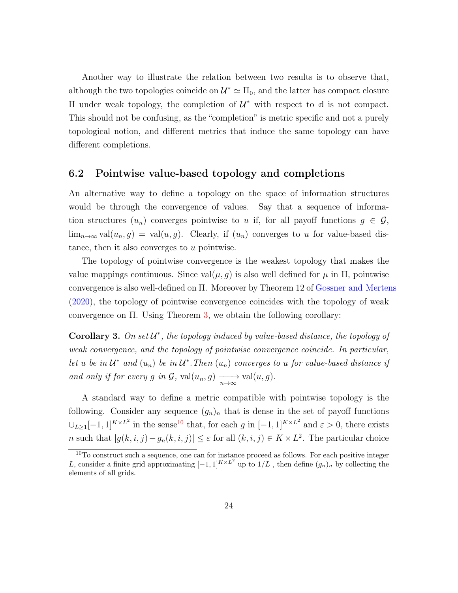Another way to illustrate the relation between two results is to observe that, although the two topologies coincide on  $\mathcal{U}^* \simeq \Pi_0$ , and the latter has compact closure II under weak topology, the completion of  $\mathcal{U}^*$  with respect to d is not compact. This should not be confusing, as the "completion" is metric specific and not a purely topological notion, and different metrics that induce the same topology can have different completions.

### 6.2 Pointwise value-based topology and completions

An alternative way to define a topology on the space of information structures would be through the convergence of values. Say that a sequence of information structures  $(u_n)$  converges pointwise to u if, for all payoff functions  $g \in \mathcal{G}$ ,  $\lim_{n\to\infty}$  val $(u_n, g) = \text{val}(u, g)$ . Clearly, if  $(u_n)$  converges to u for value-based distance, then it also converges to u pointwise.

The topology of pointwise convergence is the weakest topology that makes the value mappings continuous. Since  $val(\mu, g)$  is also well defined for  $\mu$  in  $\Pi$ , pointwise convergence is also well-defined on Π. Moreover by Theorem 12 of [Gossner and Mertens](#page-93-8) [\(2020\)](#page-93-8), the topology of pointwise convergence coincides with the topology of weak convergence on Π. Using Theorem [3,](#page-19-0) we obtain the following corollary:

Corollary 3. On set  $\mathcal{U}^*$ , the topology induced by value-based distance, the topology of weak convergence, and the topology of pointwise convergence coincide. In particular, let u be in  $\mathcal{U}^*$  and  $(u_n)$  be in  $\mathcal{U}^*$ . Then  $(u_n)$  converges to u for value-based distance if and only if for every g in  $\mathcal{G}$ ,  $val(u_n, g) \longrightarrow \text{val}(u, g)$ .

A standard way to define a metric compatible with pointwise topology is the following. Consider any sequence  $(g_n)_n$  that is dense in the set of payoff functions  $\bigcup_{L\geq 1}[-1,1]^{K\times L^2}$  in the sense<sup>[10](#page-23-0)</sup> that, for each g in  $[-1,1]^{K\times L^2}$  and  $\varepsilon > 0$ , there exists n such that  $|g(k, i, j) - g_n(k, i, j)| \leq \varepsilon$  for all  $(k, i, j) \in K \times L^2$ . The particular choice

<span id="page-23-0"></span><sup>&</sup>lt;sup>10</sup>To construct such a sequence, one can for instance proceed as follows. For each positive integer L, consider a finite grid approximating  $[-1,1]^{K\times L^2}$  up to  $1/L$ , then define  $(g_n)_n$  by collecting the elements of all grids.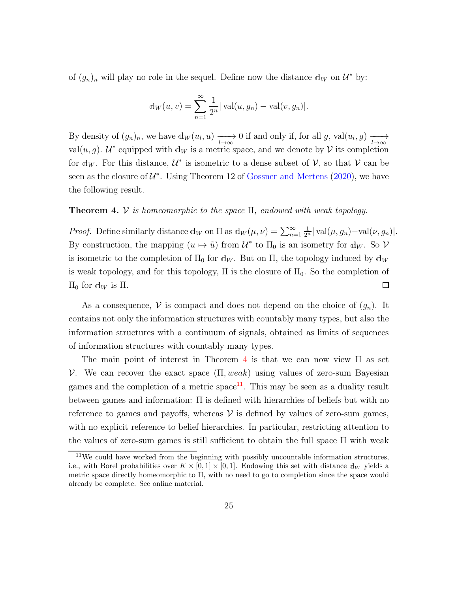of  $(g_n)_n$  will play no role in the sequel. Define now the distance  $d_W$  on  $\mathcal{U}^*$  by:

$$
d_W(u, v) = \sum_{n=1}^{\infty} \frac{1}{2^n} |\text{val}(u, g_n) - \text{val}(v, g_n)|.
$$

By density of  $(g_n)_n$ , we have  $d_W(u_l, u) \longrightarrow 0$  if and only if, for all g, val $(u_l, g) \longrightarrow$ val $(u, g)$ .  $\mathcal{U}^*$  equipped with  $d_W$  is a metric space, and we denote by  $\mathcal V$  its completion for d<sub>W</sub>. For this distance,  $\mathcal{U}^*$  is isometric to a dense subset of  $\mathcal{V}$ , so that  $\mathcal{V}$  can be seen as the closure of  $\mathcal{U}^*$ . Using Theorem 12 of [Gossner and Mertens](#page-93-8) [\(2020\)](#page-93-8), we have the following result.

#### <span id="page-24-0"></span>**Theorem 4.** V is homeomorphic to the space  $\Pi$ , endowed with weak topology.

*Proof.* Define similarly distance  $d_W$  on  $\Pi$  as  $d_W(\mu, \nu) = \sum_{n=1}^{\infty}$  $\frac{1}{2^n}$ | val $(\mu, g_n)$ -val $(\nu, g_n)$ |. By construction, the mapping  $(u \mapsto \tilde{u})$  from  $\mathcal{U}^*$  to  $\Pi_0$  is an isometry for  $d_W$ . So  $\mathcal{V}$ is isometric to the completion of  $\Pi_0$  for  $d_W$ . But on  $\Pi$ , the topology induced by  $d_W$ is weak topology, and for this topology,  $\Pi$  is the closure of  $\Pi_0$ . So the completion of  $\Pi_0$  for d<sub>*W*</sub> is Π.  $\Box$ 

As a consequence, V is compact and does not depend on the choice of  $(q_n)$ . It contains not only the information structures with countably many types, but also the information structures with a continuum of signals, obtained as limits of sequences of information structures with countably many types.

The main point of interest in Theorem [4](#page-24-0) is that we can now view  $\Pi$  as set V. We can recover the exact space  $(\Pi, weak)$  using values of zero-sum Bayesian games and the completion of a metric space<sup>[11](#page-24-1)</sup>. This may be seen as a duality result between games and information: Π is defined with hierarchies of beliefs but with no reference to games and payoffs, whereas  $V$  is defined by values of zero-sum games, with no explicit reference to belief hierarchies. In particular, restricting attention to the values of zero-sum games is still sufficient to obtain the full space  $\Pi$  with weak

<span id="page-24-1"></span> $11$ We could have worked from the beginning with possibly uncountable information structures, i.e., with Borel probabilities over  $K \times [0,1] \times [0,1]$ . Endowing this set with distance  $d_W$  yields a metric space directly homeomorphic to Π, with no need to go to completion since the space would already be complete. See online material.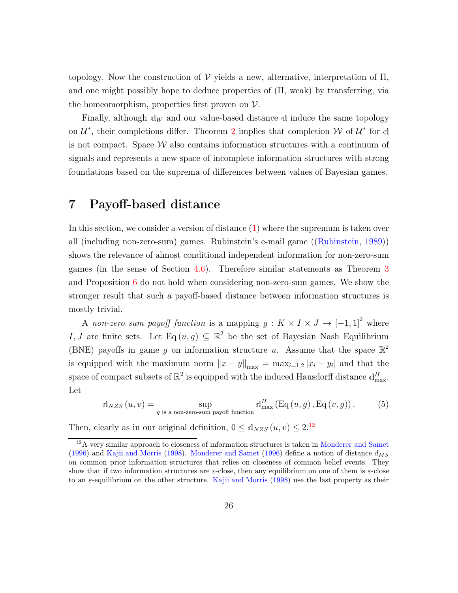topology. Now the construction of  $V$  yields a new, alternative, interpretation of  $\Pi$ , and one might possibly hope to deduce properties of  $(\Pi, \text{ weak})$  by transferring, via the homeomorphism, properties first proven on  $V$ .

Finally, although  $\mathbf{d}_W$  and our value-based distance d induce the same topology on  $\mathcal{U}^*$ , their completions differ. Theorem [2](#page-16-0) implies that completion W of  $\mathcal{U}^*$  for d is not compact. Space  $\mathcal W$  also contains information structures with a continuum of signals and represents a new space of incomplete information structures with strong foundations based on the suprema of differences between values of Bayesian games.

## <span id="page-25-0"></span>7 Payoff-based distance

In this section, we consider a version of distance  $(1)$  where the supremum is taken over all (including non-zero-sum) games. Rubinstein's e-mail game ([\(Rubinstein](#page-95-0), [1989](#page-95-0))) shows the relevance of almost conditional independent information for non-zero-sum games (in the sense of Section [4.6\)](#page-15-2). Therefore similar statements as Theorem [3](#page-19-0) and Proposition [6](#page-21-0) do not hold when considering non-zero-sum games. We show the stronger result that such a payoff-based distance between information structures is mostly trivial.

A non-zero sum payoff function is a mapping  $g: K \times I \times J \to [-1,1]^2$  where I, J are finite sets. Let  $\text{Eq}(u, g) \subseteq \mathbb{R}^2$  be the set of Bayesian Nash Equilibrium (BNE) payoffs in game g on information structure u. Assume that the space  $\mathbb{R}^2$ is equipped with the maximum norm  $||x - y||_{\text{max}} = \max_{i=1,2} |x_i - y_i|$  and that the space of compact subsets of  $\mathbb{R}^2$  is equipped with the induced Hausdorff distance  $d_{\text{max}}^H$ . Let

<span id="page-25-2"></span>
$$
d_{NZS}(u, v) = \sup_{g \text{ is a non-zero-sum payoff function}} d_{max}^H (Eq(u, g), Eq(v, g)).
$$
 (5)

Then, clearly as in our original definition,  $0 \le d_{NZS}(u, v) \le 2^{12}$  $0 \le d_{NZS}(u, v) \le 2^{12}$  $0 \le d_{NZS}(u, v) \le 2^{12}$ 

<span id="page-25-1"></span><sup>&</sup>lt;sup>12</sup>A very similar approach to closeness of information structures is taken in [Monderer and Samet](#page-94-10) [\(1996\)](#page-94-10) and [Kajii and Morris](#page-93-9) [\(1998](#page-93-9)). [Monderer and Samet](#page-94-10) [\(1996](#page-94-10)) define a notion of distance  $d_{MS}$ on common prior information structures that relies on closeness of common belief events. They show that if two information structures are  $\varepsilon$ -close, then any equilibrium on one of them is  $\varepsilon$ -close to an ε-equilibrium on the other structure. [Kajii and Morris](#page-93-9) [\(1998\)](#page-93-9) use the last property as their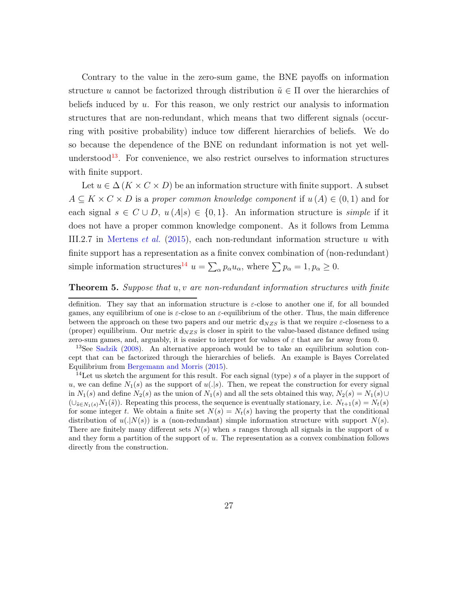Contrary to the value in the zero-sum game, the BNE payoffs on information structure u cannot be factorized through distribution  $\tilde{u} \in \Pi$  over the hierarchies of beliefs induced by  $u$ . For this reason, we only restrict our analysis to information structures that are non-redundant, which means that two different signals (occurring with positive probability) induce tow different hierarchies of beliefs. We do so because the dependence of the BNE on redundant information is not yet well-understood<sup>[13](#page-26-0)</sup>. For convenience, we also restrict ourselves to information structures with finite support.

Let  $u \in \Delta(K \times C \times D)$  be an information structure with finite support. A subset  $A \subseteq K \times C \times D$  is a proper common knowledge component if  $u(A) \in (0,1)$  and for each signal  $s \in C \cup D$ ,  $u(A|s) \in \{0,1\}$ . An information structure is *simple* if it does not have a proper common knowledge component. As it follows from Lemma III.2.7 in [Mertens](#page-94-1) *et al.* [\(2015](#page-94-1)), each non-redundant information structure u with finite support has a representation as a finite convex combination of (non-redundant) simple information structures<sup>[14](#page-26-1)</sup>  $u = \sum_{\alpha} p_{\alpha} u_{\alpha}$ , where  $\sum p_{\alpha} = 1, p_{\alpha} \ge 0$ .

#### <span id="page-26-2"></span>**Theorem 5.** Suppose that  $u, v$  are non-redundant information structures with finite

definition. They say that an information structure is ε-close to another one if, for all bounded games, any equilibrium of one is  $\varepsilon$ -close to an  $\varepsilon$ -equilibrium of the other. Thus, the main difference between the approach on these two papers and our metric  $d_{NZS}$  is that we require  $\varepsilon$ -closeness to a (proper) equilibrium. Our metric  $d_{NZS}$  is closer in spirit to the value-based distance defined using zero-sum games, and, arguably, it is easier to interpret for values of  $\varepsilon$  that are far away from 0.

<span id="page-26-0"></span><sup>&</sup>lt;sup>13</sup>See [Sadzik](#page-95-10) [\(2008\)](#page-95-10). An alternative approach would be to take an equilibrium solution concept that can be factorized through the hierarchies of beliefs. An example is Bayes Correlated Equilibrium from [Bergemann and Morris](#page-92-4) [\(2015](#page-92-4)).

<span id="page-26-1"></span><sup>&</sup>lt;sup>14</sup>Let us sketch the argument for this result. For each signal (type) s of a player in the support of u, we can define  $N_1(s)$  as the support of  $u(.|s)$ . Then, we repeat the construction for every signal in  $N_1(s)$  and define  $N_2(s)$  as the union of  $N_1(s)$  and all the sets obtained this way,  $N_2(s) = N_1(s) \cup$  $(\cup_{\tilde{s}\in N_1(s)}N_1(\tilde{s}))$ . Repeating this process, the sequence is eventually stationary, i.e.  $N_{t+1}(s) = N_t(s)$ for some integer t. We obtain a finite set  $N(s) = N_t(s)$  having the property that the conditional distribution of  $u(.|N(s))$  is a (non-redundant) simple information structure with support  $N(s)$ . There are finitely many different sets  $N(s)$  when s ranges through all signals in the support of u and they form a partition of the support of u. The representation as a convex combination follows directly from the construction.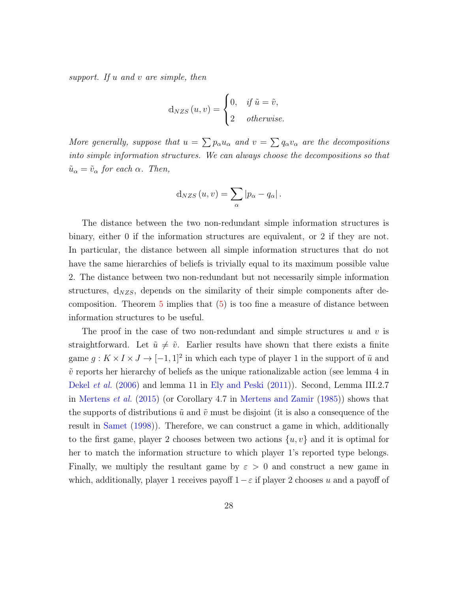support. If u and v are simple, then

$$
d_{NZS}(u,v) = \begin{cases} 0, & \text{if } \tilde{u} = \tilde{v}, \\ 2 & \text{otherwise.} \end{cases}
$$

More generally, suppose that  $u = \sum p_{\alpha} u_{\alpha}$  and  $v = \sum q_{\alpha} v_{\alpha}$  are the decompositions into simple information structures. We can always choose the decompositions so that  $\tilde{u}_{\alpha} = \tilde{v}_{\alpha}$  for each  $\alpha$ . Then,

$$
d_{NZS}(u,v) = \sum_{\alpha} |p_{\alpha} - q_{\alpha}|.
$$

The distance between the two non-redundant simple information structures is binary, either 0 if the information structures are equivalent, or 2 if they are not. In particular, the distance between all simple information structures that do not have the same hierarchies of beliefs is trivially equal to its maximum possible value 2. The distance between two non-redundant but not necessarily simple information structures,  $d_{NZS}$ , depends on the similarity of their simple components after decomposition. Theorem  $5$  implies that  $(5)$  is too fine a measure of distance between information structures to be useful.

The proof in the case of two non-redundant and simple structures  $u$  and  $v$  is straightforward. Let  $\tilde{u} \neq \tilde{v}$ . Earlier results have shown that there exists a finite game  $g: K \times I \times J \to [-1, 1]^2$  in which each type of player 1 in the support of  $\tilde{u}$  and  $\tilde{v}$  reports her hierarchy of beliefs as the unique rationalizable action (see lemma 4 in [Dekel](#page-92-0) et al. [\(2006](#page-92-0)) and lemma 11 in [Ely and Peski](#page-93-1) [\(2011\)](#page-93-1)). Second, Lemma III.2.7 in [Mertens](#page-94-1) et al. [\(2015\)](#page-94-1) (or Corollary 4.7 in [Mertens and Zamir](#page-94-2) [\(1985\)](#page-94-2)) shows that the supports of distributions  $\tilde{u}$  and  $\tilde{v}$  must be disjoint (it is also a consequence of the result in [Samet](#page-96-4) [\(1998](#page-96-4))). Therefore, we can construct a game in which, additionally to the first game, player 2 chooses between two actions  $\{u, v\}$  and it is optimal for her to match the information structure to which player 1's reported type belongs. Finally, we multiply the resultant game by  $\varepsilon > 0$  and construct a new game in which, additionally, player 1 receives payoff  $1-\varepsilon$  if player 2 chooses u and a payoff of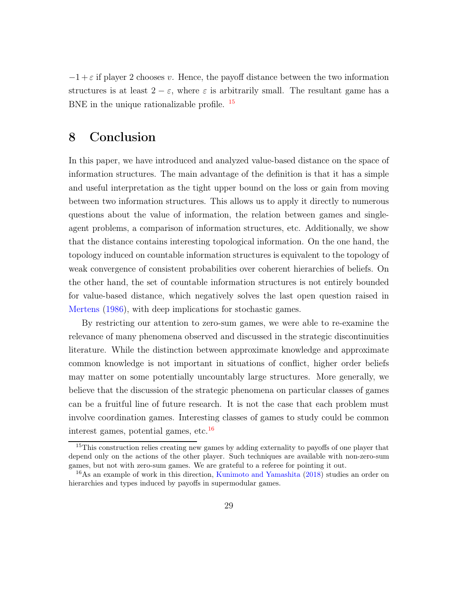$-1+\varepsilon$  if player 2 chooses v. Hence, the payoff distance between the two information structures is at least  $2 - \varepsilon$ , where  $\varepsilon$  is arbitrarily small. The resultant game has a BNE in the unique rationalizable profile. <sup>[15](#page-28-0)</sup>

## 8 Conclusion

In this paper, we have introduced and analyzed value-based distance on the space of information structures. The main advantage of the definition is that it has a simple and useful interpretation as the tight upper bound on the loss or gain from moving between two information structures. This allows us to apply it directly to numerous questions about the value of information, the relation between games and singleagent problems, a comparison of information structures, etc. Additionally, we show that the distance contains interesting topological information. On the one hand, the topology induced on countable information structures is equivalent to the topology of weak convergence of consistent probabilities over coherent hierarchies of beliefs. On the other hand, the set of countable information structures is not entirely bounded for value-based distance, which negatively solves the last open question raised in [Mertens](#page-94-3) [\(1986](#page-94-3)), with deep implications for stochastic games.

By restricting our attention to zero-sum games, we were able to re-examine the relevance of many phenomena observed and discussed in the strategic discontinuities literature. While the distinction between approximate knowledge and approximate common knowledge is not important in situations of conflict, higher order beliefs may matter on some potentially uncountably large structures. More generally, we believe that the discussion of the strategic phenomena on particular classes of games can be a fruitful line of future research. It is not the case that each problem must involve coordination games. Interesting classes of games to study could be common interest games, potential games, etc. $^{16}$  $^{16}$  $^{16}$ 

<span id="page-28-0"></span><sup>&</sup>lt;sup>15</sup>This construction relies creating new games by adding externality to payoffs of one player that depend only on the actions of the other player. Such techniques are available with non-zero-sum games, but not with zero-sum games. We are grateful to a referee for pointing it out.

<span id="page-28-1"></span><sup>16</sup>As an example of work in this direction, [Kunimoto and Yamashita](#page-94-11) [\(2018\)](#page-94-11) studies an order on hierarchies and types induced by payoffs in supermodular games.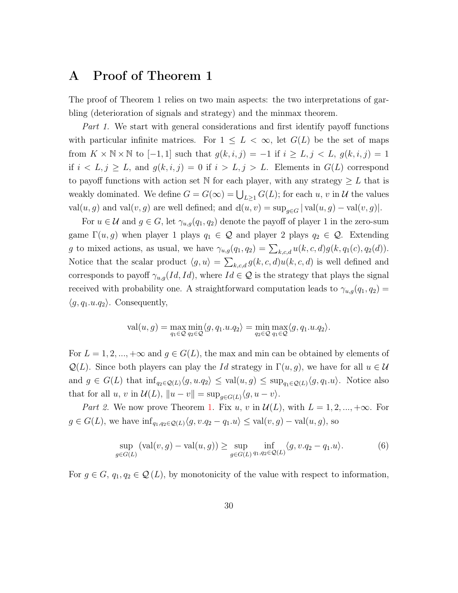## A Proof of Theorem 1

The proof of Theorem 1 relies on two main aspects: the two interpretations of garbling (deterioration of signals and strategy) and the minmax theorem.

Part 1. We start with general considerations and first identify payoff functions with particular infinite matrices. For  $1 \leq L < \infty$ , let  $G(L)$  be the set of maps from  $K \times \mathbb{N} \times \mathbb{N}$  to  $[-1, 1]$  such that  $g(k, i, j) = -1$  if  $i \geq L, j < L, g(k, i, j) = 1$ if  $i < L, j \ge L$ , and  $g(k, i, j) = 0$  if  $i > L, j > L$ . Elements in  $G(L)$  correspond to payoff functions with action set N for each player, with any strategy  $\geq L$  that is weakly dominated. We define  $G = G(\infty) = \bigcup_{L \geq 1} G(L)$ ; for each  $u, v$  in  $\mathcal U$  the values val $(u, g)$  and val $(v, g)$  are well defined; and  $d(u, v) = \sup_{g \in G} | \operatorname{val}(u, g) - \operatorname{val}(v, g) |$ .

For  $u \in \mathcal{U}$  and  $g \in G$ , let  $\gamma_{u,g}(q_1, q_2)$  denote the payoff of player 1 in the zero-sum game  $\Gamma(u, g)$  when player 1 plays  $q_1 \in \mathcal{Q}$  and player 2 plays  $q_2 \in \mathcal{Q}$ . Extending g to mixed actions, as usual, we have  $\gamma_{u,g}(q_1, q_2) = \sum_{k,c,d} u(k,c,d)g(k,q_1(c),q_2(d)).$ Notice that the scalar product  $\langle g, u \rangle = \sum_{k,c,d} g(k, c, d)u(k, c, d)$  is well defined and corresponds to payoff  $\gamma_{u,q}(Id, Id)$ , where  $Id \in \mathcal{Q}$  is the strategy that plays the signal received with probability one. A straightforward computation leads to  $\gamma_{u,g}(q_1, q_2)$  =  $\langle g, q_1.u.q_2\rangle$ . Consequently,

$$
\text{val}(u,g) = \max_{q_1 \in \mathcal{Q}} \min_{q_2 \in \mathcal{Q}} \langle g, q_1.u.q_2 \rangle = \min_{q_2 \in \mathcal{Q}} \max_{q_1 \in \mathcal{Q}} \langle g, q_1.u.q_2 \rangle.
$$

For  $L = 1, 2, ..., +\infty$  and  $g \in G(L)$ , the max and min can be obtained by elements of  $\mathcal{Q}(L)$ . Since both players can play the Id strategy in  $\Gamma(u, g)$ , we have for all  $u \in \mathcal{U}$ and  $g \in G(L)$  that  $\inf_{q_2 \in \mathcal{Q}(L)} \langle g, u, q_2 \rangle \leq \text{val}(u, g) \leq \sup_{q_1 \in \mathcal{Q}(L)} \langle g, q_1, u \rangle$ . Notice also that for all  $u, v$  in  $\mathcal{U}(L)$ ,  $||u - v|| = \sup_{g \in G(L)} \langle g, u - v \rangle$ .

Part 2. We now prove Theorem [1.](#page-9-0) Fix u, v in  $\mathcal{U}(L)$ , with  $L = 1, 2, ..., +\infty$ . For  $g \in G(L)$ , we have  $\inf_{q_1,q_2 \in \mathcal{Q}(L)} \langle g, v.q_2 - q_1.u \rangle \leq \text{val}(v,g) - \text{val}(u,g)$ , so

<span id="page-29-0"></span>
$$
\sup_{g \in G(L)} (\text{val}(v, g) - \text{val}(u, g)) \ge \sup_{g \in G(L)} \inf_{q_1, q_2 \in \mathcal{Q}(L)} \langle g, v. q_2 - q_1. u \rangle. \tag{6}
$$

For  $g \in G$ ,  $q_1, q_2 \in \mathcal{Q}(L)$ , by monotonicity of the value with respect to information,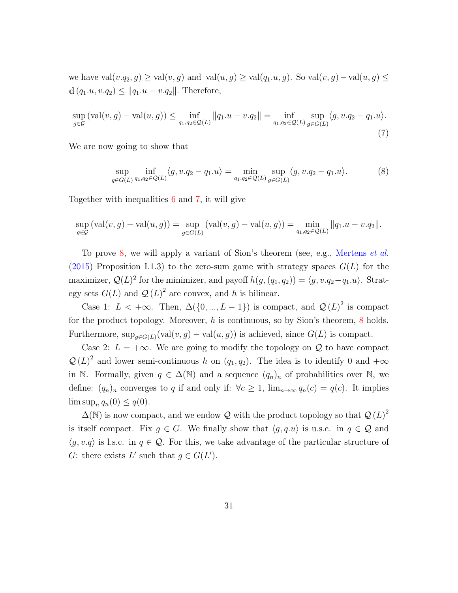we have val $(v.q_2,g) \geq val(v,g)$  and val $(u,g) \geq val(q_1.u,g)$ . So val $(v,g)$  – val $(u,g) \leq$ d  $(q_1.u, v.q_2) \leq ||q_1.u - v.q_2||$ . Therefore,

<span id="page-30-0"></span>
$$
\sup_{g \in \mathcal{G}} (\text{val}(v, g) - \text{val}(u, g)) \le \inf_{q_1, q_2 \in \mathcal{Q}(L)} ||q_1 \cdot u - v \cdot q_2|| = \inf_{q_1, q_2 \in \mathcal{Q}(L)} \sup_{g \in G(L)} \langle g, v \cdot q_2 - q_1 \cdot u \rangle.
$$
\n(7)

We are now going to show that

<span id="page-30-1"></span>
$$
\sup_{g \in G(L)} \inf_{q_1, q_2 \in \mathcal{Q}(L)} \langle g, v. q_2 - q_1. u \rangle = \min_{q_1, q_2 \in \mathcal{Q}(L)} \sup_{g \in G(L)} \langle g, v. q_2 - q_1. u \rangle. \tag{8}
$$

Together with inequalities [6](#page-29-0) and [7,](#page-30-0) it will give

$$
\sup_{g \in \mathcal{G}} (\text{val}(v, g) - \text{val}(u, g)) = \sup_{g \in G(L)} (\text{val}(v, g) - \text{val}(u, g)) = \min_{q_1, q_2 \in \mathcal{Q}(L)} ||q_1 \cdot u - v \cdot q_2||.
$$

To prove [8,](#page-30-1) we will apply a variant of Sion's theorem (see, e.g., [Mertens](#page-94-1) et al. [\(2015\)](#page-94-1) Proposition I.1.3) to the zero-sum game with strategy spaces  $G(L)$  for the maximizer,  $\mathcal{Q}(L)^2$  for the minimizer, and payoff  $h(g,(q_1,q_2)) = \langle g, v.q_2-q_1.u \rangle$ . Strategy sets  $G(L)$  and  $\mathcal{Q}(L)^2$  are convex, and h is bilinear.

Case 1:  $L < +\infty$ . Then,  $\Delta({0, ..., L - 1})$  is compact, and  $\mathcal{Q}(L)^2$  is compact for the product topology. Moreover,  $h$  is continuous, so by Sion's theorem,  $8$  holds. Furthermore,  $\sup_{g \in G(L)} (\text{val}(v, g) - \text{val}(u, g))$  is achieved, since  $G(L)$  is compact.

Case 2:  $L = +\infty$ . We are going to modify the topology on Q to have compact  $\mathcal{Q}(L)^2$  and lower semi-continuous h on  $(q_1, q_2)$ . The idea is to identify 0 and  $+\infty$ in N. Formally, given  $q \in \Delta(\mathbb{N})$  and a sequence  $(q_n)_n$  of probabilities over N, we define:  $(q_n)_n$  converges to q if and only if:  $\forall c \geq 1$ ,  $\lim_{n \to \infty} q_n(c) = q(c)$ . It implies  $\limsup_n q_n(0) \leq q(0)$ .

 $\Delta(N)$  is now compact, and we endow Q with the product topology so that  $\mathcal{Q}(L)^2$ is itself compact. Fix  $q \in G$ . We finally show that  $\langle q, q, u \rangle$  is u.s.c. in  $q \in \mathcal{Q}$  and  $\langle q, v, q \rangle$  is l.s.c. in  $q \in \mathcal{Q}$ . For this, we take advantage of the particular structure of G: there exists L' such that  $g \in G(L')$ .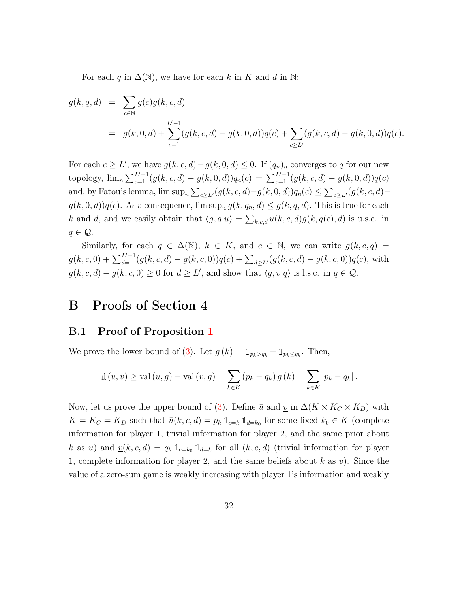For each q in  $\Delta(N)$ , we have for each k in K and d in N:

$$
g(k, q, d) = \sum_{c \in \mathbb{N}} g(c)g(k, c, d)
$$
  
=  $g(k, 0, d) + \sum_{c=1}^{L'-1} (g(k, c, d) - g(k, 0, d))q(c) + \sum_{c \ge L'} (g(k, c, d) - g(k, 0, d))q(c).$ 

For each  $c \geq L'$ , we have  $g(k, c, d) - g(k, 0, d) \leq 0$ . If  $(q_n)_n$  converges to q for our new topology,  $\lim_{n \to \infty} \sum_{c=1}^{L'-1} (g(k, c, d) - g(k, 0, d))q_n(c) = \sum_{c=1}^{L'-1} (g(k, c, d) - g(k, 0, d))q(c)$ and, by Fatou's lemma,  $\limsup_n \sum_{c \ge L'}(g(k, c, d) - g(k, 0, d))q_n(c) \le \sum_{c \ge L'}(g(k, c, d) - g(k, 0, d))$  $g(k, 0, d)$  $q(c)$ . As a consequence,  $\limsup_n g(k, q_n, d) \leq g(k, q, d)$ . This is true for each k and d, and we easily obtain that  $\langle g, q, u \rangle = \sum_{k,c,d} u(k,c,d)g(k,q(c), d)$  is u.s.c. in  $q \in \mathcal{Q}$ .

Similarly, for each  $q \in \Delta(\mathbb{N})$ ,  $k \in K$ , and  $c \in \mathbb{N}$ , we can write  $g(k, c, q) =$  $g(k, c, 0) + \sum_{d=1}^{L'-1} (g(k, c, d) - g(k, c, 0))q(c) + \sum_{d \ge L'} (g(k, c, d) - g(k, c, 0))q(c)$ , with  $g(k, c, d) - g(k, c, 0) \ge 0$  for  $d \ge L'$ , and show that  $\langle g, v, q \rangle$  is l.s.c. in  $q \in \mathcal{Q}$ .

## B Proofs of Section 4

### B.1 Proof of Proposition [1](#page-12-1)

We prove the lower bound of [\(3\)](#page-12-0). Let  $g(k) = \mathbb{1}_{p_k > q_k} - \mathbb{1}_{p_k \leq q_k}$ . Then,

$$
d(u, v) \ge \text{val}(u, g) - \text{val}(v, g) = \sum_{k \in K} (p_k - q_k) g(k) = \sum_{k \in K} |p_k - q_k|.
$$

Now, let us prove the upper bound of [\(3\)](#page-12-0). Define  $\bar{u}$  and  $\underline{v}$  in  $\Delta(K \times K_C \times K_D)$  with  $K = K_C = K_D$  such that  $\bar{u}(k, c, d) = p_k 1_{c=k} 1_{d=k_0}$  for some fixed  $k_0 \in K$  (complete information for player 1, trivial information for player 2, and the same prior about k as u) and  $\underline{v}(k, c, d) = q_k \mathbb{1}_{c=k_0} \mathbb{1}_{d=k}$  for all  $(k, c, d)$  (trivial information for player 1, complete information for player 2, and the same beliefs about  $k$  as  $v$ ). Since the value of a zero-sum game is weakly increasing with player 1's information and weakly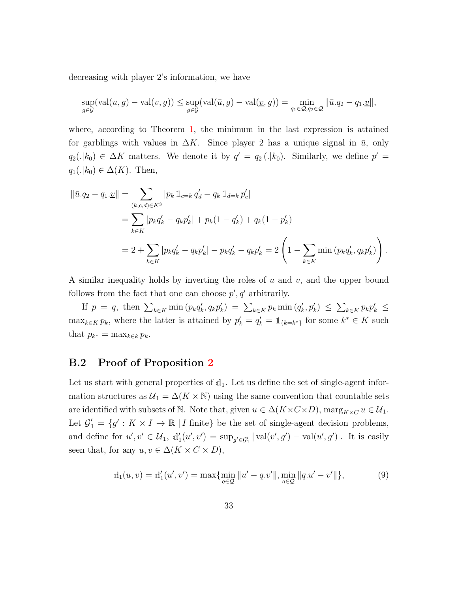decreasing with player 2's information, we have

$$
\sup_{g \in \mathcal{G}} (\text{val}(u, g) - \text{val}(v, g)) \le \sup_{g \in \mathcal{G}} (\text{val}(\bar{u}, g) - \text{val}(\underline{v}, g)) = \min_{q_1 \in \mathcal{Q}, q_2 \in \mathcal{Q}} ||\bar{u}.q_2 - q_1.\underline{v}||,
$$

where, according to Theorem [1,](#page-9-0) the minimum in the last expression is attained for garblings with values in  $\Delta K$ . Since player 2 has a unique signal in  $\bar{u}$ , only  $q_2(.|k_0) \in \Delta K$  matters. We denote it by  $q' = q_2(.|k_0)$ . Similarly, we define  $p' =$  $q_1(.|k_0) \in \Delta(K)$ . Then,

$$
\|\bar{u}.q_2 - q_1.\underline{v}\| = \sum_{(k,c,d)\in K^3} |p_k 1_{c=k} q'_d - q_k 1_{d=k} p'_c|
$$
  
= 
$$
\sum_{k\in K} |p_k q'_k - q_k p'_k| + p_k (1 - q'_k) + q_k (1 - p'_k)
$$
  
= 
$$
2 + \sum_{k\in K} |p_k q'_k - q_k p'_k| - p_k q'_k - q_k p'_k = 2\left(1 - \sum_{k\in K} \min (p_k q'_k, q_k p'_k)\right).
$$

A similar inequality holds by inverting the roles of  $u$  and  $v$ , and the upper bound follows from the fact that one can choose  $p', q'$  arbitrarily.

If  $p = q$ , then  $\sum_{k \in K} \min(p_k q'_k, q_k p'_k) = \sum_{k \in K} p_k \min(q'_k, p'_k) \le \sum_{k \in K} p_k p'_k$  $\max_{k \in K} p_k$ , where the latter is attained by  $p'_k = q'_k = \mathbb{1}_{\{k=k^*\}}$  for some  $k^* \in K$  such that  $p_{k^*} = \max_{k \in k} p_k$ .

### B.2 Proof of Proposition [2](#page-13-0)

Let us start with general properties of  $d_1$ . Let us define the set of single-agent information structures as  $\mathcal{U}_1 = \Delta(K \times \mathbb{N})$  using the same convention that countable sets are identified with subsets of N. Note that, given  $u \in \Delta(K \times C \times D)$ ,  $\max_{K \times C} u \in \mathcal{U}_1$ . Let  $\mathcal{G}'_1 = \{g' : K \times I \to \mathbb{R} \mid I \text{ finite}\}\$ be the set of single-agent decision problems, and define for  $u', v' \in \mathcal{U}_1$ ,  $d'_1(u', v') = \sup_{g' \in \mathcal{G}'_1} |\text{val}(v', g') - \text{val}(u', g')|$ . It is easily seen that, for any  $u, v \in \Delta(K \times C \times D)$ ,

<span id="page-32-0"></span>
$$
d_1(u, v) = d'_1(u', v') = \max\{\min_{q \in \mathcal{Q}} ||u' - q.v'||, \min_{q \in \mathcal{Q}} ||q.u' - v'||\},\tag{9}
$$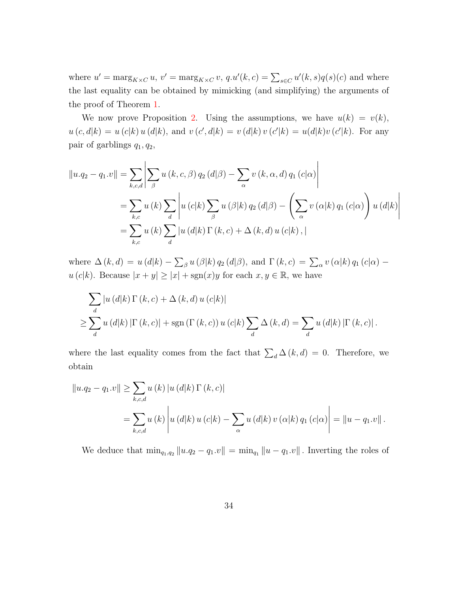where  $u' = \max_{K \times C} u$ ,  $v' = \max_{K \times C} v$ ,  $q.u'(k, c) = \sum_{s \in C} u'(k, s) q(s)(c)$  and where the last equality can be obtained by mimicking (and simplifying) the arguments of the proof of Theorem [1.](#page-9-0)

We now prove Proposition [2.](#page-13-0) Using the assumptions, we have  $u(k) = v(k)$ ,  $u(c, d|k) = u(c|k) u(d|k)$ , and  $v(c', d|k) = v(d|k) v(c'|k) = u(d|k) v(c'|k)$ . For any pair of garblings  $q_1, q_2$ ,

$$
||u.q_2 - q_1.v|| = \sum_{k,c,d} \left| \sum_{\beta} u(k,c,\beta) q_2(d|\beta) - \sum_{\alpha} v(k,\alpha,d) q_1(c|\alpha) \right|
$$
  
= 
$$
\sum_{k,c} u(k) \sum_{d} \left| u(c|k) \sum_{\beta} u(\beta|k) q_2(d|\beta) - \left( \sum_{\alpha} v(\alpha|k) q_1(c|\alpha) \right) u(d|k) \right|
$$
  
= 
$$
\sum_{k,c} u(k) \sum_{d} |u(d|k) \Gamma(k,c) + \Delta(k,d) u(c|k),
$$

where  $\Delta(k, d) = u(d|k) - \sum_{\beta} u(\beta|k) q_2(d|\beta)$ , and  $\Gamma(k, c) = \sum_{\alpha} v(\alpha|k) q_1(c|\alpha)$  $u(c|k)$ . Because  $|x + y| \ge |x| + \text{sgn}(x)y$  for each  $x, y \in \mathbb{R}$ , we have

$$
\sum_{d} |u(d|k) \Gamma(k, c) + \Delta(k, d) u(c|k)|
$$
  
\n
$$
\geq \sum_{d} u(d|k) |\Gamma(k, c)| + \operatorname{sgn}(\Gamma(k, c)) u(c|k) \sum_{d} \Delta(k, d) = \sum_{d} u(d|k) |\Gamma(k, c)|.
$$

where the last equality comes from the fact that  $\sum_{d} \Delta(k, d) = 0$ . Therefore, we obtain

$$
||u.q_2 - q_1.v|| \ge \sum_{k,c,d} u(k) |u(d|k) \Gamma(k,c)|
$$
  
= 
$$
\sum_{k,c,d} u(k) |u(d|k) u(c|k) - \sum_{\alpha} u(d|k) v(\alpha|k) q_1(c|\alpha) | = ||u - q_1.v||.
$$

We deduce that  $\min_{q_1,q_2} ||u.q_2 - q_1.v|| = \min_{q_1} ||u-q_1.v||$ . Inverting the roles of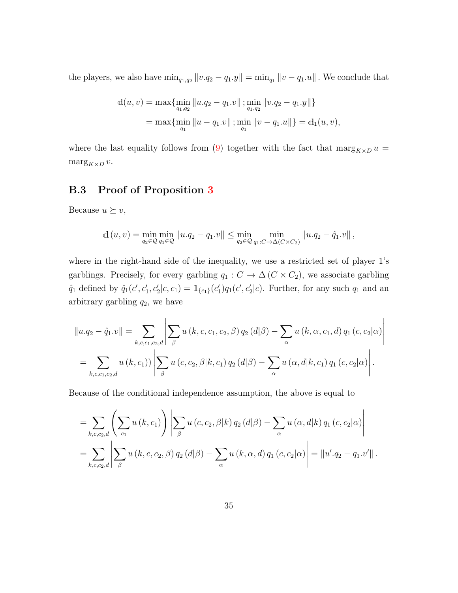the players, we also have  $\min_{q_1,q_2} ||v.q_2 - q_1.y|| = \min_{q_1} ||v-q_1.u||$ . We conclude that

$$
d(u, v) = \max\{\min_{q_1, q_2} ||u.q_2 - q_1.v||; \min_{q_1, q_2} ||v.q_2 - q_1.y||\}
$$
  
= 
$$
\max\{\min_{q_1} ||u - q_1.v||; \min_{q_1} ||v - q_1.u||\} = d_1(u, v),
$$

where the last equality follows from [\(9\)](#page-32-0) together with the fact that  $\max_{K\times D} u =$  $\max g_{K\times D} v$ .

## B.3 Proof of Proposition [3](#page-14-0)

Because  $u \succeq v$ ,

$$
d(u, v) = \min_{q_2 \in \mathcal{Q}} \min_{q_1 \in \mathcal{Q}} ||u.q_2 - q_1.v|| \le \min_{q_2 \in \mathcal{Q}} \min_{q_1:C \to \Delta(C \times C_2)} ||u.q_2 - \hat{q}_1.v||,
$$

where in the right-hand side of the inequality, we use a restricted set of player 1's garblings. Precisely, for every garbling  $q_1 : C \to \Delta(C \times C_2)$ , we associate garbling  $\hat{q}_1$  defined by  $\hat{q}_1(c', c'_1, c'_2|c, c_1) = \mathbb{1}_{\{c_1\}}(c'_1)q_1(c', c'_2|c)$ . Further, for any such  $q_1$  and an arbitrary garbling  $q_2$ , we have

$$
||u.q_2 - \hat{q}_1.v|| = \sum_{k,c,c_1,c_2,d} \left| \sum_{\beta} u(k,c,c_1,c_2,\beta) q_2(d|\beta) - \sum_{\alpha} u(k,\alpha,c_1,d) q_1(c,c_2|\alpha) \right|
$$
  
= 
$$
\sum_{k,c,c_1,c_2,d} u(k,c_1) \left| \sum_{\beta} u(c,c_2,\beta|k,c_1) q_2(d|\beta) - \sum_{\alpha} u(\alpha,d|k,c_1) q_1(c,c_2|\alpha) \right|.
$$

Because of the conditional independence assumption, the above is equal to

$$
= \sum_{k,c,c_2,d} \left( \sum_{c_1} u(k,c_1) \right) \left| \sum_{\beta} u(c,c_2,\beta|k) q_2(d|\beta) - \sum_{\alpha} u(\alpha,d|k) q_1(c,c_2|\alpha) \right|
$$
  
= 
$$
\sum_{k,c,c_2,d} \left| \sum_{\beta} u(k,c,c_2,\beta) q_2(d|\beta) - \sum_{\alpha} u(k,\alpha,d) q_1(c,c_2|\alpha) \right| = ||u'.q_2 - q_1.v'||.
$$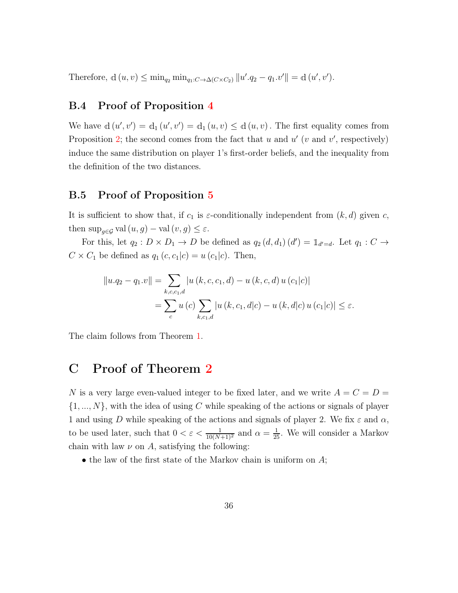Therefore,  $d(u, v) \le \min_{q_2} \min_{q_1 : C \to \Delta(C \times C_2)} ||u' \cdot q_2 - q_1 \cdot v'|| = d(u', v').$ 

## B.4 Proof of Proposition [4](#page-15-3)

We have  $d(u', v') = d_1(u', v') = d_1(u, v) \le d(u, v)$ . The first equality comes from Proposition [2;](#page-14-1) the second comes from the fact that u and  $u'$  (v and v', respectively) induce the same distribution on player 1's first-order beliefs, and the inequality from the definition of the two distances.

### B.5 Proof of Proposition [5](#page-15-1)

It is sufficient to show that, if  $c_1$  is  $\varepsilon$ -conditionally independent from  $(k, d)$  given c, then  $\sup_{q\in\mathcal{G}} \text{val}(u, g) - \text{val}(v, g) \leq \varepsilon$ .

For this, let  $q_2: D \times D_1 \to D$  be defined as  $q_2(d, d_1)(d') = \mathbb{1}_{d'=d}$ . Let  $q_1: C \to$  $C \times C_1$  be defined as  $q_1(c, c_1|c) = u(c_1|c)$ . Then,

$$
||u.q_2 - q_1.v|| = \sum_{k,c,c_1,d} |u(k,c,c_1,d) - u(k,c,d) u(c_1|c)|
$$
  
= 
$$
\sum_{c} u(c) \sum_{k,c_1,d} |u(k,c_1,d|c) - u(k,d|c) u(c_1|c)| \le \varepsilon.
$$

The claim follows from Theorem [1.](#page-9-0)

## C Proof of Theorem [2](#page-16-0)

N is a very large even-valued integer to be fixed later, and we write  $A = C = D =$  $\{1, ..., N\}$ , with the idea of using C while speaking of the actions or signals of player 1 and using D while speaking of the actions and signals of player 2. We fix  $\varepsilon$  and  $\alpha$ , to be used later, such that  $0 < \varepsilon < \frac{1}{10(N+1)^2}$  and  $\alpha = \frac{1}{25}$ . We will consider a Markov chain with law  $\nu$  on A, satisfying the following:

• the law of the first state of the Markov chain is uniform on  $A$ ;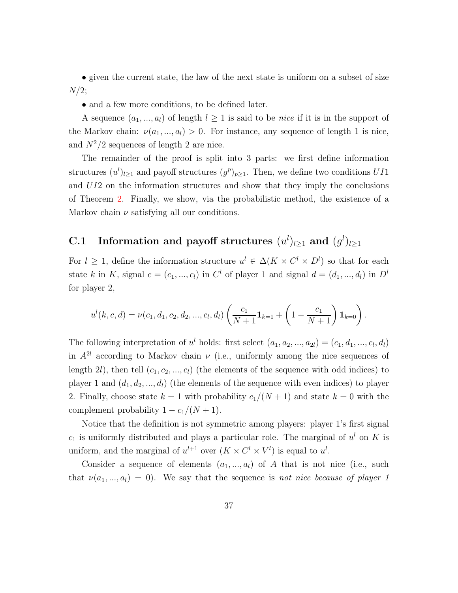• given the current state, the law of the next state is uniform on a subset of size  $N/2;$ 

• and a few more conditions, to be defined later.

A sequence  $(a_1, ..., a_l)$  of length  $l \geq 1$  is said to be *nice* if it is in the support of the Markov chain:  $\nu(a_1, ..., a_l) > 0$ . For instance, any sequence of length 1 is nice, and  $N^2/2$  sequences of length 2 are nice.

The remainder of the proof is split into 3 parts: we first define information structures  $(u^l)_{l\geq 1}$  and payoff structures  $(g^p)_{p\geq 1}$ . Then, we define two conditions UI1 and UI2 on the information structures and show that they imply the conclusions of Theorem [2.](#page-16-0) Finally, we show, via the probabilistic method, the existence of a Markov chain  $\nu$  satisfying all our conditions.

## C.1 Information and payoff structures  $(u^l)_{l\geq 1}$  and  $(g^l)_{l\geq 1}$

For  $l \geq 1$ , define the information structure  $u^l \in \Delta(K \times C^l \times D^l)$  so that for each state k in K, signal  $c = (c_1, ..., c_l)$  in  $C^l$  of player 1 and signal  $d = (d_1, ..., d_l)$  in  $D^l$ for player 2,

$$
u^{l}(k, c, d) = \nu(c_1, d_1, c_2, d_2, ..., c_l, d_l) \left(\frac{c_1}{N+1} \mathbf{1}_{k=1} + \left(1 - \frac{c_1}{N+1}\right) \mathbf{1}_{k=0}\right).
$$

The following interpretation of  $u^l$  holds: first select  $(a_1, a_2, ..., a_{2l}) = (c_1, d_1, ..., c_l, d_l)$ in  $A^{2l}$  according to Markov chain  $\nu$  (i.e., uniformly among the nice sequences of length 2l), then tell  $(c_1, c_2, ..., c_l)$  (the elements of the sequence with odd indices) to player 1 and  $(d_1, d_2, ..., d_l)$  (the elements of the sequence with even indices) to player 2. Finally, choose state  $k = 1$  with probability  $c_1/(N+1)$  and state  $k = 0$  with the complement probability  $1 - c_1/(N + 1)$ .

Notice that the definition is not symmetric among players: player 1's first signal  $c_1$  is uniformly distributed and plays a particular role. The marginal of  $u^l$  on K is uniform, and the marginal of  $u^{l+1}$  over  $(K \times C^l \times V^l)$  is equal to  $u^l$ .

Consider a sequence of elements  $(a_1, ..., a_l)$  of A that is not nice (i.e., such that  $\nu(a_1, ..., a_l) = 0$ . We say that the sequence is not nice because of player 1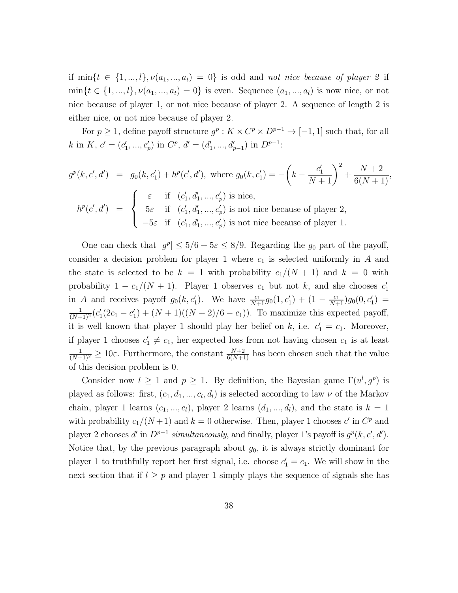if  $\min\{t \in \{1, ..., l\}, \nu(a_1, ..., a_t) = 0\}$  is odd and not nice because of player 2 if  $\min\{t \in \{1, ..., l\}, \nu(a_1, ..., a_t) = 0\}$  is even. Sequence  $(a_1, ..., a_l)$  is now nice, or not nice because of player 1, or not nice because of player 2. A sequence of length 2 is either nice, or not nice because of player 2.

For  $p \geq 1$ , define payoff structure  $g^p : K \times C^p \times D^{p-1} \to [-1,1]$  such that, for all k in K,  $c' = (c'_1, ..., c'_p)$  in  $C^p$ ,  $d' = (d'_1, ..., d'_{p-1})$  in  $D^{p-1}$ :

$$
g^{p}(k, c', d') = g_{0}(k, c'_{1}) + h^{p}(c', d'), \text{ where } g_{0}(k, c'_{1}) = -\left(k - \frac{c'_{1}}{N+1}\right)^{2} + \frac{N+2}{6(N+1)},
$$
  

$$
h^{p}(c', d') = \begin{cases} \varepsilon & \text{if } (c'_{1}, d'_{1}, \dots, c'_{p}) \text{ is nice,} \\ 5\varepsilon & \text{if } (c'_{1}, d'_{1}, \dots, c'_{p}) \text{ is not nice because of player 2,} \\ -5\varepsilon & \text{if } (c'_{1}, d'_{1}, \dots, c'_{p}) \text{ is not nice because of player 1.} \end{cases}
$$

One can check that  $|g^p| \le 5/6 + 5\varepsilon \le 8/9$ . Regarding the  $g_0$  part of the payoff, consider a decision problem for player 1 where  $c_1$  is selected uniformly in A and the state is selected to be  $k = 1$  with probability  $c_1/(N + 1)$  and  $k = 0$  with probability  $1 - c_1/(N + 1)$ . Player 1 observes  $c_1$  but not k, and she chooses  $c'_1$ in A and receives payoff  $g_0(k, c'_1)$ . We have  $\frac{c_1}{N+1} g_0(1, c'_1) + (1 - \frac{c_1}{N+1}) g_0(0, c'_1) =$  $\frac{1}{(N+1)^2} (c_1^{\prime}(2c_1-c_1^{\prime}) + (N+1)((N+2)/6-c_1)).$  To maximize this expected payoff, it is well known that player 1 should play her belief on k, i.e.  $c'_1 = c_1$ . Moreover, if player 1 chooses  $c'_1 \neq c_1$ , her expected loss from not having chosen  $c_1$  is at least  $\frac{1}{(N+1)^2} \geq 10\varepsilon$ . Furthermore, the constant  $\frac{N+2}{6(N+1)}$  has been chosen such that the value of this decision problem is 0.

Consider now  $l \geq 1$  and  $p \geq 1$ . By definition, the Bayesian game  $\Gamma(u^l, g^p)$  is played as follows: first,  $(c_1, d_1, ..., c_l, d_l)$  is selected according to law  $\nu$  of the Markov chain, player 1 learns  $(c_1, ..., c_l)$ , player 2 learns  $(d_1, ..., d_l)$ , and the state is  $k = 1$ with probability  $c_1/(N+1)$  and  $k=0$  otherwise. Then, player 1 chooses c' in  $C^p$  and player 2 chooses d' in  $D^{p-1}$  simultaneously, and finally, player 1's payoff is  $g^p(k, c', d')$ . Notice that, by the previous paragraph about  $g_0$ , it is always strictly dominant for player 1 to truthfully report her first signal, i.e. choose  $c'_1 = c_1$ . We will show in the next section that if  $l \geq p$  and player 1 simply plays the sequence of signals she has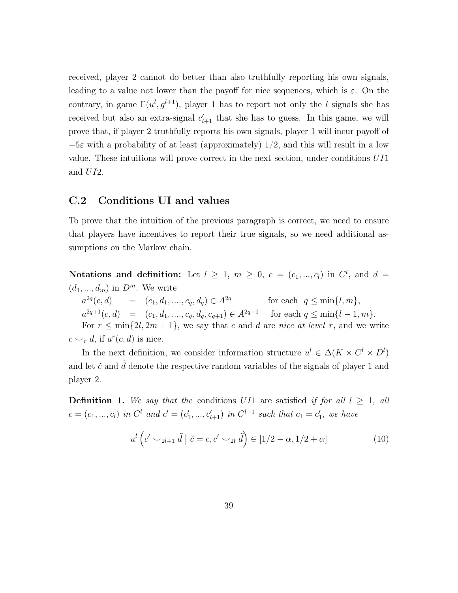received, player 2 cannot do better than also truthfully reporting his own signals, leading to a value not lower than the payoff for nice sequences, which is  $\varepsilon$ . On the contrary, in game  $\Gamma(u^l, g^{l+1})$ , player 1 has to report not only the l signals she has received but also an extra-signal  $c'_{l+1}$  that she has to guess. In this game, we will prove that, if player 2 truthfully reports his own signals, player 1 will incur payoff of  $-5\varepsilon$  with a probability of at least (approximately) 1/2, and this will result in a low value. These intuitions will prove correct in the next section, under conditions UI1 and UI2.

#### C.2 Conditions UI and values

To prove that the intuition of the previous paragraph is correct, we need to ensure that players have incentives to report their true signals, so we need additional assumptions on the Markov chain.

Notations and definition: Let  $l \geq 1$ ,  $m \geq 0$ ,  $c = (c_1, ..., c_l)$  in  $C^l$ , and  $d =$  $(d_1, ..., d_m)$  in  $D^m$ . We write  $a^{2q}$  $= (c_1, d_1, \ldots, c_q, d_q) \in A^{2q}$ for each  $q \leq \min\{l, m\},\$  $a^{2q+1}(c, d) = (c_1, d_1, \ldots, c_q, d_q, c_{q+1}) \in A^{2q+1}$  for each  $q \leq \min\{l-1, m\}.$ For  $r \leq \min\{2l, 2m+1\}$ , we say that c and d are nice at level r, and we write  $c \smile_r d$ , if  $a^r(c, d)$  is nice.

In the next definition, we consider information structure  $u^l \in \Delta(K \times C^l \times D^l)$ and let  $\tilde{c}$  and  $d$  denote the respective random variables of the signals of player 1 and player 2.

**Definition 1.** We say that the conditions UI1 are satisfied if for all  $l \geq 1$ , all  $c = (c_1, ..., c_l)$  in  $C^l$  and  $c' = (c'_1, ..., c'_{l+1})$  in  $C^{l+1}$  such that  $c_1 = c'_1$ , we have

<span id="page-38-0"></span>
$$
u^{l}\left(c'\smile_{2l+1}\tilde{d}\mid \tilde{c}=c,c'\smile_{2l}\tilde{d}\right)\in[1/2-\alpha,1/2+\alpha]
$$
\n
$$
(10)
$$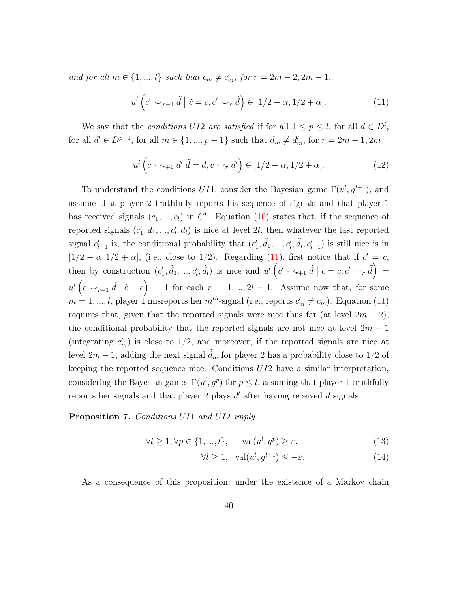and for all  $m \in \{1, ..., l\}$  such that  $c_m \neq c'_m$ , for  $r = 2m - 2, 2m - 1$ ,

<span id="page-39-0"></span>
$$
u^{l}\left(c^{l}\smile_{r+1}\tilde{d}\mid \tilde{c}=c,c^{l}\smile_{r}\tilde{d}\right)\in[1/2-\alpha,1/2+\alpha].\tag{11}
$$

We say that the *conditions UI2* are satisfied if for all  $1 \leq p \leq l$ , for all  $d \in D^l$ , for all  $d' \in D^{p-1}$ , for all  $m \in \{1, ..., p-1\}$  such that  $d_m \neq d'_m$ , for  $r = 2m - 1, 2m$ 

<span id="page-39-3"></span>
$$
u^{l}\left(\tilde{c} \smile_{r+1} d'|\tilde{d}=d, \tilde{c} \smile_{r} d'\right) \in [1/2-\alpha, 1/2+\alpha]. \tag{12}
$$

To understand the conditions UI1, consider the Bayesian game  $\Gamma(u^l, g^{l+1})$ , and assume that player 2 truthfully reports his sequence of signals and that player 1 has received signals  $(c_1, ..., c_l)$  in  $C^l$ . Equation [\(10\)](#page-38-0) states that, if the sequence of reported signals  $(c'_1, \tilde{d}_1, ..., c'_l, \tilde{d}_l)$  is nice at level 2l, then whatever the last reported signal  $c'_{l+1}$  is, the conditional probability that  $(c'_1, \tilde{d}_1, ..., c'_l, \tilde{d}_l, c'_{l+1})$  is still nice is in  $[1/2 - \alpha, 1/2 + \alpha]$ , (i.e., close to 1/2). Regarding [\(11\)](#page-39-0), first notice that if  $c' = c$ , then by construction  $(c'_1, \tilde{d}_1, ..., c'_l, \tilde{d}_l)$  is nice and  $u^l (c' \smile_{r+1} \tilde{d} | \tilde{c} = c, c' \smile_r \tilde{d}) =$  $u^{l}(c \smile_{r+1} \tilde{d} \mid \tilde{c} = c) = 1$  for each  $r = 1, ..., 2l - 1$ . Assume now that, for some  $m = 1, ..., l$ , player 1 misreports her  $m<sup>th</sup>$ -signal (i.e., reports  $c'_{m} \neq c_{m}$ ). Equation [\(11\)](#page-39-0) requires that, given that the reported signals were nice thus far (at level  $2m - 2$ ), the conditional probability that the reported signals are not nice at level  $2m - 1$ (integrating  $c'_m$ ) is close to 1/2, and moreover, if the reported signals are nice at level 2m − 1, adding the next signal  $\tilde{d}_m$  for player 2 has a probability close to 1/2 of keeping the reported sequence nice. Conditions  $UI2$  have a similar interpretation, considering the Bayesian games  $\Gamma(u^l, g^p)$  for  $p \leq l$ , assuming that player 1 truthfully reports her signals and that player 2 plays  $d'$  after having received  $d$  signals.

#### <span id="page-39-1"></span>Proposition 7. Conditions UI1 and UI2 imply

<span id="page-39-2"></span>
$$
\forall l \ge 1, \forall p \in \{1, ..., l\}, \quad \text{val}(u^l, g^p) \ge \varepsilon. \tag{13}
$$

$$
\forall l \ge 1, \quad \text{val}(u^l, g^{l+1}) \le -\varepsilon. \tag{14}
$$

As a consequence of this proposition, under the existence of a Markov chain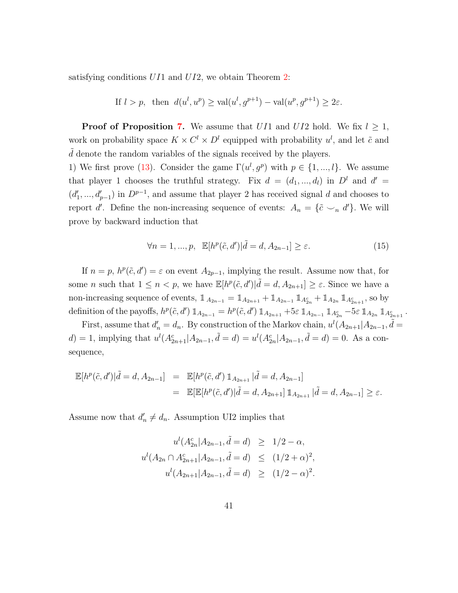satisfying conditions  $U_{11}$  and  $U_{12}$ , we obtain Theorem [2:](#page-16-0)

If 
$$
l > p
$$
, then  $d(u^l, u^p) \ge \text{val}(u^l, g^{p+1}) - \text{val}(u^p, g^{p+1}) \ge 2\varepsilon$ .

**Proof of Proposition [7.](#page-39-1)** We assume that  $U11$  and  $U12$  hold. We fix  $l \geq 1$ , work on probability space  $K \times C^l \times D^l$  equipped with probability  $u^l$ , and let  $\tilde{c}$  and  $\ddot{d}$  denote the random variables of the signals received by the players.

1) We first prove [\(13\)](#page-39-2). Consider the game  $\Gamma(u^l, g^p)$  with  $p \in \{1, ..., l\}$ . We assume that player 1 chooses the truthful strategy. Fix  $d = (d_1, ..., d_l)$  in  $D^l$  and  $d' =$  $(d'_1, ..., d'_{p-1})$  in  $D^{p-1}$ , and assume that player 2 has received signal d and chooses to report d'. Define the non-increasing sequence of events:  $A_n = \{\tilde{c} \cup_n d'\}$ . We will prove by backward induction that

<span id="page-40-0"></span>
$$
\forall n = 1, ..., p, \mathbb{E}[h^p(\tilde{c}, d') | \tilde{d} = d, A_{2n-1}] \ge \varepsilon.
$$
 (15)

If  $n = p$ ,  $h^p(\tilde{c}, d') = \varepsilon$  on event  $A_{2p-1}$ , implying the result. Assume now that, for some *n* such that  $1 \leq n < p$ , we have  $\mathbb{E}[h^p(\tilde{c}, d') | \tilde{d} = d, A_{2n+1}] \geq \varepsilon$ . Since we have a non-increasing sequence of events,  $\mathbb{1}_{A_{2n-1}} = \mathbb{1}_{A_{2n+1}} + \mathbb{1}_{A_{2n-1}} \mathbb{1}_{A_{2n}^c} + \mathbb{1}_{A_{2n}} \mathbb{1}_{A_{2n+1}^c}$ , so by definition of the payoffs,  $h^p(\tilde{c}, d') \mathbb{1}_{A_{2n-1}} = h^p(\tilde{c}, d') \mathbb{1}_{A_{2n+1}} + 5\varepsilon \mathbb{1}_{A_{2n-1}} \mathbb{1}_{A_{2n}^c} - 5\varepsilon \mathbb{1}_{A_{2n}} \mathbb{1}_{A_{2n+1}^c}$ .

First, assume that  $d'_n = d_n$ . By construction of the Markov chain,  $u^l(A_{2n+1}|A_{2n-1}, \tilde{d}) =$ d) = 1, implying that  $u^{l}(A_{2n+1}^c | A_{2n-1}, \tilde{d} = d) = u^{l}(A_{2n}^c | A_{2n-1}, \tilde{d} = d) = 0$ . As a consequence,

$$
\mathbb{E}[h^p(\tilde{c}, d')|\tilde{d} = d, A_{2n-1}] = \mathbb{E}[h^p(\tilde{c}, d') \mathbb{1}_{A_{2n+1}}|\tilde{d} = d, A_{2n-1}]
$$
  
=  $\mathbb{E}[\mathbb{E}[h^p(\tilde{c}, d')|\tilde{d} = d, A_{2n+1}] \mathbb{1}_{A_{2n+1}}|\tilde{d} = d, A_{2n-1}] \ge \varepsilon.$ 

Assume now that  $d'_n \neq d_n$ . Assumption UI2 implies that

$$
u^{l}(A_{2n}^{c}|A_{2n-1}, \tilde{d} = d) \geq 1/2 - \alpha,
$$
  

$$
u^{l}(A_{2n} \cap A_{2n+1}^{c}|A_{2n-1}, \tilde{d} = d) \leq (1/2 + \alpha)^{2},
$$
  

$$
u^{l}(A_{2n+1}|A_{2n-1}, \tilde{d} = d) \geq (1/2 - \alpha)^{2}.
$$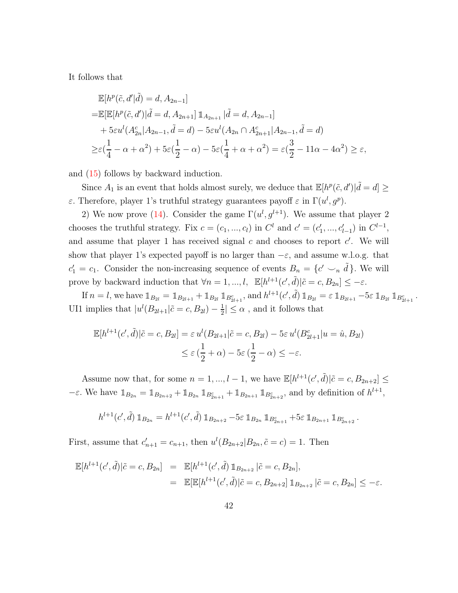It follows that

$$
\mathbb{E}[h^{p}(\tilde{c}, d'|\tilde{d}) = d, A_{2n-1}]
$$
  
\n
$$
= \mathbb{E}[\mathbb{E}[h^{p}(\tilde{c}, d')|\tilde{d} = d, A_{2n+1}] \mathbb{1}_{A_{2n+1}} |\tilde{d} = d, A_{2n-1}]
$$
  
\n
$$
+ 5\varepsilon u^{l}(A_{2n}^{c}|A_{2n-1}, \tilde{d} = d) - 5\varepsilon u^{l}(A_{2n} \cap A_{2n+1}^{c}|A_{2n-1}, \tilde{d} = d)
$$
  
\n
$$
\geq \varepsilon(\frac{1}{4} - \alpha + \alpha^{2}) + 5\varepsilon(\frac{1}{2} - \alpha) - 5\varepsilon(\frac{1}{4} + \alpha + \alpha^{2}) = \varepsilon(\frac{3}{2} - 11\alpha - 4\alpha^{2}) \geq \varepsilon,
$$

and [\(15\)](#page-40-0) follows by backward induction.

Since  $A_1$  is an event that holds almost surely, we deduce that  $\mathbb{E}[h^p(\tilde{c}, d')|\tilde{d} = d] \geq$ ε. Therefore, player 1's truthful strategy guarantees payoff ε in  $\Gamma(u^l, g^p)$ .

2) We now prove [\(14\)](#page-39-2). Consider the game  $\Gamma(u^l, g^{l+1})$ . We assume that player 2 chooses the truthful strategy. Fix  $c = (c_1, ..., c_l)$  in  $C^l$  and  $c' = (c'_1, ..., c'_{l-1})$  in  $C^{l-1}$ , and assume that player 1 has received signal  $c$  and chooses to report  $c'$ . We will show that player 1's expected payoff is no larger than  $-\varepsilon$ , and assume w.l.o.g. that  $c'_1 = c_1$ . Consider the non-increasing sequence of events  $B_n = \{c' \smile_n \tilde{d}\}\.$  We will prove by backward induction that  $\forall n = 1, ..., l$ ,  $\mathbb{E}[h^{l+1}(c', \tilde{d}) | \tilde{c} = c, B_{2n}] \leq -\varepsilon$ .

If  $n = l$ , we have  $\mathbb{1}_{B_{2l}} = \mathbb{1}_{B_{2l+1}} + \mathbb{1}_{B_{2l}} \mathbb{1}_{B_{2l+1}^c}$ , and  $h^{l+1}(c', \tilde{d}) \mathbb{1}_{B_{2l}} = \varepsilon \mathbb{1}_{B_{2l+1}} - 5\varepsilon \mathbb{1}_{B_{2l}} \mathbb{1}_{B_{2l+1}^c}$ . UI1 implies that  $|u^{l}(B_{2l+1}|\tilde{c}=c, B_{2l})-\frac{1}{2}$  $\frac{1}{2} \leq \alpha$ , and it follows that

$$
\mathbb{E}[h^{l+1}(c',\tilde{d})|\tilde{c}=c,B_{2l}]=\varepsilon u^l(B_{2l+1}|\tilde{c}=c,B_{2l})-5\varepsilon u^l(B_{2l+1}^c|u=\hat{u},B_{2l})
$$
  

$$
\leq \varepsilon\left(\frac{1}{2}+\alpha\right)-5\varepsilon\left(\frac{1}{2}-\alpha\right)\leq -\varepsilon.
$$

Assume now that, for some  $n = 1, ..., l - 1$ , we have  $\mathbb{E}[h^{l+1}(c', \tilde{d}) | \tilde{c} = c, B_{2n+2}] \leq$  $-\varepsilon$ . We have  $\mathbb{1}_{B_{2n}} = \mathbb{1}_{B_{2n+2}} + \mathbb{1}_{B_{2n}} \mathbb{1}_{B_{2n+1}^c} + \mathbb{1}_{B_{2n+1}} \mathbb{1}_{B_{2n+2}^c}$ , and by definition of  $h^{l+1}$ ,

$$
h^{l+1}(c',\tilde{d}) 1\!\!1_{B_{2n}} = h^{l+1}(c',\tilde{d}) 1\!\!1_{B_{2n+2}} - 5\varepsilon 1\!\!1_{B_{2n}} 1\!\!1_{B_{2n+1}^c} + 5\varepsilon 1\!\!1_{B_{2n+1}} 1\!\!1_{B_{2n+2}^c}.
$$

First, assume that  $c'_{n+1} = c_{n+1}$ , then  $u^{l}(B_{2n+2}|B_{2n}, \tilde{c} = c) = 1$ . Then

$$
\mathbb{E}[h^{l+1}(c',\tilde{d})|\tilde{c}=c,B_{2n}] = \mathbb{E}[h^{l+1}(c',\tilde{d})\mathbb{1}_{B_{2n+2}}|\tilde{c}=c,B_{2n}],
$$
  
=  $\mathbb{E}[\mathbb{E}[h^{l+1}(c',\tilde{d})|\tilde{c}=c,B_{2n+2}]\mathbb{1}_{B_{2n+2}}|\tilde{c}=c,B_{2n}] \leq -\varepsilon.$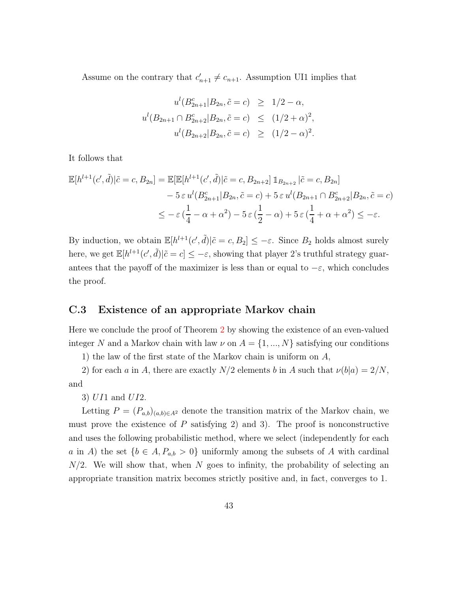Assume on the contrary that  $c'_{n+1} \neq c_{n+1}$ . Assumption UI1 implies that

$$
u^{l}(B_{2n+1}^{c}|B_{2n}, \tilde{c} = c) \ge 1/2 - \alpha,
$$
  

$$
u^{l}(B_{2n+1} \cap B_{2n+2}^{c}|B_{2n}, \tilde{c} = c) \le (1/2 + \alpha)^{2},
$$
  

$$
u^{l}(B_{2n+2}|B_{2n}, \tilde{c} = c) \ge (1/2 - \alpha)^{2}.
$$

It follows that

$$
\mathbb{E}[h^{l+1}(c',\tilde{d})|\tilde{c}=c,B_{2n}] = \mathbb{E}[\mathbb{E}[h^{l+1}(c',\tilde{d})|\tilde{c}=c,B_{2n+2}]\mathbb{1}_{B_{2n+2}}|\tilde{c}=c,B_{2n}]
$$
  

$$
-5\,\varepsilon\,u^l(B_{2n+1}^c|B_{2n},\tilde{c}=c) + 5\,\varepsilon\,u^l(B_{2n+1}\cap B_{2n+2}^c|B_{2n},\tilde{c}=c)
$$
  

$$
\leq -\,\varepsilon\,\left(\frac{1}{4}-\alpha+\alpha^2\right) - 5\,\varepsilon\,\left(\frac{1}{2}-\alpha\right) + 5\,\varepsilon\,\left(\frac{1}{4}+\alpha+\alpha^2\right) \leq -\varepsilon.
$$

By induction, we obtain  $\mathbb{E}[h^{l+1}(c',\tilde{d})|\tilde{c}=c,B_2] \leq -\varepsilon$ . Since  $B_2$  holds almost surely here, we get  $\mathbb{E}[h^{l+1}(c',\tilde{d})|\tilde{c}=c] \leq -\varepsilon$ , showing that player 2's truthful strategy guarantees that the payoff of the maximizer is less than or equal to  $-\varepsilon$ , which concludes the proof.

#### <span id="page-42-0"></span>C.3 Existence of an appropriate Markov chain

Here we conclude the proof of Theorem [2](#page-16-0) by showing the existence of an even-valued integer N and a Markov chain with law  $\nu$  on  $A = \{1, ..., N\}$  satisfying our conditions

1) the law of the first state of the Markov chain is uniform on A,

2) for each a in A, there are exactly  $N/2$  elements b in A such that  $\nu(b|a) = 2/N$ , and

3) UI1 and UI2.

Letting  $P = (P_{a,b})_{(a,b)\in A^2}$  denote the transition matrix of the Markov chain, we must prove the existence of  $P$  satisfying 2) and 3). The proof is nonconstructive and uses the following probabilistic method, where we select (independently for each a in A) the set  ${b \in A, P_{a,b} > 0}$  uniformly among the subsets of A with cardinal  $N/2$ . We will show that, when N goes to infinity, the probability of selecting an appropriate transition matrix becomes strictly positive and, in fact, converges to 1.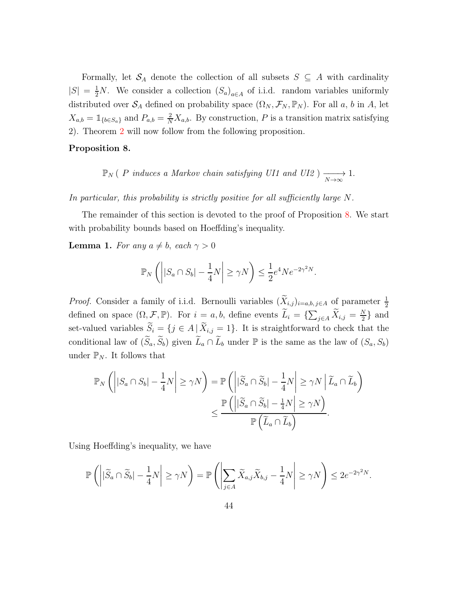Formally, let  $\mathcal{S}_A$  denote the collection of all subsets  $S \subseteq A$  with cardinality  $|S| = \frac{1}{2}N$ . We consider a collection  $(S_a)_{a \in A}$  of i.i.d. random variables uniformly distributed over  $S_A$  defined on probability space  $(\Omega_N, \mathcal{F}_N, \mathbb{P}_N)$ . For all a, b in A, let  $X_{a,b} = \mathbb{1}_{\{b \in S_a\}}$  and  $P_{a,b} = \frac{2}{N} X_{a,b}$ . By construction, P is a transition matrix satisfying 2). Theorem [2](#page-16-0) will now follow from the following proposition.

#### <span id="page-43-0"></span>Proposition 8.

 $\mathbb{P}_N$  ( P induces a Markov chain satisfying UI1 and UI2 )  $\longrightarrow_{N\to\infty}$  1.

In particular, this probability is strictly positive for all sufficiently large N.

The remainder of this section is devoted to the proof of Proposition [8.](#page-43-0) We start with probability bounds based on Hoeffding's inequality.

<span id="page-43-1"></span>**Lemma 1.** For any  $a \neq b$ , each  $\gamma > 0$ 

$$
\mathbb{P}_N\left(\left||S_a \cap S_b| - \frac{1}{4}N\right| \ge \gamma N\right) \le \frac{1}{2}e^4 N e^{-2\gamma^2 N}.
$$

*Proof.* Consider a family of i.i.d. Bernoulli variables  $(X_{i,j})_{i=a,b,j\in A}$  of parameter  $\frac{1}{2}$ defined on space  $(\Omega, \mathcal{F}, \mathbb{P})$ . For  $i = a, b$ , define events  $\widetilde{L}_i = \{\sum_{j \in A} \widetilde{X}_{i,j} = \frac{N}{2}$  $\frac{N}{2}$  and set-valued variables  $\widetilde{S}_i = \{j \in A \mid \widetilde{X}_{i,j} = 1\}$ . It is straightforward to check that the conditional law of  $(\widetilde{S}_a, \widetilde{S}_b)$  given  $\widetilde{L}_a \cap \widetilde{L}_b$  under  $\mathbb P$  is the same as the law of  $(S_a, S_b)$ under  $\mathbb{P}_N$ . It follows that

$$
\mathbb{P}_N\left(\left||S_a \cap S_b| - \frac{1}{4}N\right| \ge \gamma N\right) = \mathbb{P}\left(\left||\widetilde{S}_a \cap \widetilde{S}_b| - \frac{1}{4}N\right| \ge \gamma N \mid \widetilde{L}_a \cap \widetilde{L}_b\right)
$$

$$
\le \frac{\mathbb{P}\left(\left||\widetilde{S}_a \cap \widetilde{S}_b| - \frac{1}{4}N\right| \ge \gamma N\right)}{\mathbb{P}\left(\widetilde{L}_a \cap \widetilde{L}_b\right)}.
$$

Using Hoeffding's inequality, we have

$$
\mathbb{P}\left(\left||\widetilde{S}_a \cap \widetilde{S}_b| - \frac{1}{4}N\right| \geq \gamma N\right) = \mathbb{P}\left(\left|\sum_{j \in A}\widetilde{X}_{a,j}\widetilde{X}_{b,j} - \frac{1}{4}N\right| \geq \gamma N\right) \leq 2e^{-2\gamma^2 N}.
$$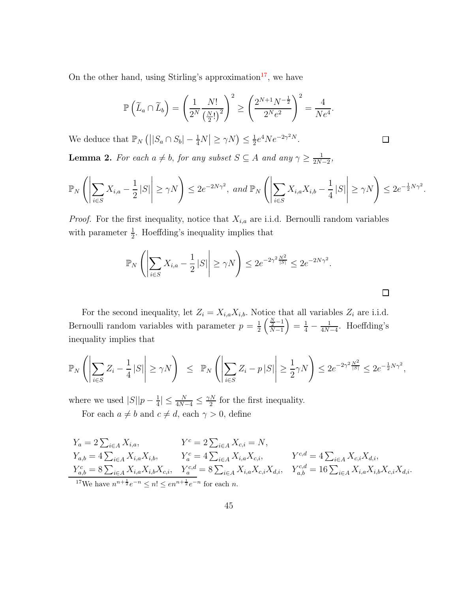On the other hand, using Stirling's approximation<sup>[17](#page-44-0)</sup>, we have

$$
\mathbb{P}\left(\widetilde{L}_a \cap \widetilde{L}_b\right) = \left(\frac{1}{2^N} \frac{N!}{\left(\frac{N}{2}!\right)^2}\right)^2 \ge \left(\frac{2^{N+1}N^{-\frac{1}{2}}}{2^Ne^2}\right)^2 = \frac{4}{Ne^4}.
$$

We deduce that  $\mathbb{P}_N(|S_a \cap S_b| - \frac{1}{4}N| \ge \gamma N) \le \frac{1}{2}$  $\frac{1}{2}e^4Ne^{-2\gamma^2N}.$ 

<span id="page-44-1"></span>**Lemma 2.** For each  $a \neq b$ , for any subset  $S \subseteq A$  and any  $\gamma \geq \frac{1}{2N}$ .  $\frac{1}{2N-2},$ 

$$
\mathbb{P}_N\left(\left|\sum_{i\in S}X_{i,a}-\frac{1}{2}|S|\right|\geq \gamma N\right)\leq 2e^{-2N\gamma^2},\text{ and }\mathbb{P}_N\left(\left|\sum_{i\in S}X_{i,a}X_{i,b}-\frac{1}{4}|S|\right|\geq \gamma N\right)\leq 2e^{-\frac{1}{2}N\gamma^2}.
$$

 $\Box$ 

 $\Box$ 

*Proof.* For the first inequality, notice that  $X_{i,a}$  are i.i.d. Bernoulli random variables with parameter  $\frac{1}{2}$ . Hoeffding's inequality implies that

$$
\mathbb{P}_N\left(\left|\sum_{i\in S}X_{i,a}-\frac{1}{2}|S|\right|\geq \gamma N\right)\leq 2e^{-2\gamma^2\frac{N^2}{|S|}}\leq 2e^{-2N\gamma^2}.
$$

For the second inequality, let  $Z_i = X_{i,a} X_{i,b}$ . Notice that all variables  $Z_i$  are i.i.d. Bernoulli random variables with parameter  $p = \frac{1}{2}$ 2  $\frac{N}{2}$  –1  $N-1$  $= \frac{1}{4} - \frac{1}{4N}$  $\frac{1}{4N-4}$ . Hoeffding's inequality implies that

$$
\mathbb{P}_N\left(\left|\sum_{i\in S} Z_i - \frac{1}{4}|S|\right| \ge \gamma N\right) \le \mathbb{P}_N\left(\left|\sum_{i\in S} Z_i - p|S|\right| \ge \frac{1}{2}\gamma N\right) \le 2e^{-2\gamma^2\frac{N^2}{|S|}} \le 2e^{-\frac{1}{2}N\gamma^2},
$$

where we used  $|S||p - \frac{1}{4}$  $\frac{1}{4}$ |  $\leq \frac{N}{4N-4} \leq \frac{\gamma N}{2}$  $\frac{7}{2}$  for the first inequality. For each  $a \neq b$  and  $c \neq d$ , each  $\gamma > 0$ , define

$$
Y_a = 2 \sum_{i \in A} X_{i,a}, \qquad Y^c = 2 \sum_{i \in A} X_{c,i} = N,
$$
  
\n
$$
Y_{a,b} = 4 \sum_{i \in A} X_{i,a} X_{i,b}, \qquad Y_a^c = 4 \sum_{i \in A} X_{i,a} X_{c,i}, \qquad Y^{c,d} = 4 \sum_{i \in A} X_{c,i} X_{d,i},
$$
  
\n
$$
Y_{a,b}^c = 8 \sum_{i \in A} X_{i,a} X_{i,b} X_{c,i}, \qquad Y_a^{c,d} = 8 \sum_{i \in A} X_{i,a} X_{c,i} X_{d,i}, \qquad Y_{a,b}^{c,d} = 16 \sum_{i \in A} X_{i,a} X_{i,b} X_{c,i} X_{d,i}.
$$
  
\n
$$
Y_{a,b}^c = 16 \sum_{i \in A} X_{i,a} X_{i,b} X_{c,i} X_{d,i}.
$$

<span id="page-44-0"></span><sup>17</sup>We have  $n^{n+\frac{1}{2}}e^{-n} \leq n! \leq en^{n+\frac{1}{2}}e^{-n}$  for each *n*.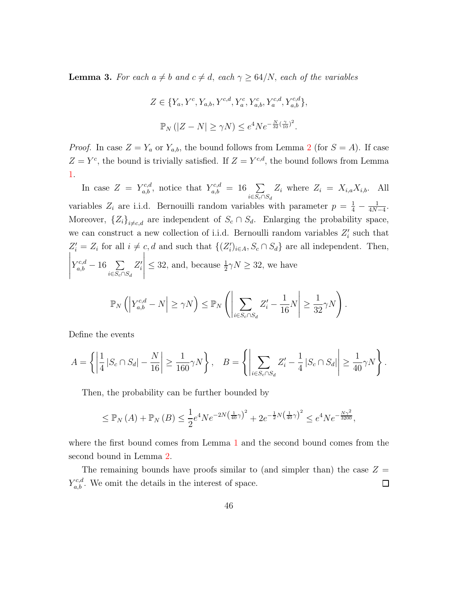<span id="page-45-0"></span>**Lemma 3.** For each  $a \neq b$  and  $c \neq d$ , each  $\gamma \geq 64/N$ , each of the variables

$$
Z \in \{Y_a, Y^c, Y_{a,b}, Y^{c,d}, Y_a^c, Y_{a,b}^c, Y_a^{c,d}, Y_{a,b}^{c,d}\},\
$$

$$
\mathbb{P}_N(|Z - N| \ge \gamma N) \le e^4 N e^{-\frac{N}{32}(\frac{\gamma}{10})^2}.
$$

*Proof.* In case  $Z = Y_a$  or  $Y_{a,b}$ , the bound follows from Lemma [2](#page-44-1) (for  $S = A$ ). If case  $Z = Y<sup>c</sup>$ , the bound is trivially satisfied. If  $Z = Y<sup>c,d</sup>$ , the bound follows from Lemma [1.](#page-43-1)

In case  $Z = Y_{a,b}^{c,d}$ , notice that  $Y_{a,b}^{c,d} = 16 \sum_{i \in S_c \cap S_d}$  $Z_i$  where  $Z_i = X_{i,a} X_{i,b}$ . All variables  $Z_i$  are i.i.d. Bernouilli random variables with parameter  $p = \frac{1}{4} - \frac{1}{4N}$  $\frac{1}{4N-4}$ . Moreover,  ${Z_i}_{i \neq c,d}$  are independent of  $S_c \cap S_d$ . Enlarging the probability space, we can construct a new collection of i.i.d. Bernoulli random variables  $Z'_{i}$  such that  $Z'_i = Z_i$  for all  $i \neq c, d$  and such that  $\{(Z'_i)_{i \in A}, S_c \cap S_d\}$  are all independent. Then,  $\begin{array}{c} \begin{array}{c} \begin{array}{c} \end{array} \\ \begin{array}{c} \end{array} \end{array} \end{array}$  $Y_{a,b}^{c,d} - 16 \sum_{i \in S_c \cap S_d}$  $Z_i'$   $\leq 32$ , and, because  $\frac{1}{2}\gamma N \geq 32$ , we have  $\mathbb{P}_N\left(\left|Y^{c,d}_{a,b}-N\right|\ge\gamma N\right)\le\mathbb{P}_N$  $\left(\rule{0pt}{10pt}\right.$  $\sum$  $i∈S_c∩S_d$  $Z_i'$  – 1 16 N ≥ 1 32  $\gamma N$  ).

Define the events

$$
A = \left\{ \left| \frac{1}{4} |S_c \cap S_d| - \frac{N}{16} \right| \ge \frac{1}{160} \gamma N \right\}, \quad B = \left\{ \left| \sum_{i \in S_c \cap S_d} Z'_i - \frac{1}{4} |S_c \cap S_d| \right| \ge \frac{1}{40} \gamma N \right\}.
$$

Then, the probability can be further bounded by

$$
\leq \mathbb{P}_N(A) + \mathbb{P}_N(B) \leq \frac{1}{2}e^4Ne^{-2N(\frac{1}{40}\gamma)^2} + 2e^{-\frac{1}{2}N(\frac{1}{40}\gamma)^2} \leq e^4Ne^{-\frac{N\gamma^2}{3200}},
$$

where the first bound comes from Lemma [1](#page-43-1) and the second bound comes from the second bound in Lemma [2.](#page-44-1)

The remaining bounds have proofs similar to (and simpler than) the case  $Z =$  $Y_{a,b}^{c,d}$ . We omit the details in the interest of space.  $\Box$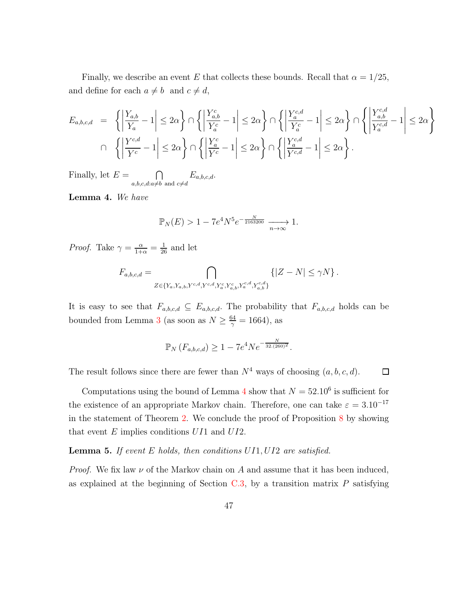Finally, we describe an event E that collects these bounds. Recall that  $\alpha = 1/25$ , and define for each  $a \neq b$  and  $c \neq d$ ,

$$
E_{a,b,c,d} = \left\{ \left| \frac{Y_{a,b}}{Y_a} - 1 \right| \le 2\alpha \right\} \cap \left\{ \left| \frac{Y_{a,b}^c}{Y_a^c} - 1 \right| \le 2\alpha \right\} \cap \left\{ \left| \frac{Y_a^{c,d}}{Y_a^c} - 1 \right| \le 2\alpha \right\} \cap \left\{ \left| \frac{Y_a^{c,d}}{Y_a^{c,d}} - 1 \right| \le 2\alpha \right\}
$$
  

$$
\cap \left\{ \left| \frac{Y_{a,b}^{c,d}}{Y_c^c} - 1 \right| \le 2\alpha \right\} \cap \left\{ \left| \frac{Y_a^c}{Y_c^c} - 1 \right| \le 2\alpha \right\} \cap \left\{ \left| \frac{Y_a^{c,d}}{Y_{c,d}^{c,d}} - 1 \right| \le 2\alpha \right\}.
$$

Finally, let  $E = \bigcap$  $a,b,c,d:a\neq b$  and  $c\neq d$  $E_{a,b,c,d}.$ 

<span id="page-46-0"></span>Lemma 4. We have

$$
\mathbb{P}_N(E) > 1 - 7e^4 N^5 e^{-\frac{N}{2163200}} \xrightarrow[n \to \infty]{} 1.
$$

*Proof.* Take  $\gamma = \frac{\alpha}{1+\alpha} = \frac{1}{26}$  and let

$$
F_{a,b,c,d} = \bigcap_{Z \in \{Y_a, Y_{a,b}, Y^{c,d}, Y^{c,d}_a, Y^c_a, Y^c_{a,b}, Y^{c,d}_a, Y^{c,d}_{a,b}\}} \{ |Z-N| \leq \gamma N \} \, .
$$

It is easy to see that  $F_{a,b,c,d} \subseteq E_{a,b,c,d}$ . The probability that  $F_{a,b,c,d}$  holds can be bounded from Lemma [3](#page-45-0) (as soon as  $N \geq \frac{64}{\infty}$  $\frac{54}{\gamma} = 1664$ ), as

$$
\mathbb{P}_N(F_{a,b,c,d}) \ge 1 - 7e^4 N e^{-\frac{N}{32.(260)^2}}.
$$

□

The result follows since there are fewer than  $N^4$  ways of choosing  $(a, b, c, d)$ .

Computations using the bound of Lemma [4](#page-46-0) show that  $N = 52.10^6$  is sufficient for the existence of an appropriate Markov chain. Therefore, one can take  $\varepsilon = 3.10^{-17}$ in the statement of Theorem [2.](#page-16-0) We conclude the proof of Proposition [8](#page-43-0) by showing that event  $E$  implies conditions  $U I1$  and  $U I2$ .

**Lemma 5.** If event  $E$  holds, then conditions  $UI1, UI2$  are satisfied.

*Proof.* We fix law  $\nu$  of the Markov chain on A and assume that it has been induced, as explained at the beginning of Section  $C.3$ , by a transition matrix P satisfying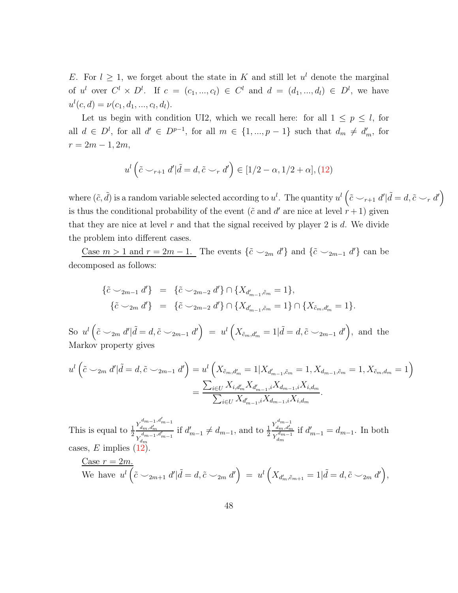E. For  $l \geq 1$ , we forget about the state in K and still let  $u^l$  denote the marginal of  $u^l$  over  $C^l \times D^l$ . If  $c = (c_1, ..., c_l) \in C^l$  and  $d = (d_1, ..., d_l) \in D^l$ , we have  $u^{l}(c, d) = \nu(c_1, d_1, ..., c_l, d_l).$ 

Let us begin with condition UI2, which we recall here: for all  $1 \leq p \leq l$ , for all  $d \in D^l$ , for all  $d' \in D^{p-1}$ , for all  $m \in \{1, ..., p-1\}$  such that  $d_m \neq d'_m$ , for  $r = 2m - 1, 2m,$ 

$$
u^{l}\left(\tilde{c} \smile_{r+1} d'\vert \tilde{d} = d, \tilde{c} \smile_{r} d'\right) \in [1/2 - \alpha, 1/2 + \alpha], (12)
$$

where  $(\tilde{c}, \tilde{d})$  is a random variable selected according to  $u^l$ . The quantity  $u^l\left(\tilde{c} \smile_{r+1} d' | \tilde{d} = d, \tilde{c} \smile_{r} d'\right)$ is thus the conditional probability of the event ( $\tilde{c}$  and  $d'$  are nice at level  $r + 1$ ) given that they are nice at level r and that the signal received by player 2 is d. We divide the problem into different cases.

Case  $m > 1$  and  $r = 2m - 1$ . The events  $\{\tilde{c} \cup_{2m} d'\}$  and  $\{\tilde{c} \cup_{2m-1} d'\}$  can be decomposed as follows:

$$
\{\tilde{c} \smile_{2m-1} d'\} = \{\tilde{c} \smile_{2m-2} d'\} \cap \{X_{d'_{m-1}, \tilde{c}_m} = 1\},\
$$
  

$$
\{\tilde{c} \smile_{2m} d'\} = \{\tilde{c} \smile_{2m-2} d'\} \cap \{X_{d'_{m-1}, \tilde{c}_m} = 1\} \cap \{X_{\tilde{c}_m, d'_m} = 1\}.
$$

So  $u^l\left(\tilde{c} \smile_{2m} d'\right) \tilde{d} = d, \tilde{c} \smile_{2m-1} d'\right) = u^l\left(X_{\tilde{c}_m,d'_m} = 1 \vert \tilde{d} = d, \tilde{c} \smile_{2m-1} d'\right)$ , and the Markov property gives

$$
u^{l}(\tilde{c} \smile_{2m} d'|\tilde{d} = d, \tilde{c} \smile_{2m-1} d') = u^{l}\left(X_{\tilde{c}_{m},d'_{m}} = 1 | X_{d'_{m-1},\tilde{c}_{m}} = 1, X_{d_{m-1},\tilde{c}_{m}} = 1, X_{\tilde{c}_{m},d_{m}} = 1\right)
$$

$$
= \frac{\sum_{i\in U} X_{i,d'_{m}} X_{d'_{m-1},i} X_{d_{m-1},i} X_{i,d_{m}}}{\sum_{i\in U} X_{d'_{m-1},i} X_{d_{m-1},i} X_{i,d_{m}}}.
$$

This is equal to  $\frac{1}{2}$  $Y^{d_{m-1},d'_{m-1}}_{d_{m},d'_{m}}$  $Y^{d_{m-1},d'_{m-1}}_{d_{m}}$ if  $d'_{m-1} \neq d_{m-1}$ , and to  $\frac{1}{2}$  $Y_{d_m,d'_m}^{d_{m-1}}$  $Y_{dm}^{d_{m-1}}$ if  $d'_{m-1} = d_{m-1}$ . In both cases, E implies  $(12)$ .

$$
\underline{\text{Case }r=2m.}}{\text{We have }}u^l\left(\tilde{c} \smile_{2m+1} d'\vert \tilde{d}=d, \tilde{c} \smile_{2m} d'\right) = u^l\left(X_{d'_m, \tilde{c}_{m+1}}=1\vert \tilde{d}=d, \tilde{c} \smile_{2m} d'\right),
$$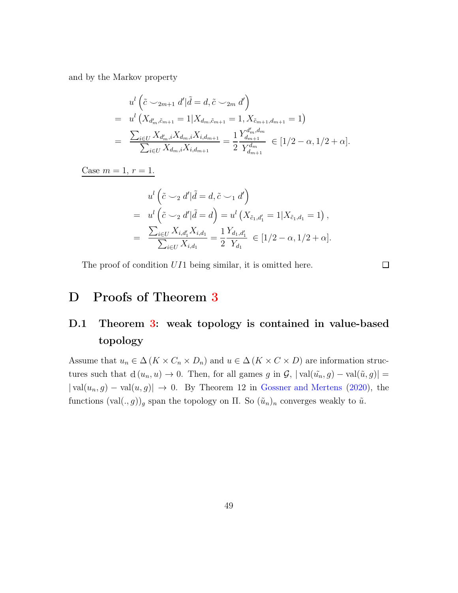and by the Markov property

$$
u^{l} \left( \tilde{c} \smile_{2m+1} d' | \tilde{d} = d, \tilde{c} \smile_{2m} d' \right)
$$
  
= 
$$
u^{l} \left( X_{d'_{m}, \tilde{c}_{m+1}} = 1 | X_{d_{m}, \tilde{c}_{m+1}} = 1, X_{\tilde{c}_{m+1}, d_{m+1}} = 1 \right)
$$
  
= 
$$
\frac{\sum_{i \in U} X_{d'_{m}, i} X_{d_{m}, i} X_{i, d_{m+1}}}{\sum_{i \in U} X_{d_{m}, i} X_{i, d_{m+1}}} = \frac{1}{2} \frac{Y_{d_{m+1}}^{d'_{m}, d_{m}}}{Y_{d_{m+1}}^{d_{m}}} \in [1/2 - \alpha, 1/2 + \alpha].
$$

Case  $m = 1, r = 1.$ 

$$
u^{l} (\tilde{c} \smile_{2} d' | \tilde{d} = d, \tilde{c} \smile_{1} d')
$$
  
= 
$$
u^{l} (\tilde{c} \smile_{2} d' | \tilde{d} = d) = u^{l} (X_{\tilde{c}_{1}, d'_{1}} = 1 | X_{\tilde{c}_{1}, d_{1}} = 1),
$$
  
= 
$$
\frac{\sum_{i \in U} X_{i, d'_{1}} X_{i, d_{1}}}{\sum_{i \in U} X_{i, d_{1}}} = \frac{1}{2} \frac{Y_{d_{1}, d'_{1}}}{Y_{d_{1}}} \in [1/2 - \alpha, 1/2 + \alpha].
$$

The proof of condition UI1 being similar, it is omitted here.

 $\Box$ 

## D Proofs of Theorem [3](#page-19-0)

## D.1 Theorem [3:](#page-19-0) weak topology is contained in value-based topology

Assume that  $u_n \in \Delta(K \times C_n \times D_n)$  and  $u \in \Delta(K \times C \times D)$  are information structures such that  $d(u_n, u) \to 0$ . Then, for all games g in  $\mathcal{G}$ ,  $|\text{val}(\tilde{u}_n, g) - \text{val}(\tilde{u}, g)| =$  $| \text{val}(u_n, g) - \text{val}(u, g) | \to 0$ . By Theorem 12 in [Gossner and Mertens](#page-93-0) [\(2020\)](#page-93-0), the functions  $(\text{val}(., g))_g$  span the topology on  $\Pi$ . So  $(\tilde{u}_n)_n$  converges weakly to  $\tilde{u}$ .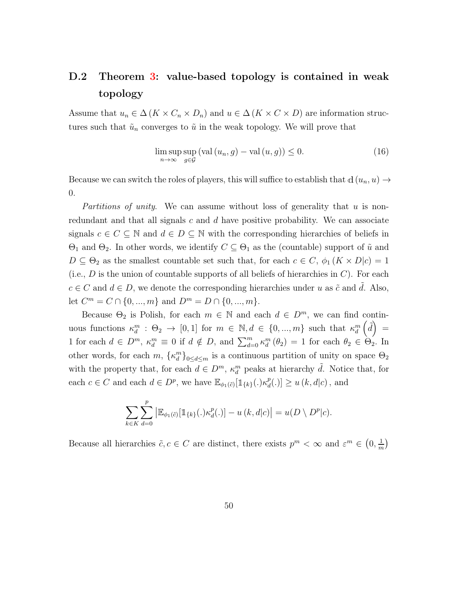## D.2 Theorem [3:](#page-19-0) value-based topology is contained in weak topology

Assume that  $u_n \in \Delta(K \times C_n \times D_n)$  and  $u \in \Delta(K \times C \times D)$  are information structures such that  $\tilde{u}_n$  converges to  $\tilde{u}$  in the weak topology. We will prove that

<span id="page-49-0"></span>
$$
\limsup_{n \to \infty} \sup_{g \in \mathcal{G}} (\text{val}(u_n, g) - \text{val}(u, g)) \le 0. \tag{16}
$$

Because we can switch the roles of players, this will suffice to establish that d  $(u_n, u) \rightarrow$ 0.

Partitions of unity. We can assume without loss of generality that u is nonredundant and that all signals  $c$  and  $d$  have positive probability. We can associate signals  $c \in C \subseteq \mathbb{N}$  and  $d \in D \subseteq \mathbb{N}$  with the corresponding hierarchies of beliefs in  $\Theta_1$  and  $\Theta_2$ . In other words, we identify  $C \subseteq \Theta_1$  as the (countable) support of  $\tilde{u}$  and  $D \subseteq \Theta_2$  as the smallest countable set such that, for each  $c \in C$ ,  $\phi_1 (K \times D | c) = 1$ (i.e.,  $D$  is the union of countable supports of all beliefs of hierarchies in  $C$ ). For each  $c \in C$  and  $d \in D$ , we denote the corresponding hierarchies under u as  $\tilde{c}$  and d. Also, let  $C^m = C \cap \{0, ..., m\}$  and  $D^m = D \cap \{0, ..., m\}$ .

Because  $\Theta_2$  is Polish, for each  $m \in \mathbb{N}$  and each  $d \in D^m$ , we can find continuous functions  $\kappa_d^m$ :  $\Theta_2 \to [0,1]$  for  $m \in \mathbb{N}, d \in \{0, ..., m\}$  such that  $\kappa_d^m$  $\left(\tilde{d}\right)$  = 1 for each  $d \in D^m$ ,  $\kappa_d^m \equiv 0$  if  $d \notin D$ , and  $\sum_{d=0}^m \kappa_d^m (\theta_2) = 1$  for each  $\theta_2 \in \Theta_2$ . In other words, for each  $m, \{\kappa_d^m\}_{0 \le d \le m}$  is a continuous partition of unity on space  $\Theta_2$ with the property that, for each  $d \in D^m$ ,  $\kappa_d^m$  peaks at hierarchy  $\tilde{d}$ . Notice that, for each  $c \in C$  and each  $d \in D^p$ , we have  $\mathbb{E}_{\phi_1(\tilde{c})}[\mathbb{1}_{\{k\}}(.)\kappa_d^p]$  $\left[ \begin{array}{l} p_d(.) \ \geq u(k,d|c) \end{array} \right]$ , and

$$
\sum_{k \in K} \sum_{d=0}^p \left| \mathbb{E}_{\phi_1(\tilde{c})}[\mathbb{1}_{\{k\}}(.)\kappa_d^p(.)] - u(k, d|c) \right| = u(D \setminus D^p|c).
$$

Because all hierarchies  $\tilde{c}, c \in C$  are distinct, there exists  $p^m < \infty$  and  $\varepsilon^m \in (0, \frac{1}{m})$  $\frac{1}{m}$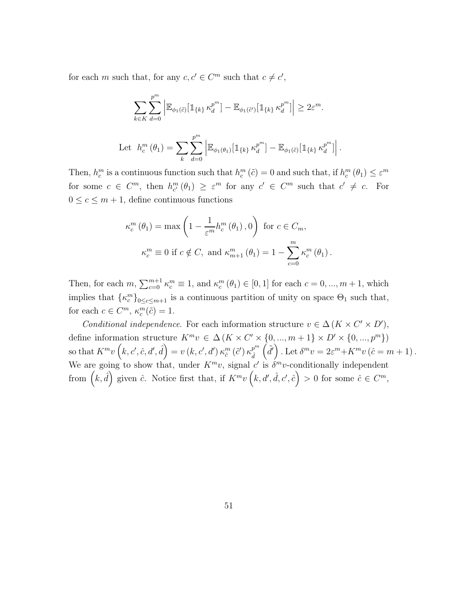for each m such that, for any  $c, c' \in C^m$  such that  $c \neq c'$ ,

$$
\sum_{k \in K} \sum_{d=0}^{p^m} \left| \mathbb{E}_{\phi_1(\tilde{c})} [\mathbb{1}_{\{k\}} \kappa_d^{p^m}] - \mathbb{E}_{\phi_1(\tilde{c}')} [\mathbb{1}_{\{k\}} \kappa_d^{p^m}] \right| \geq 2\varepsilon^m.
$$
  
Let  $h_c^m(\theta_1) = \sum_k \sum_{d=0}^{p^m} \left| \mathbb{E}_{\phi_1(\theta_1)} [\mathbb{1}_{\{k\}} \kappa_d^{p^m}] - \mathbb{E}_{\phi_1(\tilde{c})} [\mathbb{1}_{\{k\}} \kappa_d^{p^m}] \right|.$ 

Then,  $h_c^m$  is a continuous function such that  $h_c^m(\tilde{c}) = 0$  and such that, if  $h_c^m(\theta_1) \leq \varepsilon^m$ for some  $c \in C^m$ , then  $h^m_{c'}(\theta_1) \geq \varepsilon^m$  for any  $c' \in C^m$  such that  $c' \neq c$ . For  $0 \leq c \leq m+1$ , define continuous functions

$$
\kappa_c^m(\theta_1) = \max\left(1 - \frac{1}{\varepsilon^m} h_c^m(\theta_1), 0\right) \text{ for } c \in C_m,
$$
  

$$
\kappa_c^m \equiv 0 \text{ if } c \notin C, \text{ and } \kappa_{m+1}^m(\theta_1) = 1 - \sum_{c=0}^m \kappa_c^m(\theta_1).
$$

Then, for each  $m, \sum_{c=0}^{m+1} \kappa_c^m \equiv 1$ , and  $\kappa_c^m (\theta_1) \in [0, 1]$  for each  $c = 0, ..., m + 1$ , which implies that  $\{\kappa_c^m\}_{0 \leq c \leq m+1}$  is a continuous partition of unity on space  $\Theta_1$  such that, for each  $c \in C^m$ ,  $\kappa_c^m(\tilde{c}) = 1$ .

Conditional independence. For each information structure  $v \in \Delta (K \times C' \times D')$ , define information structure  $K^m v \in \Delta(K \times C' \times \{0, ..., m+1\} \times D' \times \{0, ..., p^m\})$ so that  $K^mv\left(k, c', \hat{c}, d', \hat{d}\right) = v\left(k, c', d'\right) \kappa_{\hat{c}}^m\left(\tilde{c}'\right) \kappa_{\hat{d}}^{p^m}$  $\hat{d}$  $\left(\tilde{d}'\right)$ . Let  $\delta^m v = 2\varepsilon^m + K^m v \left(\hat{c} = m + 1\right)$ . We are going to show that, under  $K^m v$ , signal c' is  $\delta^m v$ -conditionally independent from  $(k, \hat{d})$  given  $\hat{c}$ . Notice first that, if  $K^m v(k, d', \hat{d}, c', \hat{c}) > 0$  for some  $\hat{c} \in C^m$ ,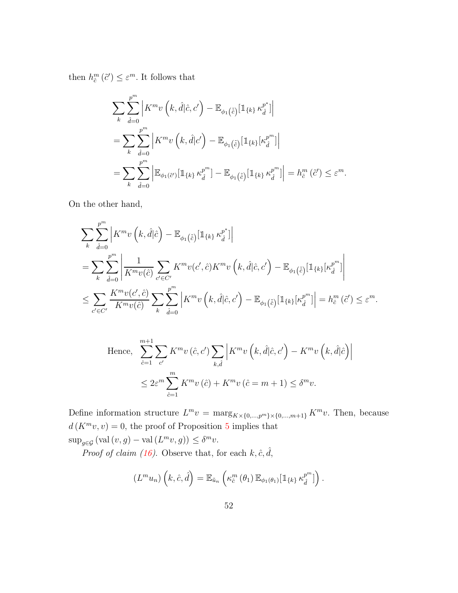then  $h_{\hat{c}}^{m}(\tilde{c}') \leq \varepsilon^{m}$ . It follows that

$$
\sum_{k} \sum_{\hat{d}=0}^{p^m} \left| K^m v\left(k, \hat{d}|\hat{c}, c'\right) - \mathbb{E}_{\phi_1(\tilde{\hat{c}})} [\mathbb{1}_{\{k\}} \kappa_{\hat{d}}^{p^*}] \right|
$$
  
\n
$$
= \sum_{k} \sum_{\hat{d}=0}^{p^m} \left| K^m v\left(k, \hat{d}|c'\right) - \mathbb{E}_{\phi_1(\tilde{\hat{c}})} [\mathbb{1}_{\{k\}} [\kappa_{\hat{d}}^{p^m}] \right|
$$
  
\n
$$
= \sum_{k} \sum_{\hat{d}=0}^{p^m} \left| \mathbb{E}_{\phi_1(\tilde{c}')} [\mathbb{1}_{\{k\}} \kappa_{\hat{d}}^{p^m}] - \mathbb{E}_{\phi_1(\tilde{\hat{c}})} [\mathbb{1}_{\{k\}} \kappa_{\hat{d}}^{p^m}] \right| = h_{\hat{c}}^m(\tilde{c}') \leq \varepsilon^m.
$$

On the other hand,

$$
\sum_{k} \sum_{\hat{d}=0}^{p^{m}} \left| K^{m}v\left(k,\hat{d}|\hat{c}\right) - \mathbb{E}_{\phi_{1}\left(\tilde{\hat{c}}\right)}\left[\mathbbm{1}_{\{k\}}\,\kappa_{\hat{d}}^{p^{*}}\right] \right|
$$
\n
$$
= \sum_{k} \sum_{\hat{d}=0}^{p^{m}} \left| \frac{1}{K^{m}v(\hat{c})} \sum_{c'\in C'} K^{m}v(c',\hat{c})K^{m}v\left(k,\hat{d}|\hat{c},c'\right) - \mathbb{E}_{\phi_{1}\left(\tilde{\hat{c}}\right)}\left[\mathbbm{1}_{\{k\}}\left[\kappa_{\hat{d}}^{p^{m}}\right]\right| \right|
$$
\n
$$
\leq \sum_{c'\in C'} \frac{K^{m}v(c',\hat{c})}{K^{m}v(\hat{c})} \sum_{k} \sum_{\hat{d}=0}^{p^{m}} \left| K^{m}v\left(k,\hat{d}|\hat{c},c'\right) - \mathbb{E}_{\phi_{1}\left(\tilde{\hat{c}}\right)}\left[\mathbbm{1}_{\{k\}}\left[\kappa_{\hat{d}}^{p^{m}}\right]\right] = h_{\hat{c}}^{m}\left(\tilde{c}'\right) \leq \varepsilon^{m}.
$$

Hence, 
$$
\sum_{\hat{c}=1}^{m+1} \sum_{c'} K^m v(\hat{c}, c') \sum_{k, \hat{d}} \left| K^m v(k, \hat{d} | \hat{c}, c') - K^m v(k, \hat{d} | \hat{c}) \right|
$$
  

$$
\leq 2\varepsilon^m \sum_{\hat{c}=1}^m K^m v(\hat{c}) + K^m v(\hat{c} = m+1) \leq \delta^m v.
$$

Define information structure  $L^m v = \max_{K \times \{0,\dots,p^m\} \times \{0,\dots,m+1\}} K^m v$ . Then, because  $d(K^m v, v) = 0$ , the proof of Proposition [5](#page-15-0) implies that  $\sup_{g \in \mathcal{G}} (\text{val}(v, g) - \text{val}(L^m v, g)) \leq \delta^m v.$ 

*Proof of claim [\(16\)](#page-49-0)*. Observe that, for each  $k, \hat{c}, \hat{d}$ ,

$$
(L^m u_n)\left(k,\hat{c},\hat{d}\right) = \mathbb{E}_{\tilde{u}_n}\left(\kappa_{\hat{c}}^m\left(\theta_1\right)\mathbb{E}_{\phi_1(\theta_1)}[\mathbb{1}_{\{k\}}\kappa_{\hat{d}}^{p^m}]\right).
$$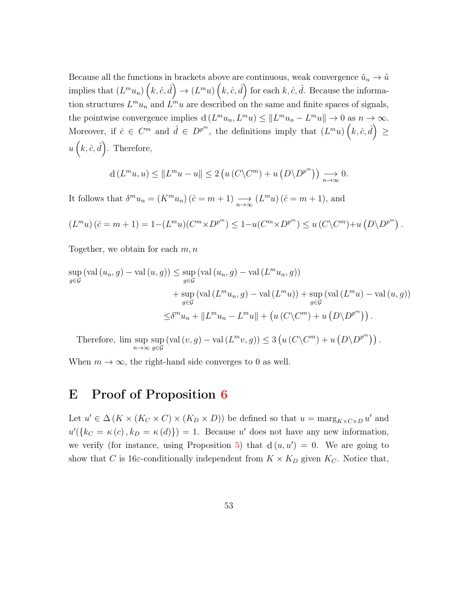Because all the functions in brackets above are continuous, weak convergence  $\tilde{u}_n \to \tilde{u}$ implies that  $(L^m u_n)$   $(k, \hat{c}, \hat{d}) \to (L^m u)$   $(k, \hat{c}, \hat{d})$  for each  $k, \hat{c}, \hat{d}$ . Because the information structures  $L^m u_n$  and  $L^m u$  are described on the same and finite spaces of signals, the pointwise convergence implies  $d(L^m u_n, L^m u) \leq ||L^m u_n - L^m u|| \to 0$  as  $n \to \infty$ . Moreover, if  $\hat{c} \in C^m$  and  $\hat{d} \in D^{p^m}$ , the definitions imply that  $(L^m u)(k, \hat{c}, \hat{d}) \geq$  $u(k, \hat{c}, \hat{d})$ . Therefore,

$$
d(L^m u, u) \le ||L^m u - u|| \le 2(u(C\setminus C^m) + u(D\setminus D^{p^m})) \longrightarrow_{n \to \infty} 0.
$$

It follows that  $\delta^m u_n = (K^m u_n) (\hat{c} = m + 1) \underset{n \to \infty}{\longrightarrow} (L^m u) (\hat{c} = m + 1)$ , and

$$
(L^m u)(\hat{c} = m + 1) = 1 - (L^m u)(C^m \times D^{p^m}) \le 1 - u(C^m \times D^{p^m}) \le u(C \setminus C^m) + u(D \setminus D^{p^m}).
$$

Together, we obtain for each  $m, n$ 

$$
\sup_{g \in \mathcal{G}} (\text{val}(u_n, g) - \text{val}(u, g)) \le \sup_{g \in \mathcal{G}} (\text{val}(u_n, g) - \text{val}(L^m u_n, g))
$$
  
+ 
$$
\sup_{g \in \mathcal{G}} (\text{val}(L^m u_n, g) - \text{val}(L^m u)) + \sup_{g \in \mathcal{G}} (\text{val}(L^m u) - \text{val}(u, g))
$$
  

$$
\le \delta^m u_n + ||L^m u_n - L^m u|| + (u(C\setminus C^m) + u(D\setminus D^{p^m})).
$$

Therefore, lim sup n→∞ sup g∈G  $\left(\text{val}(v,g) - \text{val}(L^m v, g)\right) \leq 3\left(u(C\setminus C^m) + u(D\setminus D^{p^m})\right).$ 

When  $m \to \infty$ , the right-hand side converges to 0 as well.

### E Proof of Proposition [6](#page-21-0)

Let  $u' \in \Delta(K \times (K_C \times C) \times (K_D \times D))$  be defined so that  $u = \max_{K \times C \times D} u'$  and  $u'(\{k_C = \kappa(c), k_D = \kappa(d)\}) = 1$ . Because u' does not have any new information, we verify (for instance, using Proposition [5\)](#page-15-0) that  $d(u, u') = 0$ . We are going to show that C is 16 $\varepsilon$ -conditionally independent from  $K \times K_D$  given  $K_C$ . Notice that,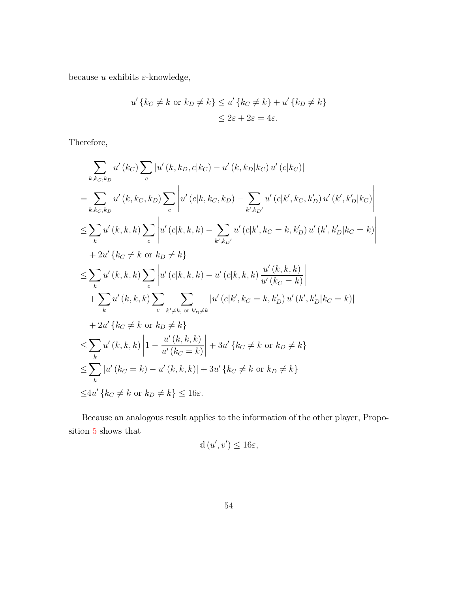because  $u$  exhibits  $\varepsilon$ -knowledge,

$$
u'\{k_C \neq k \text{ or } k_D \neq k\} \le u'\{k_C \neq k\} + u'\{k_D \neq k\}
$$
  

$$
\le 2\varepsilon + 2\varepsilon = 4\varepsilon.
$$

Therefore,

$$
\sum_{k,k_{C},k_{D}} u'(k_{C}) \sum_{c} |u'(k,k_{D},c|k_{C}) - u'(k,k_{D}|k_{C}) u'(c|k_{C})|
$$
\n
$$
= \sum_{k,k_{C},k_{D}} u'(k,k_{C},k_{D}) \sum_{c} |u'(c|k,k_{C},k_{D}) - \sum_{k',k_{D'}} u'(c|k',k_{C},k'_{D}) u'(k',k'_{D}|k_{C})|
$$
\n
$$
\leq \sum_{k} u'(k,k,k) \sum_{c} |u'(c|k,k,k) - \sum_{k',k_{D'}} u'(c|k',k_{C} = k,k'_{D}) u'(k',k'_{D}|k_{C} = k)|
$$
\n
$$
+ 2u'(k_{C} \neq k \text{ or } k_{D} \neq k)
$$
\n
$$
\leq \sum_{k} u'(k,k,k) \sum_{c} |u'(c|k,k,k) - u'(c|k,k,k) \frac{u'(k,k,k)}{u'(k_{C} = k)}|
$$
\n
$$
+ \sum_{k} u'(k,k,k) \sum_{c} \sum_{k' \neq k, \text{ or } k'_{D} \neq k} |u'(c|k',k_{C} = k,k'_{D}) u'(k',k'_{D}|k_{C} = k)|
$$
\n
$$
+ 2u'(k_{C} \neq k \text{ or } k_{D} \neq k)
$$
\n
$$
\leq \sum_{k} u'(k,k,k) |1 - \frac{u'(k,k,k)}{u'(k_{C} = k)}| + 3u'(k_{C} \neq k \text{ or } k_{D} \neq k)
$$
\n
$$
\leq \sum_{k} |u'(k_{C} = k) - u'(k,k,k)| + 3u'(k_{C} \neq k \text{ or } k_{D} \neq k
$$
\n
$$
\leq 4u'(k_{C} \neq k \text{ or } k_{D} \neq k \leq 16\varepsilon.
$$

Because an analogous result applies to the information of the other player, Proposition [5](#page-15-0) shows that

$$
d(u',v') \le 16\varepsilon,
$$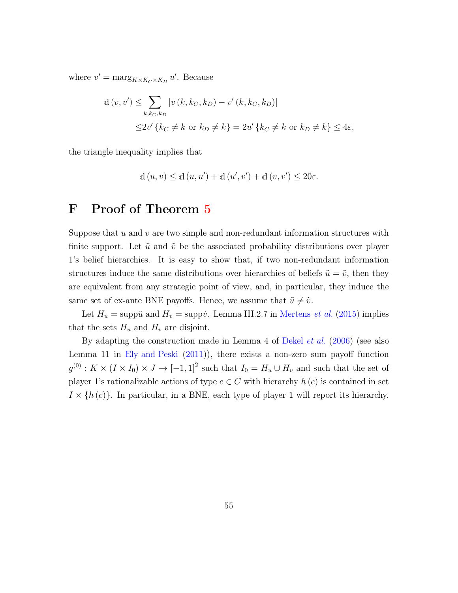where  $v' = \max_{K \times K_C \times K_D} u'$ . Because

$$
d(v, v') \le \sum_{k, k_C, k_D} |v(k, k_C, k_D) - v'(k, k_C, k_D)|
$$
  

$$
\le 2v' \{k_C \ne k \text{ or } k_D \ne k\} = 2u' \{k_C \ne k \text{ or } k_D \ne k\} \le 4\varepsilon,
$$

the triangle inequality implies that

$$
d(u, v) \le d(u, u') + d(u', v') + d(v, v') \le 20\varepsilon.
$$

## F Proof of Theorem [5](#page-26-0)

Suppose that  $u$  and  $v$  are two simple and non-redundant information structures with finite support. Let  $\tilde{u}$  and  $\tilde{v}$  be the associated probability distributions over player 1's belief hierarchies. It is easy to show that, if two non-redundant information structures induce the same distributions over hierarchies of beliefs  $\tilde{u} = \tilde{v}$ , then they are equivalent from any strategic point of view, and, in particular, they induce the same set of ex-ante BNE payoffs. Hence, we assume that  $\tilde{u} \neq \tilde{v}$ .

Let  $H_u = \text{supp}\tilde{u}$  and  $H_v = \text{supp}\tilde{v}$ . Lemma III.2.7 in [Mertens](#page-94-0) *et al.* [\(2015\)](#page-94-0) implies that the sets  $H_u$  and  $H_v$  are disjoint.

By adapting the construction made in Lemma 4 of [Dekel](#page-92-0) et al. [\(2006\)](#page-92-0) (see also Lemma 11 in [Ely and Peski](#page-93-1) [\(2011\)](#page-93-1)), there exists a non-zero sum payoff function  $g^{(0)}$ :  $K \times (I \times I_0) \times J \to [-1,1]^2$  such that  $I_0 = H_u \cup H_v$  and such that the set of player 1's rationalizable actions of type  $c \in C$  with hierarchy  $h(c)$  is contained in set  $I \times \{h(c)\}\.$  In particular, in a BNE, each type of player 1 will report its hierarchy.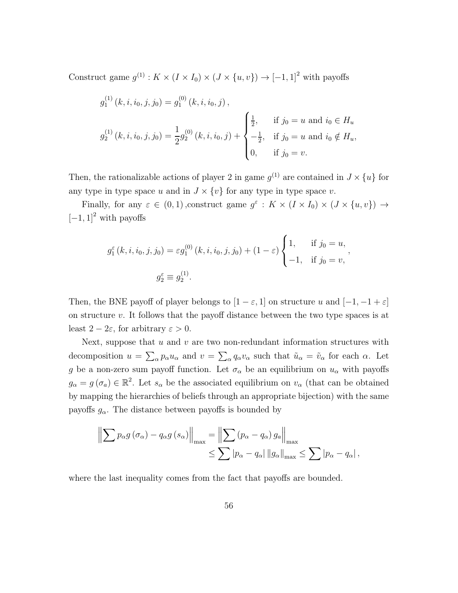Construct game  $g^{(1)}$ :  $K \times (I \times I_0) \times (J \times \{u, v\}) \rightarrow [-1, 1]^2$  with payoffs

$$
g_1^{(1)}(k, i, i_0, j, j_0) = g_1^{(0)}(k, i, i_0, j),
$$
  
\n
$$
g_2^{(1)}(k, i, i_0, j, j_0) = \frac{1}{2} g_2^{(0)}(k, i, i_0, j) + \begin{cases} \frac{1}{2}, & \text{if } j_0 = u \text{ and } i_0 \in H_u, \\ -\frac{1}{2}, & \text{if } j_0 = u \text{ and } i_0 \notin H_u, \\ 0, & \text{if } j_0 = v. \end{cases}
$$

Then, the rationalizable actions of player 2 in game  $g^{(1)}$  are contained in  $J \times \{u\}$  for any type in type space u and in  $J \times \{v\}$  for any type in type space v.

Finally, for any  $\varepsilon \in (0,1)$ , construct game  $g^{\varepsilon}: K \times (I \times I_0) \times (J \times \{u, v\}) \rightarrow$  $[-1, 1]^2$  with payoffs

$$
g_1^{\varepsilon}(k, i, i_0, j, j_0) = \varepsilon g_1^{(0)}(k, i, i_0, j, j_0) + (1 - \varepsilon) \begin{cases} 1, & \text{if } j_0 = u, \\ -1, & \text{if } j_0 = v, \end{cases}
$$
  

$$
g_2^{\varepsilon} \equiv g_2^{(1)}.
$$

,

Then, the BNE payoff of player belongs to  $[1 - \varepsilon, 1]$  on structure u and  $[-1, -1 + \varepsilon]$ on structure  $v$ . It follows that the payoff distance between the two type spaces is at least  $2 - 2\varepsilon$ , for arbitrary  $\varepsilon > 0$ .

Next, suppose that  $u$  and  $v$  are two non-redundant information structures with decomposition  $u = \sum_{\alpha} p_{\alpha} u_{\alpha}$  and  $v = \sum_{\alpha} q_{\alpha} v_{\alpha}$  such that  $\tilde{u}_{\alpha} = \tilde{v}_{\alpha}$  for each  $\alpha$ . Let g be a non-zero sum payoff function. Let  $\sigma_{\alpha}$  be an equilibrium on  $u_{\alpha}$  with payoffs  $g_{\alpha} = g(\sigma_{a}) \in \mathbb{R}^{2}$ . Let  $s_{\alpha}$  be the associated equilibrium on  $v_{\alpha}$  (that can be obtained by mapping the hierarchies of beliefs through an appropriate bijection) with the same payoffs  $g_{\alpha}$ . The distance between payoffs is bounded by

$$
\left\| \sum p_{\alpha} g\left(\sigma_{\alpha}\right) - q_{\alpha} g\left(s_{\alpha}\right) \right\|_{\max} = \left\| \sum \left(p_{\alpha} - q_{\alpha}\right) g_{a} \right\|_{\max} \leq \sum |p_{\alpha} - q_{\alpha}| ||g_{\alpha}||_{\max} \leq \sum |p_{\alpha} - q_{\alpha}|,
$$

where the last inequality comes from the fact that payoffs are bounded.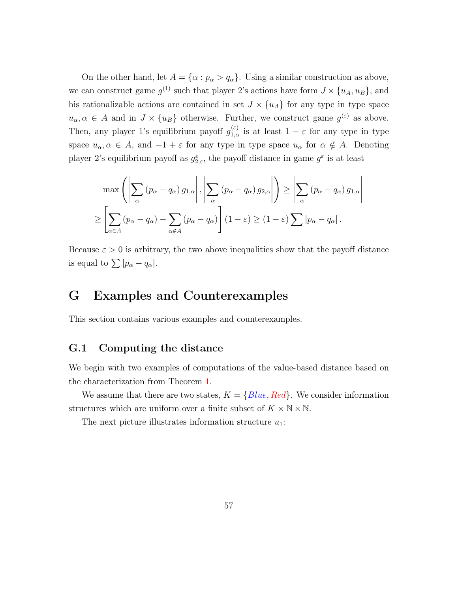On the other hand, let  $A = {\alpha : p_{\alpha} > q_{\alpha}}$ . Using a similar construction as above, we can construct game  $g^{(1)}$  such that player 2's actions have form  $J \times \{u_A, u_B\}$ , and his rationalizable actions are contained in set  $J \times \{u_A\}$  for any type in type space  $u_{\alpha}, \alpha \in A$  and in  $J \times \{u_B\}$  otherwise. Further, we construct game  $g^{(\varepsilon)}$  as above. Then, any player 1's equilibrium payoff  $g_{1,\alpha}^{(\varepsilon)}$  is at least  $1-\varepsilon$  for any type in type space  $u_{\alpha}, \alpha \in A$ , and  $-1 + \varepsilon$  for any type in type space  $u_{\alpha}$  for  $\alpha \notin A$ . Denoting player 2's equilibrium payoff as  $g_{2,\varepsilon}^{\varepsilon}$ , the payoff distance in game  $g^{\varepsilon}$  is at least

$$
\max \left( \left| \sum_{\alpha} (p_{\alpha} - q_{\alpha}) g_{1,\alpha} \right|, \left| \sum_{\alpha} (p_{\alpha} - q_{\alpha}) g_{2,\alpha} \right| \right) \ge \left| \sum_{\alpha} (p_{\alpha} - q_{\alpha}) g_{1,\alpha} \right|
$$
  

$$
\ge \left[ \sum_{\alpha \in A} (p_{\alpha} - q_{\alpha}) - \sum_{\alpha \notin A} (p_{\alpha} - q_{\alpha}) \right] (1 - \varepsilon) \ge (1 - \varepsilon) \sum |p_{\alpha} - q_{\alpha}|.
$$

Because  $\varepsilon > 0$  is arbitrary, the two above inequalities show that the payoff distance is equal to  $\sum |p_{\alpha} - q_{\alpha}|.$ 

## G Examples and Counterexamples

This section contains various examples and counterexamples.

#### G.1 Computing the distance

We begin with two examples of computations of the value-based distance based on the characterization from Theorem [1.](#page-9-0)

We assume that there are two states,  $K = \{Blue, Red\}$ . We consider information structures which are uniform over a finite subset of  $K \times N \times N$ .

The next picture illustrates information structure  $u_1$ :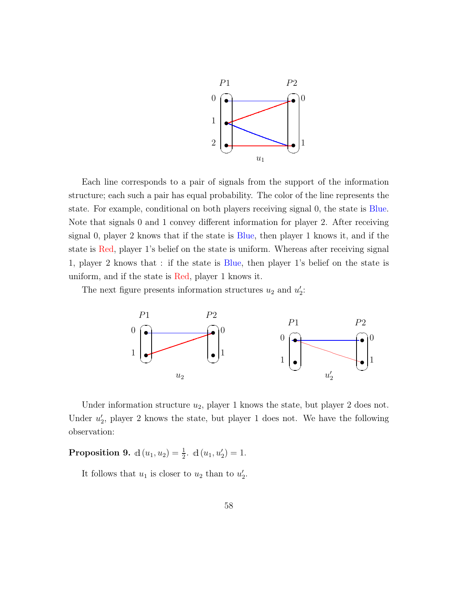

Each line corresponds to a pair of signals from the support of the information structure; each such a pair has equal probability. The color of the line represents the state. For example, conditional on both players receiving signal 0, the state is Blue. Note that signals 0 and 1 convey different information for player 2. After receiving signal 0, player 2 knows that if the state is Blue, then player 1 knows it, and if the state is Red, player 1's belief on the state is uniform. Whereas after receiving signal 1, player 2 knows that : if the state is Blue, then player 1's belief on the state is uniform, and if the state is Red, player 1 knows it.

The next figure presents information structures  $u_2$  and  $u_2'$ :



Under information structure  $u_2$ , player 1 knows the state, but player 2 does not. Under  $u'_2$ , player 2 knows the state, but player 1 does not. We have the following observation:

**Proposition 9.**  $d(u_1, u_2) = \frac{1}{2}$ .  $d(u_1, u'_2) = 1$ .

It follows that  $u_1$  is closer to  $u_2$  than to  $u'_2$ .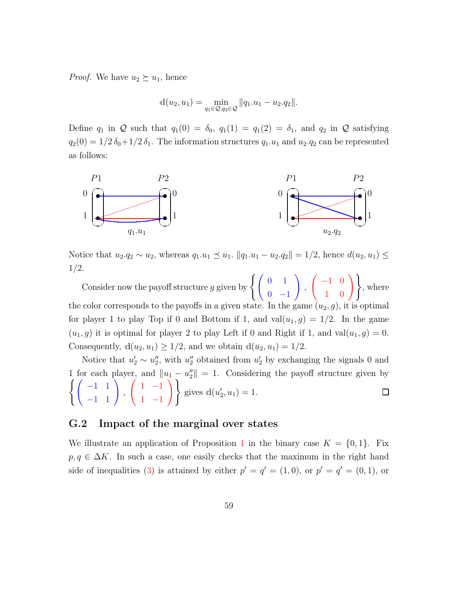*Proof.* We have  $u_2 \succeq u_1$ , hence

$$
d(u_2, u_1) = \min_{q_1 \in \mathcal{Q}, q_2 \in \mathcal{Q}} ||q_1. u_1 - u_2. q_2||.
$$

Define  $q_1$  in Q such that  $q_1(0) = \delta_0$ ,  $q_1(1) = q_1(2) = \delta_1$ , and  $q_2$  in Q satisfying  $q_2(0) = 1/2 \delta_0 + 1/2 \delta_1$ . The information structures  $q_1.u_1$  and  $u_2.q_2$  can be represented as follows:



Notice that  $u_2.q_2 \sim u_2$ , whereas  $q_1.u_1 \leq u_1$ .  $||q_1.u_1 - u_2.q_2|| = 1/2$ , hence  $d(u_2, u_1) \leq$ 1/2.

Consider now the payoff structure g given by  $\begin{cases} \begin{pmatrix} 0 & 1 \\ 0 & 1 \end{pmatrix}$  $0 -1$ ! ,  $\left(\begin{array}{cc} -1 & 0 \\ 1 & 0 \end{array}\right)$ , where the color corresponds to the payoffs in a given state. In the game  $(u_2, g)$ , it is optimal for player 1 to play Top if 0 and Bottom if 1, and  $val(u_1, g) = 1/2$ . In the game  $(u_1, g)$  it is optimal for player 2 to play Left if 0 and Right if 1, and val $(u_1, g) = 0$ . Consequently,  $d(u_2, u_1) \geq 1/2$ , and we obtain  $d(u_2, u_1) = 1/2$ .

Notice that  $u'_2 \sim u''_2$ , with  $u''_2$  obtained from  $u'_2$  by exchanging the signals 0 and 1 for each player, and  $||u_1 - u''_2||$  $\parallel$  = 1. Considering the payoff structure given by  $\begin{pmatrix} -1 & 1 \\ -1 & 1 \end{pmatrix}$ ,  $\begin{pmatrix} 1 & -1 \end{pmatrix}$ 1 −1  $\setminus$ gives  $d(u'_2, u_1) = 1$ .

#### G.2 Impact of the marginal over states

We illustrate an application of Proposition [1](#page-12-0) in the binary case  $K = \{0, 1\}$ . Fix  $p, q \in \Delta K$ . In such a case, one easily checks that the maximum in the right hand side of inequalities [\(3\)](#page-12-1) is attained by either  $p' = q' = (1,0)$ , or  $p' = q' = (0,1)$ , or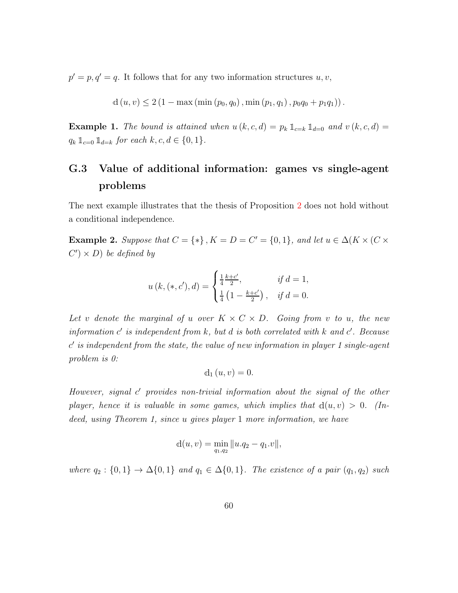$p' = p, q' = q$ . It follows that for any two information structures  $u, v$ ,

$$
d(u, v) \le 2 (1 - \max(\min(p_0, q_0), \min(p_1, q_1), p_0 q_0 + p_1 q_1)).
$$

**Example 1.** The bound is attained when  $u(k, c, d) = p_k 1_{k=k} 1_{k=0}$  and  $v(k, c, d) =$  $q_k 1\!\!1_{c=0} 1\!\!1_{d=k}$  for each  $k, c, d \in \{0, 1\}.$ 

## G.3 Value of additional information: games vs single-agent problems

The next example illustrates that the thesis of Proposition [2](#page-13-0) does not hold without a conditional independence.

**Example 2.** Suppose that  $C = \{*\}$ ,  $K = D = C' = \{0, 1\}$ , and let  $u \in \Delta(K \times (C \times$  $(C') \times D$  be defined by

$$
u(k, (*, c'), d) = \begin{cases} \frac{1}{4} \frac{k + c'}{2}, & \text{if } d = 1, \\ \frac{1}{4} \left( 1 - \frac{k + c'}{2} \right), & \text{if } d = 0. \end{cases}
$$

Let v denote the marginal of u over  $K \times C \times D$ . Going from v to u, the new information  $c'$  is independent from  $k$ , but  $d$  is both correlated with  $k$  and  $c'$ . Because c ′ is independent from the state, the value of new information in player 1 single-agent problem is 0:

$$
d_1(u,v)=0.
$$

However, signal c' provides non-trivial information about the signal of the other player, hence it is valuable in some games, which implies that  $d(u, v) > 0$ . (Indeed, using Theorem 1, since u gives player 1 more information, we have

$$
d(u, v) = \min_{q_1, q_2} ||u.q_2 - q_1.v||,
$$

where  $q_2 : \{0,1\} \rightarrow \Delta{0,1}$  and  $q_1 \in \Delta{0,1}$ . The existence of a pair  $(q_1, q_2)$  such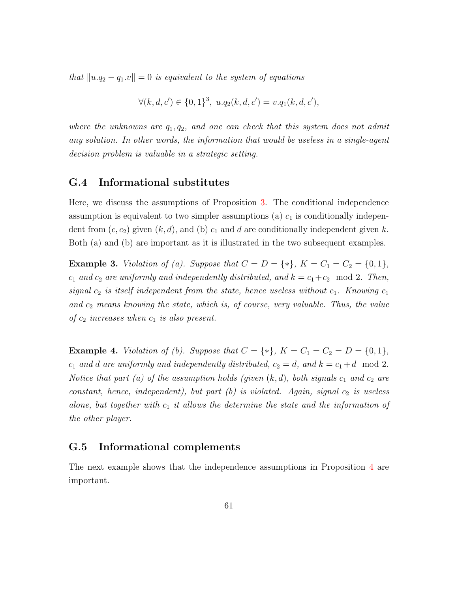that  $||u.q_2 - q_1.v|| = 0$  is equivalent to the system of equations

$$
\forall (k, d, c') \in \{0, 1\}^3, \ u.q_2(k, d, c') = v.q_1(k, d, c'),
$$

where the unknowns are  $q_1, q_2$ , and one can check that this system does not admit any solution. In other words, the information that would be useless in a single-agent decision problem is valuable in a strategic setting.

### G.4 Informational substitutes

Here, we discuss the assumptions of Proposition [3.](#page-14-0) The conditional independence assumption is equivalent to two simpler assumptions (a)  $c_1$  is conditionally independent from  $(c, c_2)$  given  $(k, d)$ , and  $(b)$   $c_1$  and  $d$  are conditionally independent given k. Both (a) and (b) are important as it is illustrated in the two subsequent examples.

**Example 3.** *Violation of (a). Suppose that*  $C = D = \{*\}, K = C_1 = C_2 = \{0, 1\},\$  $c_1$  and  $c_2$  are uniformly and independently distributed, and  $k = c_1+c_2 \mod 2$ . Then, signal  $c_2$  is itself independent from the state, hence useless without  $c_1$ . Knowing  $c_1$ and  $c_2$  means knowing the state, which is, of course, very valuable. Thus, the value of  $c_2$  increases when  $c_1$  is also present.

**Example 4.** *Violation of (b). Suppose that*  $C = \{*\}, K = C_1 = C_2 = D = \{0, 1\},\$  $c_1$  and d are uniformly and independently distributed,  $c_2 = d$ , and  $k = c_1 + d \mod 2$ . Notice that part (a) of the assumption holds (given  $(k, d)$ , both signals  $c_1$  and  $c_2$  are constant, hence, independent), but part  $(b)$  is violated. Again, signal  $c_2$  is useless alone, but together with  $c_1$  it allows the determine the state and the information of the other player.

#### G.5 Informational complements

The next example shows that the independence assumptions in Proposition [4](#page-15-1) are important.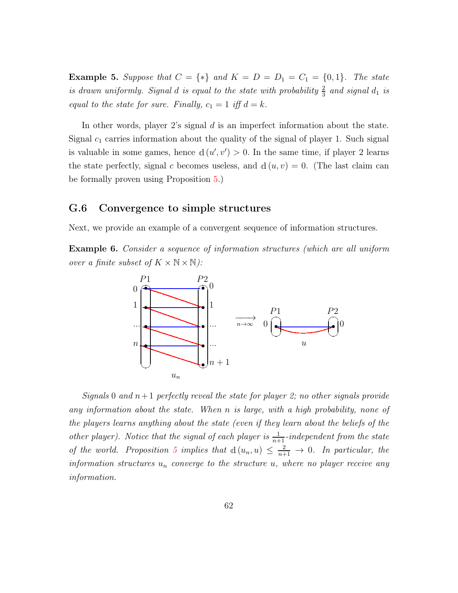**Example 5.** Suppose that  $C = \{*\}$  and  $K = D = D_1 = C_1 = \{0, 1\}$ . The state is drawn uniformly. Signal d is equal to the state with probability  $\frac{2}{3}$  and signal  $d_1$  is equal to the state for sure. Finally,  $c_1 = 1$  iff  $d = k$ .

In other words, player 2's signal d is an imperfect information about the state. Signal  $c_1$  carries information about the quality of the signal of player 1. Such signal is valuable in some games, hence  $d(u', v') > 0$ . In the same time, if player 2 learns the state perfectly, signal c becomes useless, and  $d(u, v) = 0$ . (The last claim can be formally proven using Proposition [5.](#page-15-0))

#### G.6 Convergence to simple structures

Next, we provide an example of a convergent sequence of information structures.

Example 6. Consider a sequence of information structures (which are all uniform over a finite subset of  $K \times N \times N$ :



Signals 0 and  $n+1$  perfectly reveal the state for player 2; no other signals provide any information about the state. When n is large, with a high probability, none of the players learns anything about the state (even if they learn about the beliefs of the other player). Notice that the signal of each player is  $\frac{1}{n+1}$ -independent from the state of the world. Proposition [5](#page-15-0) implies that  $d(u_n, u) \leq \frac{2}{n+1} \to 0$ . In particular, the information structures  $u_n$  converge to the structure u, where no player receive any information.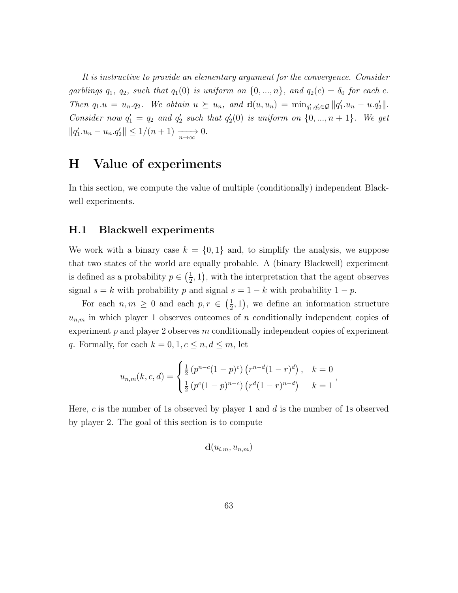It is instructive to provide an elementary argument for the convergence. Consider garblings  $q_1, q_2$ , such that  $q_1(0)$  is uniform on  $\{0, ..., n\}$ , and  $q_2(c) = \delta_0$  for each c. Then  $q_1.u = u_n.q_2$ . We obtain  $u \succeq u_n$ , and  $d(u, u_n) = \min_{q'_1, q'_2 \in \mathcal{Q}} ||q'_1.u_n - u.q'_2||$ . Consider now  $q'_1 = q_2$  and  $q'_2$  such that  $q'_2(0)$  is uniform on  $\{0, ..., n+1\}$ . We get  $||q'_1.u_n - u_n.q'_2|| \leq 1/(n+1) \xrightarrow[n \to \infty]{} 0.$ 

### H Value of experiments

In this section, we compute the value of multiple (conditionally) independent Blackwell experiments.

#### H.1 Blackwell experiments

We work with a binary case  $k = \{0, 1\}$  and, to simplify the analysis, we suppose that two states of the world are equally probable. A (binary Blackwell) experiment is defined as a probability  $p \in \left(\frac{1}{2}\right)$  $(\frac{1}{2}, 1)$ , with the interpretation that the agent observes signal  $s = k$  with probability p and signal  $s = 1 - k$  with probability  $1 - p$ .

For each  $n, m \geq 0$  and each  $p, r \in \left(\frac{1}{2}\right)$  $(\frac{1}{2}, 1)$ , we define an information structure  $u_{n,m}$  in which player 1 observes outcomes of n conditionally independent copies of experiment  $p$  and player 2 observes  $m$  conditionally independent copies of experiment q. Formally, for each  $k = 0, 1, c \le n, d \le m$ , let

$$
u_{n,m}(k,c,d) = \begin{cases} \frac{1}{2} (p^{n-c}(1-p)^c) (r^{n-d}(1-r)^d), & k = 0 \\ \frac{1}{2} (p^c(1-p)^{n-c}) (r^d(1-r)^{n-d}) & k = 1 \end{cases}
$$

Here, c is the number of 1s observed by player 1 and  $d$  is the number of 1s observed by player 2. The goal of this section is to compute

$$
\mathbf{d}(u_{l,m},u_{n,m})
$$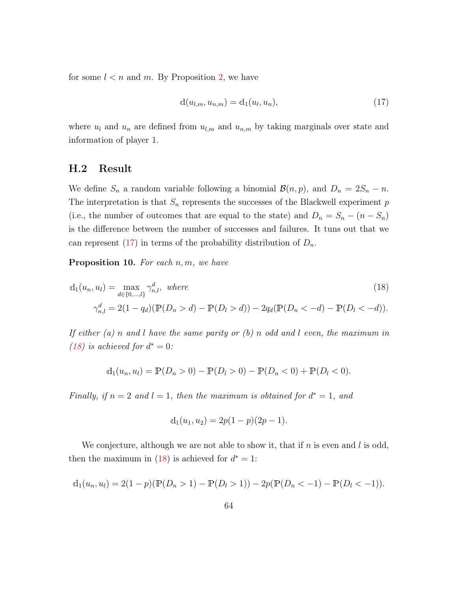for some  $l < n$  and m. By Proposition [2,](#page-13-0) we have

<span id="page-63-0"></span>
$$
d(u_{l,m}, u_{n,m}) = d_1(u_l, u_n),
$$
\n(17)

where  $u_l$  and  $u_n$  are defined from  $u_{l,m}$  and  $u_{n,m}$  by taking marginals over state and information of player 1.

#### H.2 Result

We define  $S_n$  a random variable following a binomial  $\mathcal{B}(n, p)$ , and  $D_n = 2S_n - n$ . The interpretation is that  $S_n$  represents the successes of the Blackwell experiment  $p$ (i.e., the number of outcomes that are equal to the state) and  $D_n = S_n - (n - S_n)$ is the difference between the number of successes and failures. It tuns out that we can represent  $(17)$  in terms of the probability distribution of  $D_n$ .

<span id="page-63-2"></span>**Proposition 10.** For each  $n, m$ , we have

$$
d_1(u_n, u_l) = \max_{d \in \{0, \dots, l\}} \gamma_{n,l}^d, \text{ where}
$$
  

$$
\gamma_{n,l}^d = 2(1 - q_d)(\mathbb{P}(D_n > d) - \mathbb{P}(D_l > d)) - 2q_d(\mathbb{P}(D_n < -d) - \mathbb{P}(D_l < -d)).
$$
 (18)

If either (a) n and l have the same parity or (b) n odd and l even, the maximum in [\(18\)](#page-63-1) is achieved for  $d^* = 0$ :

$$
d_1(u_n, u_l) = \mathbb{P}(D_n > 0) - \mathbb{P}(D_l > 0) - \mathbb{P}(D_n < 0) + \mathbb{P}(D_l < 0).
$$

Finally, if  $n = 2$  and  $l = 1$ , then the maximum is obtained for  $d^* = 1$ , and

<span id="page-63-1"></span>
$$
d_1(u_1, u_2) = 2p(1-p)(2p-1).
$$

We conjecture, although we are not able to show it, that if  $n$  is even and  $l$  is odd, then the maximum in [\(18\)](#page-63-1) is achieved for  $d^* = 1$ :

$$
d_1(u_n, u_l) = 2(1-p)(\mathbb{P}(D_n > 1) - \mathbb{P}(D_l > 1)) - 2p(\mathbb{P}(D_n < -1) - \mathbb{P}(D_l < -1)).
$$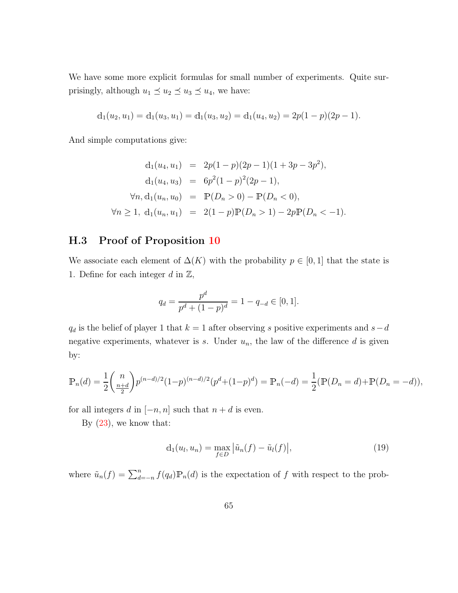We have some more explicit formulas for small number of experiments. Quite surprisingly, although  $u_1 \preceq u_2 \preceq u_3 \preceq u_4$ , we have:

$$
d_1(u_2, u_1) = d_1(u_3, u_1) = d_1(u_3, u_2) = d_1(u_4, u_2) = 2p(1-p)(2p-1).
$$

And simple computations give:

$$
d_1(u_4, u_1) = 2p(1-p)(2p-1)(1+3p-3p^2),
$$
  
\n
$$
d_1(u_4, u_3) = 6p^2(1-p)^2(2p-1),
$$
  
\n
$$
\forall n, d_1(u_n, u_0) = \mathbb{P}(D_n > 0) - \mathbb{P}(D_n < 0),
$$
  
\n
$$
\forall n \ge 1, d_1(u_n, u_1) = 2(1-p)\mathbb{P}(D_n > 1) - 2p\mathbb{P}(D_n < -1).
$$

### H.3 Proof of Proposition [10](#page-63-2)

We associate each element of  $\Delta(K)$  with the probability  $p \in [0,1]$  that the state is 1. Define for each integer  $d$  in  $\mathbb{Z}$ ,

$$
q_d = \frac{p^d}{p^d + (1 - p)^d} = 1 - q_{-d} \in [0, 1].
$$

 $q_d$  is the belief of player 1 that  $k = 1$  after observing s positive experiments and  $s − d$ negative experiments, whatever is  $s$ . Under  $u_n$ , the law of the difference  $d$  is given by:

$$
\mathbb{P}_n(d) = \frac{1}{2} {n \choose \frac{n+d}{2}} p^{(n-d)/2} (1-p)^{(n-d)/2} (p^d + (1-p)^d) = \mathbb{P}_n(-d) = \frac{1}{2} (\mathbb{P}(D_n = d) + \mathbb{P}(D_n = -d)),
$$

for all integers d in  $[-n, n]$  such that  $n + d$  is even.

By  $(23)$ , we know that:

$$
\mathbf{d}_1(u_l, u_n) = \max_{f \in D} |\tilde{u}_n(f) - \tilde{u}_l(f)|,\tag{19}
$$

where  $\tilde{u}_n(f) = \sum_{d=-n}^n f(q_d) \mathbb{P}_n(d)$  is the expectation of f with respect to the prob-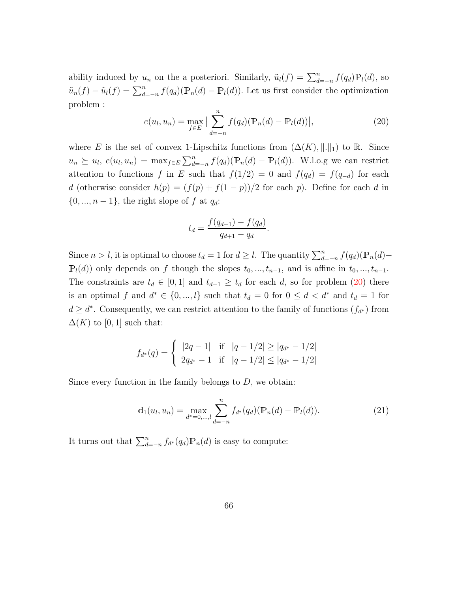ability induced by  $u_n$  on the a posteriori. Similarly,  $\tilde{u}_l(f) = \sum_{d=-n}^n f(q_d) \mathbb{P}_l(d)$ , so  $\tilde{u}_n(f) - \tilde{u}_l(f) = \sum_{d=-n}^n f(q_d)(\mathbb{P}_n(d) - \mathbb{P}_l(d))$ . Let us first consider the optimization problem :

<span id="page-65-0"></span>
$$
e(u_l, u_n) = \max_{f \in E} \left| \sum_{d=-n}^{n} f(q_d) (\mathbb{P}_n(d) - \mathbb{P}_l(d)) \right|,
$$
 (20)

where E is the set of convex 1-Lipschitz functions from  $(\Delta(K), \|\cdot\|_1)$  to R. Since  $u_n \succeq u_l, e(u_l, u_n) = \max_{f \in E} \sum_{d=-n}^n f(q_d) (\mathbb{P}_n(d) - \mathbb{P}_l(d))$ . W.l.o.g we can restrict attention to functions f in E such that  $f(1/2) = 0$  and  $f(q_d) = f(q_{-d})$  for each d (otherwise consider  $h(p) = (f(p) + f(1 - p))/2$  for each p). Define for each d in  $\{0, ..., n-1\}$ , the right slope of f at  $q_d$ :

$$
t_d = \frac{f(q_{d+1}) - f(q_d)}{q_{d+1} - q_d}.
$$

Since  $n > l$ , it is optimal to choose  $t_d = 1$  for  $d \geq l$ . The quantity  $\sum_{d=-n}^{n} f(q_d) (\mathbb{P}_n(d) \mathbb{P}_l(d)$  only depends on f though the slopes  $t_0, ..., t_{n-1}$ , and is affine in  $t_0, ..., t_{n-1}$ . The constraints are  $t_d \in [0,1]$  and  $t_{d+1} \geq t_d$  for each d, so for problem [\(20\)](#page-65-0) there is an optimal f and  $d^* \in \{0, ..., l\}$  such that  $t_d = 0$  for  $0 \leq d < d^*$  and  $t_d = 1$  for  $d \geq d^*$ . Consequently, we can restrict attention to the family of functions  $(f_{d^*})$  from  $\Delta(K)$  to [0, 1] such that:

$$
f_{d^*}(q) = \begin{cases} |2q - 1| & \text{if } |q - 1/2| \ge |q_{d^*} - 1/2| \\ 2q_{d^*} - 1 & \text{if } |q - 1/2| \le |q_{d^*} - 1/2| \end{cases}
$$

Since every function in the family belongs to  $D$ , we obtain:

<span id="page-65-1"></span>
$$
d_1(u_l, u_n) = \max_{d^* = 0, \dots, l} \sum_{d = -n}^n f_{d^*}(q_d) (\mathbb{P}_n(d) - \mathbb{P}_l(d)).
$$
\n(21)

It turns out that  $\sum_{d=-n}^{n} f_{d^*}(q_d) \mathbb{P}_n(d)$  is easy to compute: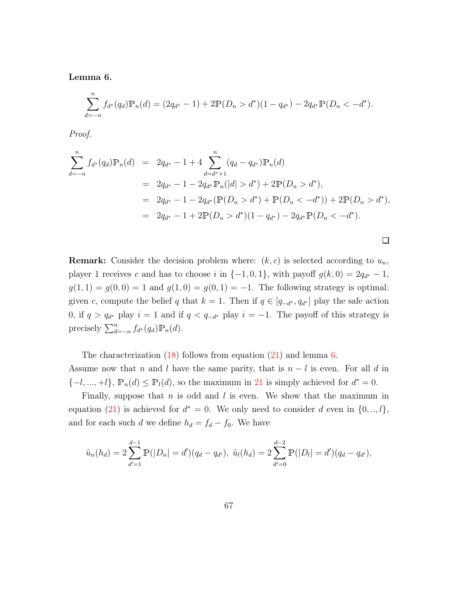<span id="page-66-0"></span>Lemma 6.

$$
\sum_{d=-n}^{n} f_{d^*}(q_d) \mathbb{P}_n(d) = (2q_{d^*} - 1) + 2\mathbb{P}(D_n > d^*)(1 - q_{d^*}) - 2q_{d^*}\mathbb{P}(D_n < -d^*).
$$

Proof.

$$
\sum_{d=-n}^{n} f_{d^*}(q_d) \mathbb{P}_n(d) = 2q_{d^*} - 1 + 4 \sum_{d=d^*+1}^{n} (q_d - q_{d^*}) \mathbb{P}_n(d)
$$
  
\n
$$
= 2q_{d^*} - 1 - 2q_{d^*} \mathbb{P}_n(|d| > d^*) + 2\mathbb{P}(D_n > d^*),
$$
  
\n
$$
= 2q_{d^*} - 1 - 2q_{d^*} (\mathbb{P}(D_n > d^*) + \mathbb{P}(D_n < -d^*)) + 2\mathbb{P}(D_n > d^*),
$$
  
\n
$$
= 2q_{d^*} - 1 + 2\mathbb{P}(D_n > d^*)(1 - q_{d^*}) - 2q_{d^*} \mathbb{P}(D_n < -d^*).
$$

 $\Box$ 

**Remark:** Consider the decision problem where:  $(k, c)$  is selected according to  $u_n$ , player 1 receives c and has to choose i in  $\{-1,0,1\}$ , with payoff  $g(k, 0) = 2q_{d^*} - 1$ ,  $g(1, 1) = g(0, 0) = 1$  and  $g(1, 0) = g(0, 1) = -1$ . The following strategy is optimal: given c, compute the belief q that  $k = 1$ . Then if  $q \in [q_{-d^*}, q_{d^*}]$  play the safe action 0, if  $q > q_{d^*}$  play  $i = 1$  and if  $q < q_{-d^*}$  play  $i = -1$ . The payoff of this strategy is precisely  $\sum_{d=-n}^{n} f_{d^*}(q_d) \mathbb{P}_n(d)$ .

The characterization [\(18\)](#page-63-1) follows from equation [\(21\)](#page-65-1) and lemma [6.](#page-66-0) Assume now that n and l have the same parity, that is  $n - l$  is even. For all d in  $\{-l, ..., +l\}, \mathbb{P}_n(d) \leq \mathbb{P}_l(d)$ , so the maximum in [21](#page-65-1) is simply achieved for  $d^* = 0$ .

Finally, suppose that  $n$  is odd and  $l$  is even. We show that the maximum in equation [\(21\)](#page-65-1) is achieved for  $d^* = 0$ . We only need to consider d even in  $\{0, ..., l\}$ , and for each such d we define  $h_d = f_d - f_0$ . We have

$$
\tilde{u}_n(h_d) = 2 \sum_{d'=1}^{d-1} \mathbb{P}(|D_n| = d')(q_d - q_{d'}), \ \tilde{u}_l(h_d) = 2 \sum_{d'=0}^{d-2} \mathbb{P}(|D_l| = d')(q_d - q_{d'}),
$$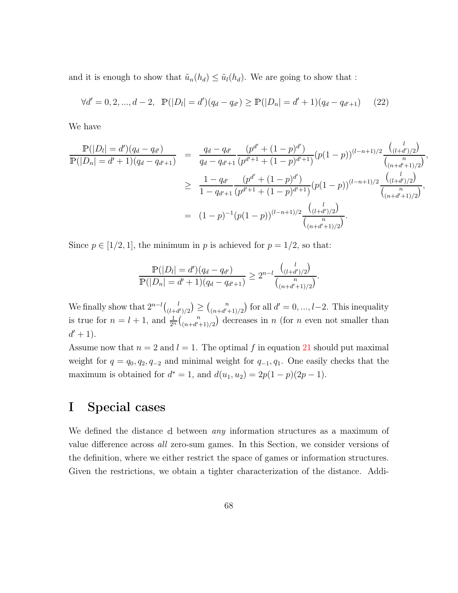and it is enough to show that  $\tilde{u}_n(h_d) \leq \tilde{u}_l(h_d)$ . We are going to show that :

$$
\forall d' = 0, 2, ..., d - 2, \quad \mathbb{P}(|D_l| = d')(q_d - q_{d'}) \ge \mathbb{P}(|D_n| = d' + 1)(q_d - q_{d'+1}) \tag{22}
$$

We have

$$
\frac{\mathbb{P}(|D_l| = d') (q_d - q_{d'})}{\mathbb{P}(|D_n| = d' + 1)(q_d - q_{d'+1})} = \frac{q_d - q_{d'}}{q_d - q_{d'+1}} \frac{(p^{d'} + (1 - p)^{d'})}{(p^{d'+1} + (1 - p)^{d'+1})} (p(1 - p))^{(l - n + 1)/2} \frac{\binom{l}{(l + d')/2}}{\binom{n}{(n + d' + 1)/2}},
$$
  
\n
$$
\geq \frac{1 - q_{d'}}{1 - q_{d'+1}} \frac{(p^{d'} + (1 - p)^{d'})}{(p^{d'+1} + (1 - p)^{d'+1})} (p(1 - p))^{(l - n + 1)/2} \frac{\binom{l}{(l + d')/2}}{\binom{n}{(n + d' + 1)/2}},
$$
  
\n
$$
= (1 - p)^{-1} (p(1 - p))^{(l - n + 1)/2} \frac{\binom{l}{(l + d')/2}}{\binom{n}{(n + d' + 1)/2}}.
$$

Since  $p \in [1/2, 1]$ , the minimum in p is achieved for  $p = 1/2$ , so that:

$$
\frac{\mathbb{P}(|D_l| = d') (q_d - q_{d'})}{\mathbb{P}(|D_n| = d' + 1)(q_d - q_{d'+1})} \geq 2^{n-l} \frac{\binom{l}{(l+d')/2}}{\binom{n}{(n+d'+1)/2}}.
$$

We finally show that  $2^{n-l}\binom{l}{l+d}$  $\binom{l}{(l+d')/2} \geq \binom{n}{(n+d')}.$  $\binom{n}{(n+d'+1)/2}$  for all  $d' = 0, ..., l-2$ . This inequality is true for  $n = l + 1$ , and  $\frac{1}{2^n} {n \choose (n+d)}$  $\binom{n}{(n+d'+1)/2}$  decreases in n (for n even not smaller than  $d' + 1$ .

Assume now that  $n = 2$  and  $l = 1$ . The optimal f in equation [21](#page-65-1) should put maximal weight for  $q = q_0, q_2, q_{-2}$  and minimal weight for  $q_{-1}, q_1$ . One easily checks that the maximum is obtained for  $d^* = 1$ , and  $d(u_1, u_2) = 2p(1 - p)(2p - 1)$ .

### I Special cases

We defined the distance d between *any* information structures as a maximum of value difference across all zero-sum games. In this Section, we consider versions of the definition, where we either restrict the space of games or information structures. Given the restrictions, we obtain a tighter characterization of the distance. Addi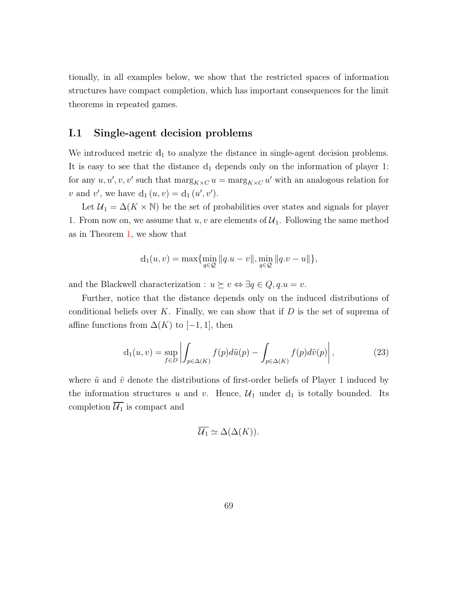tionally, in all examples below, we show that the restricted spaces of information structures have compact completion, which has important consequences for the limit theorems in repeated games.

#### I.1 Single-agent decision problems

We introduced metric  $d_1$  to analyze the distance in single-agent decision problems. It is easy to see that the distance  $d_1$  depends only on the information of player 1: for any  $u, u', v, v'$  such that  $\max_{K \times C} u = \max_{K \times C} u'$  with an analogous relation for v and v', we have  $d_1(u, v) = d_1(u', v')$ .

Let  $U_1 = \Delta(K \times \mathbb{N})$  be the set of probabilities over states and signals for player 1. From now on, we assume that  $u, v$  are elements of  $\mathcal{U}_1$ . Following the same method as in Theorem [1,](#page-9-0) we show that

$$
d_1(u, v) = \max \{ \min_{q \in \mathcal{Q}} ||q.u - v||, \min_{q \in \mathcal{Q}} ||q.v - u|| \},\
$$

and the Blackwell characterization :  $u \succeq v \Leftrightarrow \exists q \in Q, q.u = v.$ 

Further, notice that the distance depends only on the induced distributions of conditional beliefs over K. Finally, we can show that if  $D$  is the set of suprema of affine functions from  $\Delta(K)$  to [-1, 1], then

<span id="page-68-0"></span>
$$
d_1(u, v) = \sup_{f \in D} \left| \int_{p \in \Delta(K)} f(p) d\tilde{u}(p) - \int_{p \in \Delta(K)} f(p) d\tilde{v}(p) \right|,
$$
 (23)

where  $\tilde{u}$  and  $\tilde{v}$  denote the distributions of first-order beliefs of Player 1 induced by the information structures u and v. Hence,  $\mathcal{U}_1$  under  $d_1$  is totally bounded. Its completion  $\overline{\mathcal{U}_1}$  is compact and

$$
\overline{\mathcal{U}_1} \simeq \Delta(\Delta(K)).
$$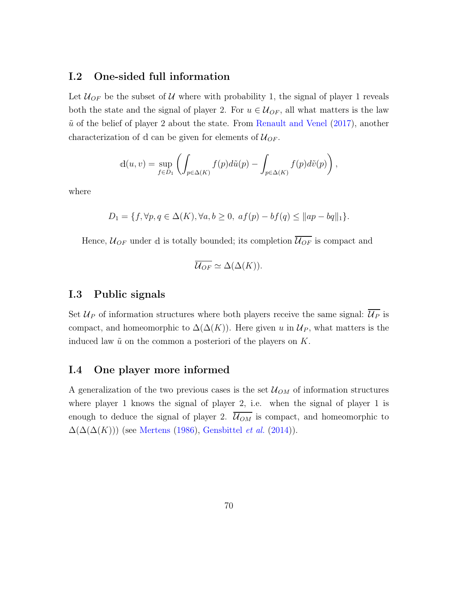#### I.2 One-sided full information

Let  $\mathcal{U}_{OF}$  be the subset of U where with probability 1, the signal of player 1 reveals both the state and the signal of player 2. For  $u \in \mathcal{U}_{OF}$ , all what matters is the law  $\tilde{u}$  of the belief of player 2 about the state. From [Renault and Venel](#page-95-0) [\(2017\)](#page-95-0), another characterization of d can be given for elements of  $\mathcal{U}_{OF}$ .

$$
d(u, v) = \sup_{f \in D_1} \left( \int_{p \in \Delta(K)} f(p) d\tilde{u}(p) - \int_{p \in \Delta(K)} f(p) d\tilde{v}(p) \right),
$$

where

$$
D_1 = \{ f, \forall p, q \in \Delta(K), \forall a, b \ge 0, \ af(p) - bf(q) \le ||ap - bq||_1 \}.
$$

Hence,  $\mathcal{U}_{OF}$  under d is totally bounded; its completion  $\overline{\mathcal{U}_{OF}}$  is compact and

$$
\overline{\mathcal{U}_{OF}} \simeq \Delta(\Delta(K)).
$$

#### I.3 Public signals

Set  $\mathcal{U}_P$  of information structures where both players receive the same signal:  $\overline{\mathcal{U}_P}$  is compact, and homeomorphic to  $\Delta(\Delta(K))$ . Here given u in  $\mathcal{U}_P$ , what matters is the induced law  $\tilde{u}$  on the common a posteriori of the players on K.

### I.4 One player more informed

A generalization of the two previous cases is the set  $\mathcal{U}_{OM}$  of information structures where player 1 knows the signal of player 2, i.e. when the signal of player 1 is enough to deduce the signal of player 2.  $\overline{\mathcal{U}_{OM}}$  is compact, and homeomorphic to  $\Delta(\Delta(\Delta(K)))$  (see [Mertens](#page-94-1) [\(1986\)](#page-94-1), [Gensbittel](#page-93-2) et al. [\(2014](#page-93-2))).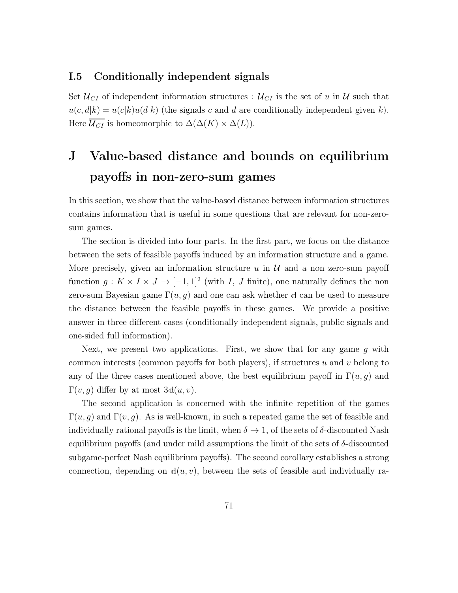#### I.5 Conditionally independent signals

Set  $\mathcal{U}_{CI}$  of independent information structures :  $\mathcal{U}_{CI}$  is the set of u in U such that  $u(c, d|k) = u(c|k)u(d|k)$  (the signals c and d are conditionally independent given k). Here  $\overline{\mathcal{U}_{CI}}$  is homeomorphic to  $\Delta(\Delta(K) \times \Delta(L)).$ 

# J Value-based distance and bounds on equilibrium payoffs in non-zero-sum games

In this section, we show that the value-based distance between information structures contains information that is useful in some questions that are relevant for non-zerosum games.

The section is divided into four parts. In the first part, we focus on the distance between the sets of feasible payoffs induced by an information structure and a game. More precisely, given an information structure u in  $\mathcal U$  and a non zero-sum payoff function  $g: K \times I \times J \to [-1,1]^2$  (with I, J finite), one naturally defines the non zero-sum Bayesian game  $\Gamma(u, g)$  and one can ask whether d can be used to measure the distance between the feasible payoffs in these games. We provide a positive answer in three different cases (conditionally independent signals, public signals and one-sided full information).

Next, we present two applications. First, we show that for any game  $g$  with common interests (common payoffs for both players), if structures u and v belong to any of the three cases mentioned above, the best equilibrium payoff in  $\Gamma(u, g)$  and  $\Gamma(v, g)$  differ by at most  $3d(u, v)$ .

The second application is concerned with the infinite repetition of the games  $\Gamma(u, q)$  and  $\Gamma(v, q)$ . As is well-known, in such a repeated game the set of feasible and individually rational payoffs is the limit, when  $\delta \to 1$ , of the sets of  $\delta$ -discounted Nash equilibrium payoffs (and under mild assumptions the limit of the sets of δ-discounted subgame-perfect Nash equilibrium payoffs). The second corollary establishes a strong connection, depending on  $d(u, v)$ , between the sets of feasible and individually ra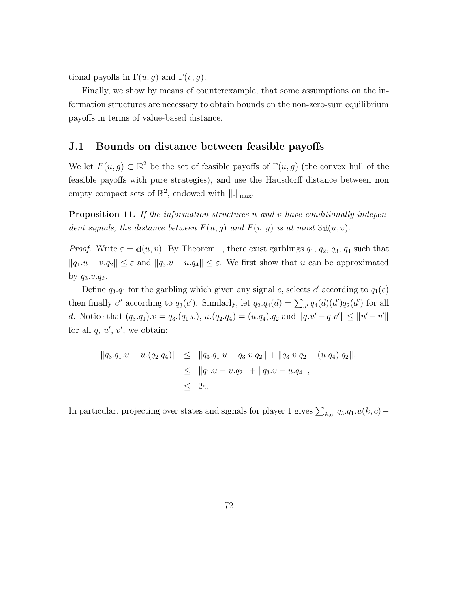tional payoffs in  $\Gamma(u, g)$  and  $\Gamma(v, g)$ .

Finally, we show by means of counterexample, that some assumptions on the information structures are necessary to obtain bounds on the non-zero-sum equilibrium payoffs in terms of value-based distance.

#### J.1 Bounds on distance between feasible payoffs

We let  $F(u, g) \subset \mathbb{R}^2$  be the set of feasible payoffs of  $\Gamma(u, g)$  (the convex hull of the feasible payoffs with pure strategies), and use the Hausdorff distance between non empty compact sets of  $\mathbb{R}^2$ , endowed with  $\|.\|_{\max}$ .

**Proposition 11.** If the information structures u and v have conditionally independent signals, the distance between  $F(u, g)$  and  $F(v, g)$  is at most  $3d(u, v)$ .

*Proof.* Write  $\varepsilon = d(u, v)$ . By Theorem [1,](#page-9-0) there exist garblings  $q_1, q_2, q_3, q_4$  such that  $||q_1.u - v.q_2|| \leq \varepsilon$  and  $||q_3.v - u.q_4|| \leq \varepsilon$ . We first show that u can be approximated by  $q_3.v.q_2$ .

Define  $q_3.q_1$  for the garbling which given any signal c, selects c' according to  $q_1(c)$ then finally c'' according to  $q_3(c')$ . Similarly, let  $q_2.q_4(d) = \sum_{d'} q_4(d)(d')q_2(d')$  for all d. Notice that  $(q_3.q_1).v = q_3.(q_1.v), u.(q_2.q_4) = (u.q_4).q_2$  and  $||q.u'-q.v'|| \le ||u'-v'||$ for all  $q, u', v'$ , we obtain:

$$
||q_3.q_1.u - u.(q_2.q_4)|| \le ||q_3.q_1.u - q_3.v.q_2|| + ||q_3.v.q_2 - (u.q_4).q_2||,
$$
  
\n
$$
\le ||q_1.u - v.q_2|| + ||q_3.v - u.q_4||,
$$
  
\n
$$
\le 2\varepsilon.
$$

In particular, projecting over states and signals for player 1 gives  $\sum_{k,c} |q_3.q_1.u(k, c) -$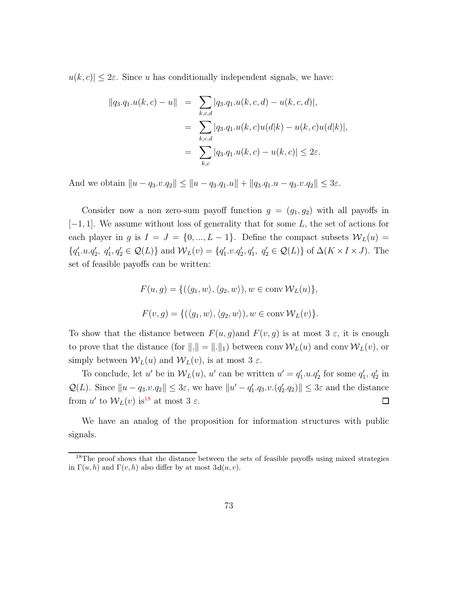$|u(k, c)| \leq 2\varepsilon$ . Since u has conditionally independent signals, we have:

$$
||q_3.q_1.u(k,c) - u|| = \sum_{k,c,d} |q_3.q_1.u(k,c,d) - u(k,c,d)|,
$$
  

$$
= \sum_{k,c,d} |q_3.q_1.u(k,c)u(d|k) - u(k,c)u(d|k)|,
$$
  

$$
= \sum_{k,c} |q_3.q_1.u(k,c) - u(k,c)| \leq 2\varepsilon.
$$

And we obtain  $||u - q_3 \cdot v \cdot q_2|| \le ||u - q_3 \cdot q_1 \cdot u|| + ||q_3 \cdot q_1 \cdot u - q_3 \cdot v \cdot q_2|| \le 3\varepsilon$ .

Consider now a non zero-sum payoff function  $g = (g_1, g_2)$  with all payoffs in  $[-1, 1]$ . We assume without loss of generality that for some L, the set of actions for each player in g is  $I = J = \{0, ..., L - 1\}$ . Define the compact subsets  $W_L(u)$  =  $\{q'_1.u.q'_2, q'_1,q'_2 \in \mathcal{Q}(L)\}\$ and  $\mathcal{W}_L(v) = \{q'_1.v.q'_2,q'_1, q'_2 \in \mathcal{Q}(L)\}\$  of  $\Delta(K \times I \times J)$ . The set of feasible payoffs can be written:

$$
F(u, g) = \{ (\langle g_1, w \rangle, \langle g_2, w \rangle), w \in \text{conv } \mathcal{W}_L(u) \},
$$
  

$$
F(v, g) = \{ (\langle g_1, w \rangle, \langle g_2, w \rangle), w \in \text{conv } \mathcal{W}_L(v) \}.
$$

To show that the distance between  $F(u, g)$  and  $F(v, g)$  is at most 3  $\varepsilon$ , it is enough to prove that the distance (for  $\|.\| = \|.\|_1$ ) between conv  $W_L(u)$  and conv  $W_L(v)$ , or simply between  $W_L(u)$  and  $W_L(v)$ , is at most 3  $\varepsilon$ .

To conclude, let u' be in  $W_L(u)$ , u' can be written  $u' = q'_1 u q'_2$  for some  $q'_1, q'_2$  in  $\mathcal{Q}(L)$ . Since  $||u - q_3 \cdot v \cdot q_2|| \leq 3\varepsilon$ , we have  $||u' - q'_1 \cdot q_3 \cdot v \cdot (q'_2 \cdot q_2)|| \leq 3\varepsilon$  and the distance from u' to  $W_L(v)$  is<sup>[18](#page-72-0)</sup> at most 3  $\varepsilon$ . 口

We have an analog of the proposition for information structures with public signals.

<span id="page-72-0"></span><sup>&</sup>lt;sup>18</sup>The proof shows that the distance between the sets of feasible payoffs using mixed strategies in  $\Gamma(u, h)$  and  $\Gamma(v, h)$  also differ by at most  $3d(u, v)$ .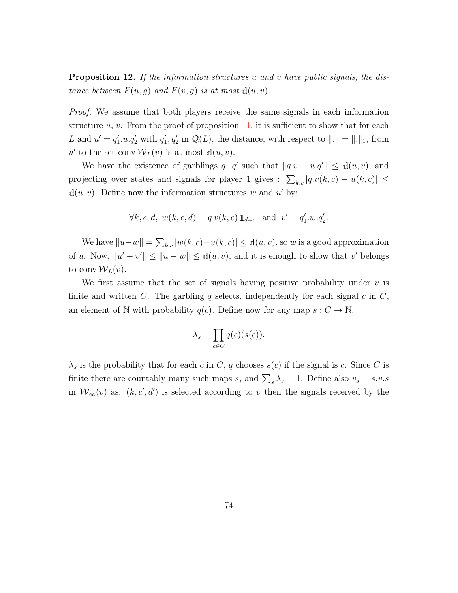<span id="page-73-0"></span>**Proposition 12.** If the information structures u and v have public signals, the distance between  $F(u, g)$  and  $F(v, g)$  is at most  $d(u, v)$ .

Proof. We assume that both players receive the same signals in each information structure  $u, v$ . From the proof of proposition [11,](#page-71-0) it is sufficient to show that for each L and  $u' = q'_1.u.q'_2$  with  $q'_1,q'_2$  in  $\mathcal{Q}(L)$ , the distance, with respect to  $||.|| = ||.||_1$ , from  $u'$  to the set conv  $W_L(v)$  is at most  $d(u, v)$ .

We have the existence of garblings q, q' such that  $||q.v - u.q'|| \le d(u,v)$ , and projecting over states and signals for player 1 gives :  $\sum_{k,c} |q.v(k, c) - u(k, c)| \leq$  $d(u, v)$ . Define now the information structures w and u' by:

$$
\forall k, c, d, w(k, c, d) = q v(k, c) \mathbb{1}_{d=c}
$$
 and  $v' = q'_1 w . q'_2$ .

We have  $||u-w|| = \sum_{k,c} |w(k, c)-u(k, c)| \le d(u, v)$ , so w is a good approximation of u. Now,  $||u' - v'|| \le ||u - w|| \le d(u, v)$ , and it is enough to show that v' belongs to conv $W_L(v)$ .

We first assume that the set of signals having positive probability under  $v$  is finite and written C. The garbling q selects, independently for each signal c in  $C$ , an element of N with probability  $q(c)$ . Define now for any map  $s: C \to \mathbb{N}$ ,

$$
\lambda_s = \prod_{c \in C} q(c)(s(c)).
$$

 $\lambda_s$  is the probability that for each c in C, q chooses  $s(c)$  if the signal is c. Since C is finite there are countably many such maps s, and  $\sum_{s} \lambda_s = 1$ . Define also  $v_s = s.v.s$ in  $W_\infty(v)$  as:  $(k, c', d')$  is selected according to v then the signals received by the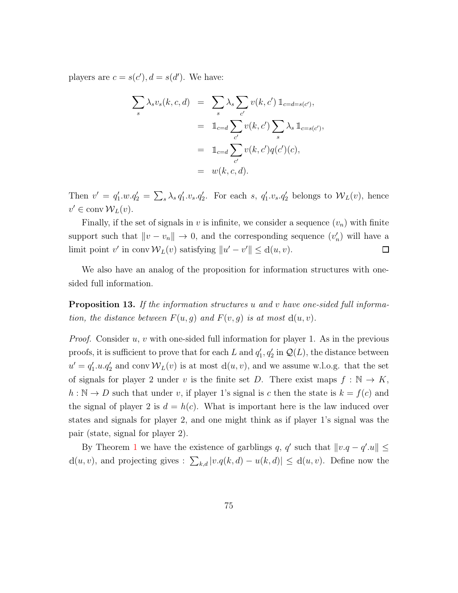players are  $c = s(c')$ ,  $d = s(d')$ . We have:

$$
\sum_{s} \lambda_{s} v_{s}(k, c, d) = \sum_{s} \lambda_{s} \sum_{c'} v(k, c') \mathbb{1}_{c=d=s(c')},
$$
  

$$
= \mathbb{1}_{c=d} \sum_{c'} v(k, c') \sum_{s} \lambda_{s} \mathbb{1}_{c=s(c')},
$$
  

$$
= \mathbb{1}_{c=d} \sum_{c'} v(k, c') q(c')(c),
$$
  

$$
= w(k, c, d).
$$

Then  $v' = q'_1.w.q'_2 = \sum_s \lambda_s q'_1.v_s.q'_2$ . For each s,  $q'_1.v_s.q'_2$  belongs to  $W_L(v)$ , hence  $v' \in \text{conv } \mathcal{W}_L(v)$ .

Finally, if the set of signals in v is infinite, we consider a sequence  $(v_n)$  with finite support such that  $\|v - v_n\| \to 0$ , and the corresponding sequence  $(v'_n)$  will have a limit point v' in conv $W_L(v)$  satisfying  $||u' - v'|| \le d(u, v)$ .  $\Box$ 

We also have an analog of the proposition for information structures with onesided full information.

<span id="page-74-0"></span>**Proposition 13.** If the information structures u and v have one-sided full information, the distance between  $F(u, g)$  and  $F(v, g)$  is at most  $d(u, v)$ .

*Proof.* Consider  $u, v$  with one-sided full information for player 1. As in the previous proofs, it is sufficient to prove that for each L and  $q'_1, q'_2$  in  $\mathcal{Q}(L)$ , the distance between  $u' = q'_1.u.q'_2$  and conv  $W_L(v)$  is at most  $d(u, v)$ , and we assume w.l.o.g. that the set of signals for player 2 under v is the finite set D. There exist maps  $f : \mathbb{N} \to K$ ,  $h : \mathbb{N} \to D$  such that under v, if player 1's signal is c then the state is  $k = f(c)$  and the signal of player 2 is  $d = h(c)$ . What is important here is the law induced over states and signals for player 2, and one might think as if player 1's signal was the pair (state, signal for player 2).

By Theorem [1](#page-9-0) we have the existence of garblings q, q' such that  $||v.q-q'.u|| \le$  $d(u, v)$ , and projecting gives :  $\sum_{k,d} |v.q(k, d) - u(k, d)| \le d(u, v)$ . Define now the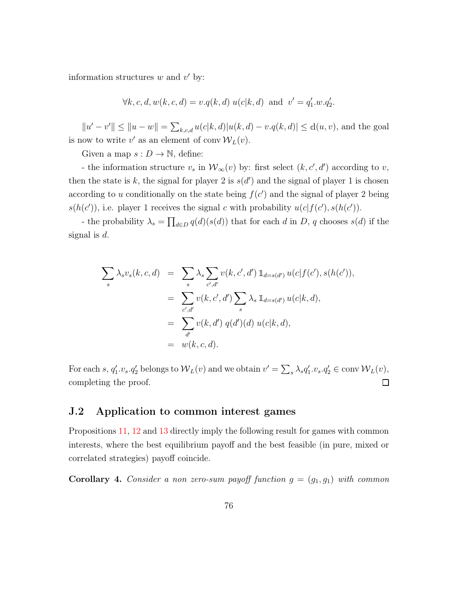information structures  $w$  and  $v'$  by:

$$
\forall k, c, d, w(k, c, d) = v.q(k, d) u(c|k, d)
$$
 and  $v' = q'_1.w.q'_2.$ 

 $||u' - v'|| \le ||u - w|| = \sum_{k,c,d} u(c|k,d) |u(k,d) - v.q(k,d)| \le d(u,v)$ , and the goal is now to write  $v'$  as an element of conv $\mathcal{W}_L(v)$ .

Given a map  $s: D \to \mathbb{N}$ , define:

- the information structure  $v_s$  in  $\mathcal{W}_\infty(v)$  by: first select  $(k, c', d')$  according to v, then the state is k, the signal for player 2 is  $s(d')$  and the signal of player 1 is chosen according to u conditionally on the state being  $f(c')$  and the signal of player 2 being  $s(h(c'))$ , i.e. player 1 receives the signal c with probability  $u(c|f(c'), s(h(c'))$ .

- the probability  $\lambda_s = \prod_{d \in D} q(d)(s(d))$  that for each d in D, q chooses  $s(d)$  if the signal is  $d$ .

$$
\sum_{s} \lambda_{s} v_{s}(k, c, d) = \sum_{s} \lambda_{s} \sum_{c', d'} v(k, c', d') \mathbb{1}_{d=s(d')} u(c|f(c'), s(h(c')),
$$
  

$$
= \sum_{c', d'} v(k, c', d') \sum_{s} \lambda_{s} \mathbb{1}_{d=s(d')} u(c|k, d),
$$
  

$$
= \sum_{d'} v(k, d') q(d')(d) u(c|k, d),
$$
  

$$
= w(k, c, d).
$$

For each s,  $q'_1 \cdot v_s \cdot q'_2$  belongs to  $W_L(v)$  and we obtain  $v' = \sum_s \lambda_s q'_1 \cdot v_s \cdot q'_2 \in \text{conv } W_L(v)$ , completing the proof.  $\Box$ 

### J.2 Application to common interest games

Propositions [11,](#page-71-0) [12](#page-73-0) and [13](#page-74-0) directly imply the following result for games with common interests, where the best equilibrium payoff and the best feasible (in pure, mixed or correlated strategies) payoff coincide.

<span id="page-75-0"></span>Corollary 4. Consider a non zero-sum payoff function  $g = (g_1, g_1)$  with common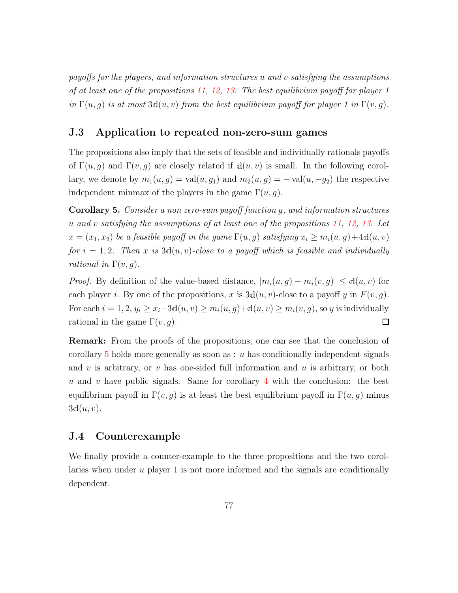payoffs for the players, and information structures u and v satisfying the assumptions of at least one of the propositions [11,](#page-71-0) [12,](#page-73-0) [13.](#page-74-0) The best equilibrium payoff for player 1 in  $\Gamma(u, q)$  is at most  $3d(u, v)$  from the best equilibrium payoff for player 1 in  $\Gamma(v, q)$ .

### J.3 Application to repeated non-zero-sum games

The propositions also imply that the sets of feasible and individually rationals payoffs of  $\Gamma(u, q)$  and  $\Gamma(v, q)$  are closely related if  $d(u, v)$  is small. In the following corollary, we denote by  $m_1(u, g) = \text{val}(u, g_1)$  and  $m_2(u, g) = -\text{val}(u, -g_2)$  the respective independent minmax of the players in the game  $\Gamma(u, g)$ .

<span id="page-76-0"></span>Corollary 5. Consider a non zero-sum payoff function g, and information structures u and v satisfying the assumptions of at least one of the propositions [11,](#page-71-0) [12,](#page-73-0) [13.](#page-74-0) Let  $x = (x_1, x_2)$  be a feasible payoff in the game  $\Gamma(u, g)$  satisfying  $x_i \geq m_i(u, g) + 4d(u, v)$ for  $i = 1, 2$ . Then x is  $3d(u, v)$ -close to a payoff which is feasible and individually rational in  $\Gamma(v, q)$ .

*Proof.* By definition of the value-based distance,  $|m_i(u, g) - m_i(v, g)| \le d(u, v)$  for each player i. By one of the propositions, x is  $3d(u, v)$ -close to a payoff y in  $F(v, g)$ . For each  $i = 1, 2, y_i \ge x_i - 3d(u, v) \ge m_i(u, g) + d(u, v) \ge m_i(v, g)$ , so y is individually rational in the game  $\Gamma(v, g)$ .  $\Box$ 

Remark: From the proofs of the propositions, one can see that the conclusion of corollary  $5$  holds more generally as soon as : u has conditionally independent signals and v is arbitrary, or v has one-sided full information and  $u$  is arbitrary, or both u and v have public signals. Same for corollary  $4$  with the conclusion: the best equilibrium payoff in  $\Gamma(v, q)$  is at least the best equilibrium payoff in  $\Gamma(u, q)$  minus  $3d(u, v)$ .

## J.4 Counterexample

We finally provide a counter-example to the three propositions and the two corollaries when under  $u$  player 1 is not more informed and the signals are conditionally dependent.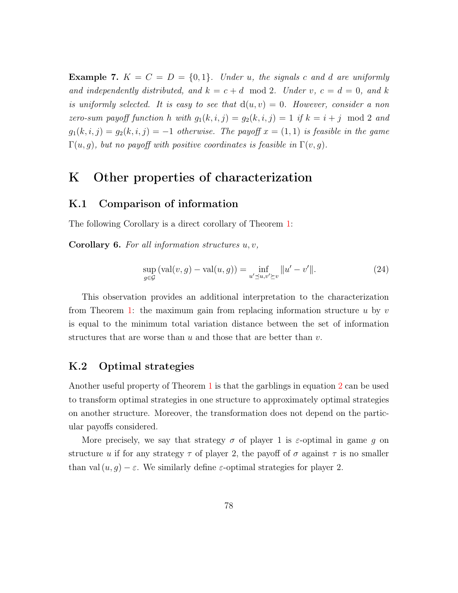**Example 7.**  $K = C = D = \{0, 1\}$ . Under u, the signals c and d are uniformly and independently distributed, and  $k = c + d \mod 2$ . Under v,  $c = d = 0$ , and k is uniformly selected. It is easy to see that  $d(u, v) = 0$ . However, consider a non zero-sum payoff function h with  $g_1(k, i, j) = g_2(k, i, j) = 1$  if  $k = i + j \mod 2$  and  $g_1(k, i, j) = g_2(k, i, j) = -1$  otherwise. The payoff  $x = (1, 1)$  is feasible in the game  $\Gamma(u, g)$ , but no payoff with positive coordinates is feasible in  $\Gamma(v, g)$ .

## K Other properties of characterization

### K.1 Comparison of information

The following Corollary is a direct corollary of Theorem [1:](#page-9-0)

**Corollary 6.** For all information structures  $u, v$ ,

$$
\sup_{g \in \mathcal{G}} (\text{val}(v, g) - \text{val}(u, g)) = \inf_{u' \preceq u, v' \succeq v} ||u' - v'||. \tag{24}
$$

This observation provides an additional interpretation to the characterization from Theorem [1:](#page-9-0) the maximum gain from replacing information structure  $u$  by  $v$ is equal to the minimum total variation distance between the set of information structures that are worse than  $u$  and those that are better than  $v$ .

## K.2 Optimal strategies

Another useful property of Theorem [1](#page-9-0) is that the garblings in equation [2](#page-9-1) can be used to transform optimal strategies in one structure to approximately optimal strategies on another structure. Moreover, the transformation does not depend on the particular payoffs considered.

More precisely, we say that strategy  $\sigma$  of player 1 is  $\varepsilon$ -optimal in game g on structure u if for any strategy  $\tau$  of player 2, the payoff of  $\sigma$  against  $\tau$  is no smaller than val  $(u, g) - \varepsilon$ . We similarly define  $\varepsilon$ -optimal strategies for player 2.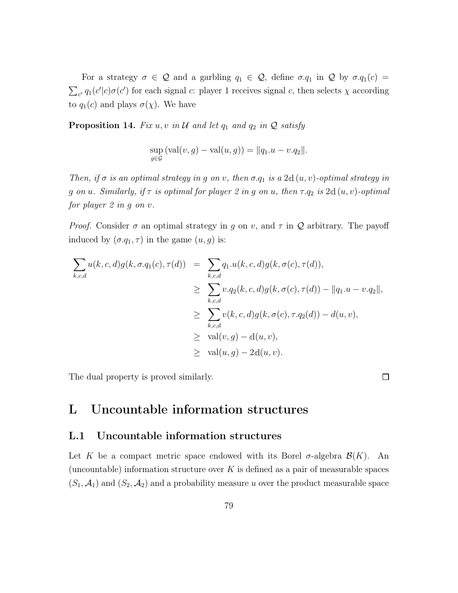For a strategy  $\sigma \in \mathcal{Q}$  and a garbling  $q_1 \in \mathcal{Q}$ , define  $\sigma.q_1$  in  $\mathcal{Q}$  by  $\sigma.q_1(c)$  $\sum_{c'} q_1(c'|c) \sigma(c')$  for each signal c: player 1 receives signal c, then selects  $\chi$  according to  $q_1(c)$  and plays  $\sigma(\chi)$ . We have

**Proposition 14.** Fix  $u, v$  in  $\mathcal U$  and let  $q_1$  and  $q_2$  in  $\mathcal Q$  satisfy

$$
\sup_{g \in \mathcal{G}} ( \text{val}(v, g) - \text{val}(u, g) ) = ||q_1 \cdot u - v \cdot q_2||.
$$

Then, if  $\sigma$  is an optimal strategy in g on v, then  $\sigma.q_1$  is a 2d  $(u, v)$ -optimal strategy in g on u. Similarly, if  $\tau$  is optimal for player 2 in g on u, then  $\tau.q_2$  is 2d  $(u, v)$ -optimal for player 2 in g on v.

*Proof.* Consider  $\sigma$  an optimal strategy in g on v, and  $\tau$  in Q arbitrary. The payoff induced by  $(\sigma.q_1,\tau)$  in the game  $(u,g)$  is:

$$
\sum_{k,c,d} u(k,c,d)g(k,\sigma.q_1(c),\tau(d)) = \sum_{k,c,d} q_1.u(k,c,d)g(k,\sigma(c),\tau(d)),
$$
\n
$$
\geq \sum_{k,c,d} v.q_2(k,c,d)g(k,\sigma(c),\tau(d)) - ||q_1.u - v.q_2||,
$$
\n
$$
\geq \sum_{k,c,d} v(k,c,d)g(k,\sigma(c),\tau.q_2(d)) - d(u,v),
$$
\n
$$
\geq \text{val}(v,g) - d(u,v),
$$
\n
$$
\geq \text{val}(u,g) - 2d(u,v).
$$

The dual property is proved similarly.

$$
\overline{\square}
$$

# <span id="page-78-0"></span>L Uncountable information structures

## L.1 Uncountable information structures

Let K be a compact metric space endowed with its Borel  $\sigma$ -algebra  $\mathcal{B}(K)$ . An (uncountable) information structure over  $K$  is defined as a pair of measurable spaces  $(S_1, \mathcal{A}_1)$  and  $(S_2, \mathcal{A}_2)$  and a probability measure u over the product measurable space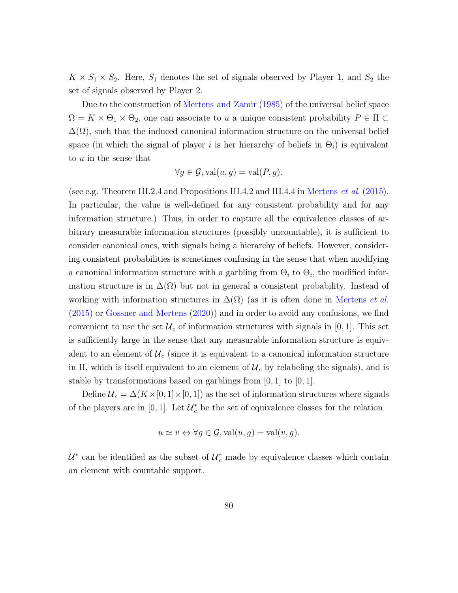$K \times S_1 \times S_2$ . Here,  $S_1$  denotes the set of signals observed by Player 1, and  $S_2$  the set of signals observed by Player 2.

Due to the construction of [Mertens and Zamir](#page-94-0) [\(1985](#page-94-0)) of the universal belief space  $\Omega = K \times \Theta_1 \times \Theta_2$ , one can associate to u a unique consistent probability  $P \in \Pi$  $\Delta(\Omega)$ , such that the induced canonical information structure on the universal belief space (in which the signal of player i is her hierarchy of beliefs in  $\Theta_i$ ) is equivalent to u in the sense that

$$
\forall g \in \mathcal{G}, \text{val}(u, g) = \text{val}(P, g).
$$

(see e.g. Theorem III.2.4 and Propositions III.4.2 and III.4.4 in [Mertens](#page-94-1) et al. [\(2015\)](#page-94-1). In particular, the value is well-defined for any consistent probability and for any information structure.) Thus, in order to capture all the equivalence classes of arbitrary measurable information structures (possibly uncountable), it is sufficient to consider canonical ones, with signals being a hierarchy of beliefs. However, considering consistent probabilities is sometimes confusing in the sense that when modifying a canonical information structure with a garbling from  $\Theta_i$  to  $\Theta_i$ , the modified information structure is in  $\Delta(\Omega)$  but not in general a consistent probability. Instead of working with information structures in  $\Delta(\Omega)$  (as it is often done in [Mertens](#page-94-1) *et al.*) [\(2015\)](#page-94-1) or [Gossner and Mertens](#page-93-0) [\(2020](#page-93-0))) and in order to avoid any confusions, we find convenient to use the set  $\mathcal{U}_c$  of information structures with signals in [0, 1]. This set is sufficiently large in the sense that any measurable information structure is equivalent to an element of  $\mathcal{U}_c$  (since it is equivalent to a canonical information structure in Π, which is itself equivalent to an element of  $\mathcal{U}_c$  by relabeling the signals), and is stable by transformations based on garblings from  $[0, 1]$  to  $[0, 1]$ .

Define  $\mathcal{U}_c = \Delta(K \times [0, 1] \times [0, 1])$  as the set of information structures where signals of the players are in [0, 1]. Let  $\mathcal{U}_c^*$  be the set of equivalence classes for the relation

$$
u \simeq v \Leftrightarrow \forall g \in \mathcal{G}, \text{val}(u, g) = \text{val}(v, g).
$$

 $\mathcal{U}^*$  can be identified as the subset of  $\mathcal{U}_c^*$  made by equivalence classes which contain an element with countable support.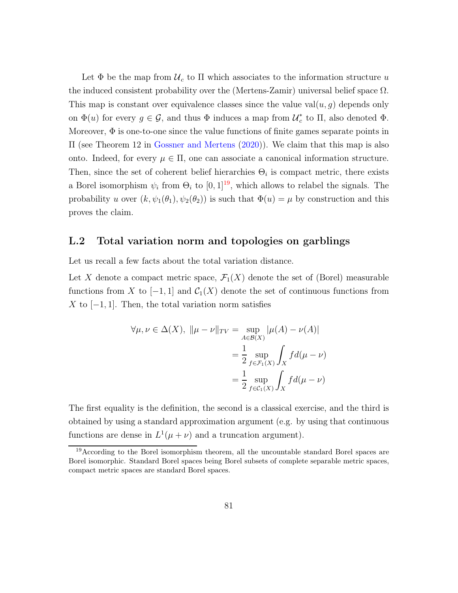Let  $\Phi$  be the map from  $\mathcal{U}_c$  to  $\Pi$  which associates to the information structure u the induced consistent probability over the (Mertens-Zamir) universal belief space  $\Omega$ . This map is constant over equivalence classes since the value  $val(u, g)$  depends only on  $\Phi(u)$  for every  $g \in \mathcal{G}$ , and thus  $\Phi$  induces a map from  $\mathcal{U}_c^*$  $_{c}^{*}$  to  $\Pi$ , also denoted  $\Phi$ . Moreover,  $\Phi$  is one-to-one since the value functions of finite games separate points in Π (see Theorem 12 in [Gossner and Mertens](#page-93-0) [\(2020\)](#page-93-0)). We claim that this map is also onto. Indeed, for every  $\mu \in \Pi$ , one can associate a canonical information structure. Then, since the set of coherent belief hierarchies  $\Theta_i$  is compact metric, there exists a Borel isomorphism  $\psi_i$  from  $\Theta_i$  to  $[0,1]^{19}$  $[0,1]^{19}$  $[0,1]^{19}$ , which allows to relabel the signals. The probability u over  $(k, \psi_1(\theta_1), \psi_2(\theta_2))$  is such that  $\Phi(u) = \mu$  by construction and this proves the claim.

### <span id="page-80-1"></span>L.2 Total variation norm and topologies on garblings

Let us recall a few facts about the total variation distance.

Let X denote a compact metric space,  $\mathcal{F}_1(X)$  denote the set of (Borel) measurable functions from X to  $[-1,1]$  and  $\mathcal{C}_1(X)$  denote the set of continuous functions from X to  $[-1, 1]$ . Then, the total variation norm satisfies

$$
\forall \mu, \nu \in \Delta(X), \|\mu - \nu\|_{TV} = \sup_{A \in \mathcal{B}(X)} |\mu(A) - \nu(A)|
$$

$$
= \frac{1}{2} \sup_{f \in \mathcal{F}_1(X)} \int_X f d(\mu - \nu)
$$

$$
= \frac{1}{2} \sup_{f \in \mathcal{C}_1(X)} \int_X f d(\mu - \nu)
$$

The first equality is the definition, the second is a classical exercise, and the third is obtained by using a standard approximation argument (e.g. by using that continuous functions are dense in  $L^1(\mu + \nu)$  and a truncation argument).

<span id="page-80-0"></span><sup>&</sup>lt;sup>19</sup>According to the Borel isomorphism theorem, all the uncountable standard Borel spaces are Borel isomorphic. Standard Borel spaces being Borel subsets of complete separable metric spaces, compact metric spaces are standard Borel spaces.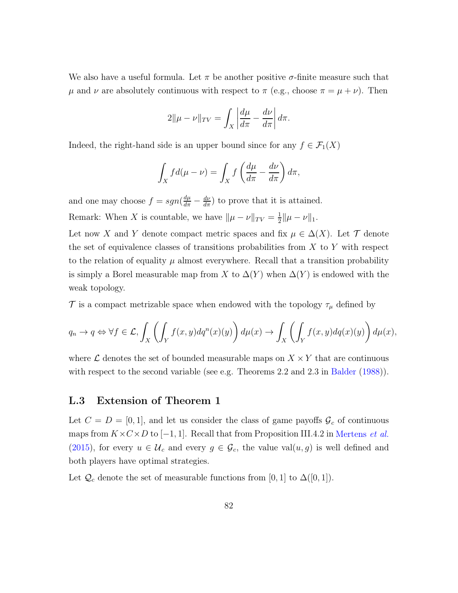We also have a useful formula. Let  $\pi$  be another positive  $\sigma$ -finite measure such that  $\mu$  and  $\nu$  are absolutely continuous with respect to  $\pi$  (e.g., choose  $\pi = \mu + \nu$ ). Then

$$
2\|\mu - \nu\|_{TV} = \int_X \left| \frac{d\mu}{d\pi} - \frac{d\nu}{d\pi} \right| d\pi.
$$

Indeed, the right-hand side is an upper bound since for any  $f \in \mathcal{F}_1(X)$ 

$$
\int_X f d(\mu - \nu) = \int_X f \left( \frac{d\mu}{d\pi} - \frac{d\nu}{d\pi} \right) d\pi,
$$

and one may choose  $f = sgn(\frac{d\mu}{d\pi} - \frac{d\nu}{d\pi})$  to prove that it is attained. Remark: When X is countable, we have  $\|\mu - \nu\|_{TV} = \frac{1}{2}$  $\frac{1}{2} \|\mu - \nu\|_1.$ 

Let now X and Y denote compact metric spaces and fix  $\mu \in \Delta(X)$ . Let T denote the set of equivalence classes of transitions probabilities from  $X$  to  $Y$  with respect to the relation of equality  $\mu$  almost everywhere. Recall that a transition probability is simply a Borel measurable map from X to  $\Delta(Y)$  when  $\Delta(Y)$  is endowed with the weak topology.

T is a compact metrizable space when endowed with the topology  $\tau_{\mu}$  defined by

$$
q_n \to q \Leftrightarrow \forall f \in \mathcal{L}, \int_X \left( \int_Y f(x, y) dq^n(x)(y) \right) d\mu(x) \to \int_X \left( \int_Y f(x, y) dq(x)(y) \right) d\mu(x),
$$

where  $\mathcal L$  denotes the set of bounded measurable maps on  $X \times Y$  that are continuous with respect to the second variable (see e.g. Theorems 2.2 and 2.3 in [Balder](#page-92-0) [\(1988\)](#page-92-0)).

## <span id="page-81-0"></span>L.3 Extension of Theorem 1

Let  $C = D = [0, 1]$ , and let us consider the class of game payoffs  $\mathcal{G}_c$  of continuous maps from  $K \times C \times D$  to [-1, 1]. Recall that from Proposition III.4.2 in [Mertens](#page-94-1) *et al.* [\(2015\)](#page-94-1), for every  $u \in \mathcal{U}_c$  and every  $g \in \mathcal{G}_c$ , the value val $(u, g)$  is well defined and both players have optimal strategies.

Let  $\mathcal{Q}_c$  denote the set of measurable functions from [0, 1] to  $\Delta([0,1])$ .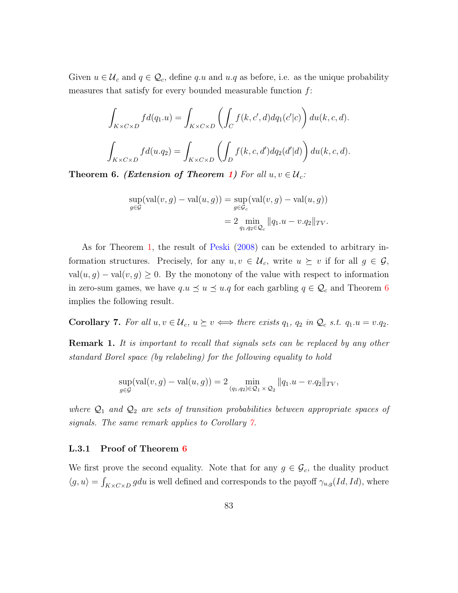Given  $u \in \mathcal{U}_c$  and  $q \in \mathcal{Q}_c$ , define q.u and  $u.q$  as before, i.e. as the unique probability measures that satisfy for every bounded measurable function  $f$ :

$$
\int_{K \times C \times D} f d(q_1.u) = \int_{K \times C \times D} \left( \int_C f(k, c', d) dq_1(c'|c) \right) du(k, c, d).
$$
  

$$
\int_{K \times C \times D} f d(u.q_2) = \int_{K \times C \times D} \left( \int_D f(k, c, d') dq_2(d'|d) \right) du(k, c, d).
$$

<span id="page-82-0"></span>**Theorem 6.** (Extension of Theorem [1\)](#page-9-0) For all  $u, v \in \mathcal{U}_c$ :

$$
\sup_{g \in \mathcal{G}} (\text{val}(v, g) - \text{val}(u, g)) = \sup_{g \in \mathcal{G}_c} (\text{val}(v, g) - \text{val}(u, g))
$$

$$
= 2 \min_{q_1, q_2 \in \mathcal{Q}_c} ||q_1 \cdot u - v \cdot q_2||_{TV}.
$$

As for Theorem [1,](#page-9-0) the result of [Peski](#page-95-0) [\(2008\)](#page-95-0) can be extended to arbitrary information structures. Precisely, for any  $u, v \in \mathcal{U}_c$ , write  $u \succeq v$  if for all  $g \in \mathcal{G}$ ,  $val(u, g) - val(v, g) \geq 0$ . By the monotony of the value with respect to information in zero-sum games, we have  $q.u \leq u \leq u.q$  for each garbling  $q \in \mathcal{Q}_c$  and Theorem [6](#page-82-0) implies the following result.

<span id="page-82-1"></span>Corollary 7. For all  $u, v \in \mathcal{U}_c$ ,  $u \succeq v \iff$  there exists  $q_1, q_2$  in  $\mathcal{Q}_c$  s.t.  $q_1.u = v.q_2$ .

**Remark 1.** It is important to recall that signals sets can be replaced by any other standard Borel space (by relabeling) for the following equality to hold

$$
\sup_{g \in \mathcal{G}} (\text{val}(v, g) - \text{val}(u, g)) = 2 \min_{(q_1, q_2) \in \mathcal{Q}_1 \times \mathcal{Q}_2} ||q_1.u - v.q_2||_{TV},
$$

where  $\mathcal{Q}_1$  and  $\mathcal{Q}_2$  are sets of transition probabilities between appropriate spaces of signals. The same remark applies to Corollary [7.](#page-82-1)

#### L.3.1 Proof of Theorem [6](#page-82-0)

We first prove the second equality. Note that for any  $g \in \mathcal{G}_c$ , the duality product  $\langle g, u \rangle = \int_{K \times C \times D} g du$  is well defined and corresponds to the payoff  $\gamma_{u,g}(Id, Id)$ , where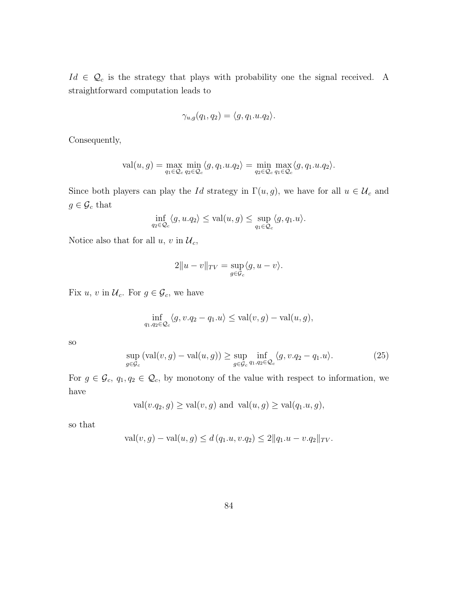$Id \in \mathcal{Q}_c$  is the strategy that plays with probability one the signal received. A straightforward computation leads to

$$
\gamma_{u,g}(q_1, q_2) = \langle g, q_1.u. q_2 \rangle.
$$

Consequently,

$$
\text{val}(u,g) = \max_{q_1 \in \mathcal{Q}_c} \min_{q_2 \in \mathcal{Q}_c} \langle g, q_1.u.q_2 \rangle = \min_{q_2 \in \mathcal{Q}_c} \max_{q_1 \in \mathcal{Q}_c} \langle g, q_1.u.q_2 \rangle.
$$

Since both players can play the Id strategy in  $\Gamma(u, g)$ , we have for all  $u \in \mathcal{U}_c$  and  $g \in \mathcal{G}_c$  that

$$
\inf_{q_2 \in \mathcal{Q}_c} \langle g, u.q_2 \rangle \le \text{val}(u,g) \le \sup_{q_1 \in \mathcal{Q}_c} \langle g, q_1.u \rangle.
$$

Notice also that for all  $u,\,v$  in  $\mathcal{U}_c,$ 

$$
2||u - v||_{TV} = \sup_{g \in \mathcal{G}_c} \langle g, u - v \rangle.
$$

Fix u, v in  $\mathcal{U}_c$ . For  $g \in \mathcal{G}_c$ , we have

$$
\inf_{q_1, q_2 \in \mathcal{Q}_c} \langle g, v.q_2 - q_1.u \rangle \le \text{val}(v,g) - \text{val}(u,g),
$$

so

<span id="page-83-0"></span>
$$
\sup_{g \in \mathcal{G}_c} (\text{val}(v, g) - \text{val}(u, g)) \ge \sup_{g \in \mathcal{G}_c} \inf_{q_1, q_2 \in \mathcal{Q}_c} \langle g, v. q_2 - q_1. u \rangle. \tag{25}
$$

For  $g \in \mathcal{G}_c$ ,  $q_1, q_2 \in \mathcal{Q}_c$ , by monotony of the value with respect to information, we have

$$
val(v.q_2,g) \ge val(v,g) \text{ and } val(u,g) \ge val(q_1.u,g),
$$

so that

$$
val(v, g) - val(u, g) \le d(q_1.u, v.q_2) \le 2||q_1.u - v.q_2||_{TV}.
$$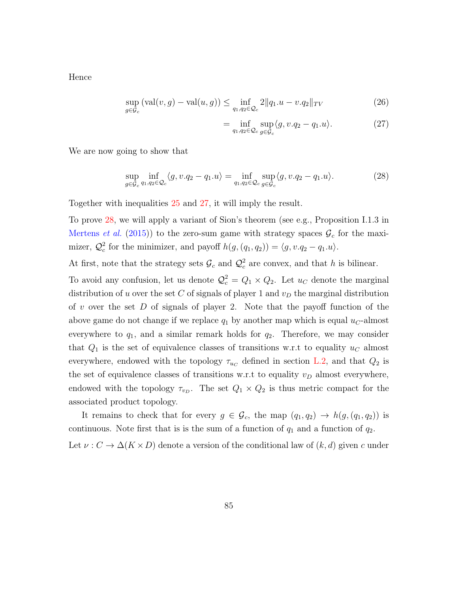Hence

$$
\sup_{g \in \mathcal{G}_c} (\text{val}(v, g) - \text{val}(u, g)) \le \inf_{q_1, q_2 \in \mathcal{Q}_c} 2 \| q_1 \cdot u - v \cdot q_2 \|_{TV} \tag{26}
$$

<span id="page-84-0"></span>
$$
= \inf_{q_1, q_2 \in \mathcal{Q}_c} \sup_{g \in \mathcal{G}_c} \langle g, v. q_2 - q_1. u \rangle.
$$
 (27)

We are now going to show that

<span id="page-84-1"></span>
$$
\sup_{g \in \mathcal{G}_c} \inf_{q_1, q_2 \in \mathcal{Q}_c} \langle g, v. q_2 - q_1. u \rangle = \inf_{q_1, q_2 \in \mathcal{Q}_c} \sup_{g \in \mathcal{G}_c} \langle g, v. q_2 - q_1. u \rangle.
$$
 (28)

Together with inequalities [25](#page-83-0) and [27,](#page-84-0) it will imply the result.

To prove [28,](#page-84-1) we will apply a variant of Sion's theorem (see e.g., Proposition I.1.3 in [Mertens](#page-94-1) *et al.* [\(2015\)](#page-94-1)) to the zero-sum game with strategy spaces  $\mathcal{G}_c$  for the maximizer,  $\mathcal{Q}_c^2$  for the minimizer, and payoff  $h(g,(q_1,q_2)) = \langle g, v.q_2 - q_1.u \rangle$ .

At first, note that the strategy sets  $\mathcal{G}_c$  and  $\mathcal{Q}_c^2$  $c<sup>2</sup>$  are convex, and that h is bilinear.

To avoid any confusion, let us denote  $\mathcal{Q}_c^2 = Q_1 \times Q_2$ . Let  $u_C$  denote the marginal distribution of u over the set C of signals of player 1 and  $v_D$  the marginal distribution of v over the set D of signals of player 2. Note that the payoff function of the above game do not change if we replace  $q_1$  by another map which is equal  $u_C$ -almost everywhere to  $q_1$ , and a similar remark holds for  $q_2$ . Therefore, we may consider that  $Q_1$  is the set of equivalence classes of transitions w.r.t to equality  $u_C$  almost everywhere, endowed with the topology  $\tau_{u_C}$  defined in section [L.2,](#page-80-1) and that  $Q_2$  is the set of equivalence classes of transitions w.r.t to equality  $v_D$  almost everywhere, endowed with the topology  $\tau_{v_D}$ . The set  $Q_1 \times Q_2$  is thus metric compact for the associated product topology.

It remains to check that for every  $g \in \mathcal{G}_c$ , the map  $(q_1, q_2) \to h(g, (q_1, q_2))$  is continuous. Note first that is is the sum of a function of  $q_1$  and a function of  $q_2$ .

Let  $\nu : C \to \Delta(K \times D)$  denote a version of the conditional law of  $(k, d)$  given c under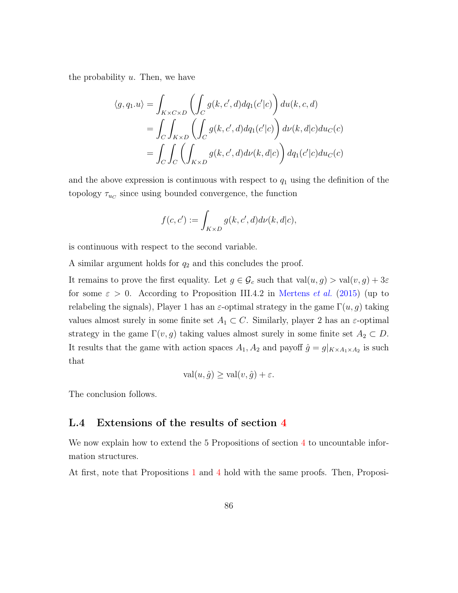the probability  $u$ . Then, we have

$$
\langle g, q_1.u \rangle = \int_{K \times C \times D} \left( \int_C g(k, c', d) dq_1(c'|c) \right) du(k, c, d)
$$
  
= 
$$
\int_C \int_{K \times D} \left( \int_C g(k, c', d) dq_1(c'|c) \right) d\nu(k, d|c) du_C(c)
$$
  
= 
$$
\int_C \int_C \left( \int_{K \times D} g(k, c', d) d\nu(k, d|c) \right) dq_1(c'|c) du_C(c)
$$

and the above expression is continuous with respect to  $q_1$  using the definition of the topology  $\tau_{u_C}$  since using bounded convergence, the function

$$
f(c, c') := \int_{K \times D} g(k, c', d) d\nu(k, d|c),
$$

is continuous with respect to the second variable.

A similar argument holds for  $q_2$  and this concludes the proof.

It remains to prove the first equality. Let  $g \in \mathcal{G}_c$  such that  $val(u, g) > val(v, g) + 3\varepsilon$ for some  $\varepsilon > 0$ . According to Proposition III.4.2 in [Mertens](#page-94-1) *et al.* [\(2015](#page-94-1)) (up to relabeling the signals), Player 1 has an  $\varepsilon$ -optimal strategy in the game  $\Gamma(u, g)$  taking values almost surely in some finite set  $A_1 \subset C$ . Similarly, player 2 has an  $\varepsilon$ -optimal strategy in the game  $\Gamma(v, g)$  taking values almost surely in some finite set  $A_2 \subset D$ . It results that the game with action spaces  $A_1, A_2$  and payoff  $\hat{g} = g|_{K \times A_1 \times A_2}$  is such that

$$
\text{val}(u, \hat{g}) \ge \text{val}(v, \hat{g}) + \varepsilon.
$$

The conclusion follows.

#### L.4 Extensions of the results of section [4](#page-11-0)

We now explain how to extend the 5 Propositions of section [4](#page-11-0) to uncountable information structures.

At first, note that Propositions [1](#page-12-0) and [4](#page-15-0) hold with the same proofs. Then, Proposi-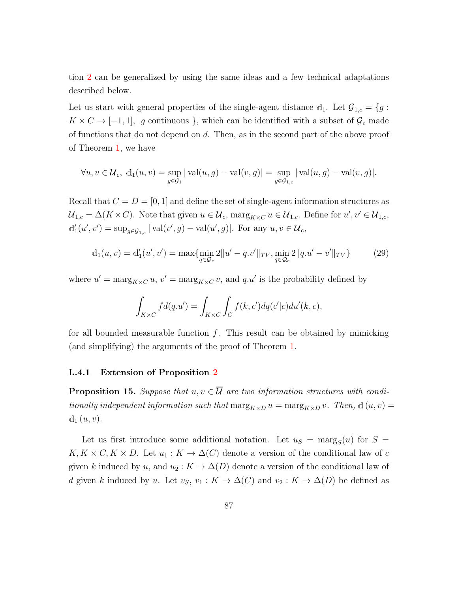tion [2](#page-13-0) can be generalized by using the same ideas and a few technical adaptations described below.

Let us start with general properties of the single-agent distance  $d_1$ . Let  $\mathcal{G}_{1,c} = \{g :$  $K \times C \rightarrow [-1,1], |g \text{ continuous } \},$  which can be identified with a subset of  $\mathcal{G}_c$  made of functions that do not depend on d. Then, as in the second part of the above proof of Theorem [1,](#page-9-0) we have

$$
\forall u, v \in \mathcal{U}_c, d_1(u, v) = \sup_{g \in \mathcal{G}_1} |\operatorname{val}(u, g) - \operatorname{val}(v, g)| = \sup_{g \in \mathcal{G}_{1,c}} |\operatorname{val}(u, g) - \operatorname{val}(v, g)|.
$$

Recall that  $C = D = [0, 1]$  and define the set of single-agent information structures as  $\mathcal{U}_{1,c} = \Delta(K \times C)$ . Note that given  $u \in \mathcal{U}_c$ ,  $\max_{K \times C} u \in \mathcal{U}_{1,c}$ . Define for  $u', v' \in \mathcal{U}_{1,c}$ ,  $d'_1(u', v') = \sup_{g \in \mathcal{G}_{1,c}} |\operatorname{val}(v', g) - \operatorname{val}(u', g)|$ . For any  $u, v \in \mathcal{U}_c$ ,

<span id="page-86-0"></span>
$$
d_1(u, v) = d'_1(u', v') = \max\{\min_{q \in \mathcal{Q}_c} 2||u' - q.v'||_{TV}, \min_{q \in \mathcal{Q}_c} 2||q.u' - v'||_{TV}\}\
$$
(29)

where  $u' = \max_{K \times C} u$ ,  $v' = \max_{K \times C} v$ , and  $q.u'$  is the probability defined by

$$
\int_{K \times C} f d(q.u') = \int_{K \times C} \int_C f(k, c') dq(c'|c) du'(k, c),
$$

for all bounded measurable function  $f$ . This result can be obtained by mimicking (and simplifying) the arguments of the proof of Theorem [1.](#page-9-0)

#### L.4.1 Extension of Proposition [2](#page-13-0)

**Proposition 15.** Suppose that  $u, v \in \overline{\mathcal{U}}$  are two information structures with conditionally independent information such that  $\max_{K\times D} u = \max_{K\times D} v$ . Then,  $d(u, v) =$  $d_1(u, v)$ .

Let us first introduce some additional notation. Let  $u_S = \text{marg}_S(u)$  for  $S =$  $K, K \times C, K \times D$ . Let  $u_1 : K \to \Delta(C)$  denote a version of the conditional law of c given k induced by u, and  $u_2 : K \to \Delta(D)$  denote a version of the conditional law of d given k induced by u. Let  $v_s$ ,  $v_1 : K \to \Delta(C)$  and  $v_2 : K \to \Delta(D)$  be defined as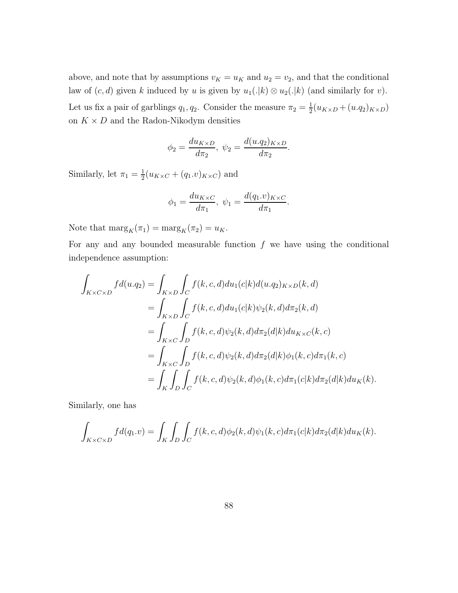above, and note that by assumptions  $v_K = u_K$  and  $u_2 = v_2$ , and that the conditional law of  $(c, d)$  given k induced by u is given by  $u_1(.|k) \otimes u_2(.|k)$  (and similarly for v). Let us fix a pair of garblings  $q_1, q_2$ . Consider the measure  $\pi_2 = \frac{1}{2}$  $\frac{1}{2}(u_{K\times D}+(u.q_2)_{K\times D})$ on  $K \times D$  and the Radon-Nikodym densities

$$
\phi_2 = \frac{du_{K\times D}}{d\pi_2}, \ \psi_2 = \frac{d(u.q_2)_{K\times D}}{d\pi_2}.
$$

Similarly, let  $\pi_1 = \frac{1}{2}$  $\frac{1}{2}(u_{K\times C}+(q_1.v)_{K\times C})$  and

$$
\phi_1 = \frac{du_{K \times C}}{d\pi_1}, \ \psi_1 = \frac{d(q_1.v)_{K \times C}}{d\pi_1}.
$$

Note that  $\text{marg}_K(\pi_1) = \text{marg}_K(\pi_2) = u_K$ .

For any and any bounded measurable function  $f$  we have using the conditional independence assumption:

$$
\int_{K \times C \times D} f d(u.q_2) = \int_{K \times D} \int_C f(k,c,d) du_1(c|k) d(u.q_2)_{K \times D}(k,d)
$$
\n
$$
= \int_{K \times D} \int_C f(k,c,d) du_1(c|k) \psi_2(k,d) d\pi_2(k,d)
$$
\n
$$
= \int_{K \times C} \int_D f(k,c,d) \psi_2(k,d) d\pi_2(d|k) du_{K \times C}(k,c)
$$
\n
$$
= \int_{K \times C} \int_D f(k,c,d) \psi_2(k,d) d\pi_2(d|k) \phi_1(k,c) d\pi_1(k,c)
$$
\n
$$
= \int_K \int_D \int_C f(k,c,d) \psi_2(k,d) \phi_1(k,c) d\pi_1(c|k) d\pi_2(d|k) du_K(k).
$$

Similarly, one has

$$
\int_{K \times C \times D} f d(q_1.v) = \int_K \int_D \int_C f(k,c,d) \phi_2(k,d) \psi_1(k,c) d\pi_1(c|k) d\pi_2(d|k) du_K(k).
$$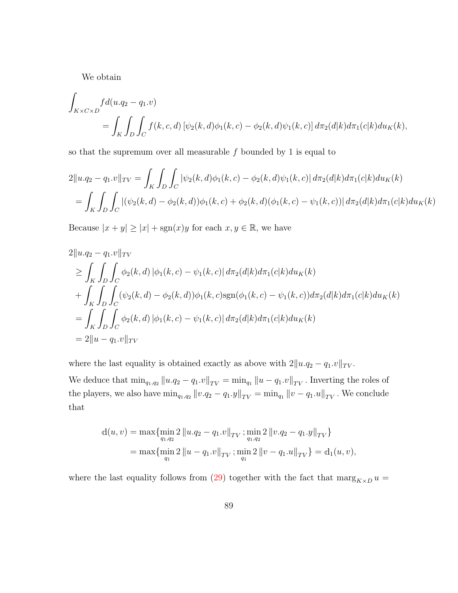We obtain

$$
\int_{K \times C \times D} f d(u.q_2 - q_1.v) \n= \int_K \int_D \int_C f(k,c,d) \left[ \psi_2(k,d) \phi_1(k,c) - \phi_2(k,d) \psi_1(k,c) \right] d\pi_2(d|k) d\pi_1(c|k) du_K(k),
$$

so that the supremum over all measurable  $f$  bounded by 1 is equal to

$$
2\|u.q_2 - q_1.v\|_{TV} = \int_K \int_D \int_C |\psi_2(k,d)\phi_1(k,c) - \phi_2(k,d)\psi_1(k,c)| d\pi_2(d|k) d\pi_1(c|k) du_K(k)
$$
  
= 
$$
\int_K \int_D \int_C |(\psi_2(k,d) - \phi_2(k,d))\phi_1(k,c) + \phi_2(k,d)(\phi_1(k,c) - \psi_1(k,c))| d\pi_2(d|k) d\pi_1(c|k) du_K(k)
$$

Because  $|x + y| \ge |x| + \text{sgn}(x)y$  for each  $x, y \in \mathbb{R}$ , we have

$$
2||u.q_2 - q_1.v||_{TV}
$$
  
\n
$$
\geq \int_K \int_D \int_C \phi_2(k,d) |\phi_1(k,c) - \psi_1(k,c)| d\pi_2(d|k) d\pi_1(c|k) du_K(k)
$$
  
\n
$$
+ \int_K \int_D \int_C (\psi_2(k,d) - \phi_2(k,d)) \phi_1(k,c) sgn(\phi_1(k,c) - \psi_1(k,c)) d\pi_2(d|k) d\pi_1(c|k) du_K(k)
$$
  
\n
$$
= \int_K \int_D \int_C \phi_2(k,d) |\phi_1(k,c) - \psi_1(k,c)| d\pi_2(d|k) d\pi_1(c|k) du_K(k)
$$
  
\n
$$
= 2||u - q_1.v||_{TV}
$$

where the last equality is obtained exactly as above with  $2||u.q_2 - q_1.v||_{TV}$ .

We deduce that  $\min_{q_1,q_2} ||u.q_2 - q_1.v||_{TV} = \min_{q_1} ||u-q_1.v||_{TV}$ . Inverting the roles of the players, we also have  $\min_{q_1,q_2} ||v.q_2 - q_1.y||_{TV} = \min_{q_1} ||v - q_1.u||_{TV}$ . We conclude that

$$
d(u, v) = \max \{ \min_{q_1, q_2} 2 ||u.q_2 - q_1.v||_{TV} ; \min_{q_1, q_2} 2 ||v.q_2 - q_1.y||_{TV} \}
$$
  
= 
$$
\max \{ \min_{q_1} 2 ||u-q_1.v||_{TV} ; \min_{q_1} 2 ||v-q_1.u||_{TV} \} = d_1(u, v),
$$

where the last equality follows from [\(29\)](#page-86-0) together with the fact that  $\max_{K\times D} u =$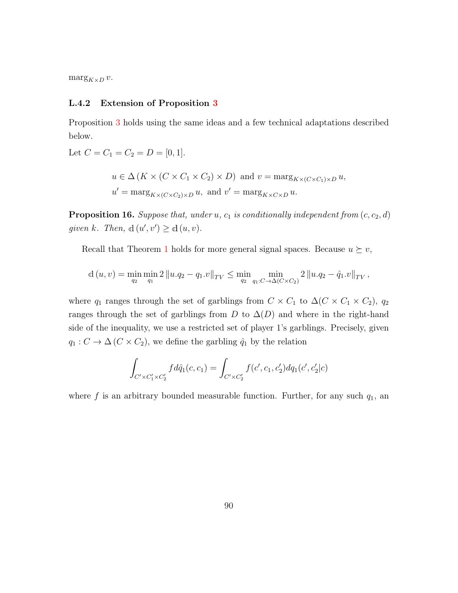$\arg_{K\times D} v$ .

#### L.4.2 Extension of Proposition [3](#page-14-0)

Proposition [3](#page-14-0) holds using the same ideas and a few technical adaptations described below.

Let  $C = C_1 = C_2 = D = [0, 1].$  $u \in \Delta(K \times (C \times C_1 \times C_2) \times D)$  and  $v = \max_{K \times (C \times C_1) \times D} u$ ,  $u' = \max_{K \times (C \times C_2) \times D} u$ , and  $v' = \max_{K \times C \times D} u$ .

**Proposition 16.** Suppose that, under u,  $c_1$  is conditionally independent from  $(c, c_2, d)$ given k. Then,  $d(u', v') \geq d(u, v)$ .

Recall that Theorem [1](#page-9-0) holds for more general signal spaces. Because  $u \succeq v$ ,

$$
d(u, v) = \min_{q_2} \min_{q_1} 2 ||u.q_2 - q_1.v||_{TV} \le \min_{q_2} \min_{q_1:C \to \Delta(C \times C_2)} 2 ||u.q_2 - \hat{q}_1.v||_{TV},
$$

where  $q_1$  ranges through the set of garblings from  $C \times C_1$  to  $\Delta(C \times C_1 \times C_2)$ ,  $q_2$ ranges through the set of garblings from D to  $\Delta(D)$  and where in the right-hand side of the inequality, we use a restricted set of player 1's garblings. Precisely, given  $q_1 : C \to \Delta (C \times C_2)$ , we define the garbling  $\hat{q}_1$  by the relation

$$
\int_{C' \times C'_1 \times C'_2} f d\hat{q}_1(c, c_1) = \int_{C' \times C'_2} f(c', c_1, c'_2) dq_1(c', c'_2|c)
$$

where f is an arbitrary bounded measurable function. Further, for any such  $q_1$ , an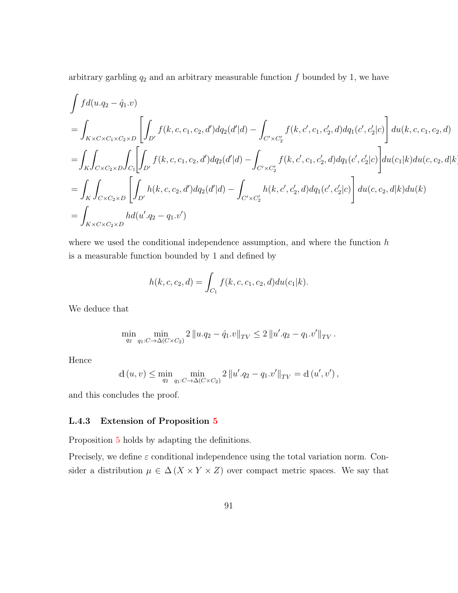arbitrary garbling  $q_2$  and an arbitrary measurable function f bounded by 1, we have

$$
\int f d(u.q_2 - \hat{q}_1.v)
$$
\n
$$
= \int_{K \times C \times C_1 \times C_2 \times D} \left[ \int_{D'} f(k, c, c_1, c_2, d') dq_2(d'|d) - \int_{C' \times C'_2} f(k, c', c_1, c'_2, d) dq_1(c', c'_2|c) \right] du(k, c, c_1, c_2, d)
$$
\n
$$
= \int_{K} \int_{C \times C_2 \times D} \int_{C_1} \left[ \int_{D'} f(k, c, c_1, c_2, d') dq_2(d'|d) - \int_{C' \times C'_2} f(k, c', c_1, c'_2, d) dq_1(c', c'_2|c) \right] du(c_1|k) du(c, c_2, d|k)
$$
\n
$$
= \int_{K} \int_{C \times C_2 \times D} \left[ \int_{D'} h(k, c, c_2, d') dq_2(d'|d) - \int_{C' \times C'_2} h(k, c', c'_2, d) dq_1(c', c'_2|c) \right] du(c, c_2, d|k) du(k)
$$
\n
$$
= \int_{K \times C \times C_2 \times D} h d(u'.q_2 - q_1.v')
$$

where we used the conditional independence assumption, and where the function  $h$ is a measurable function bounded by 1 and defined by

$$
h(k, c, c_2, d) = \int_{C_1} f(k, c, c_1, c_2, d) du(c_1|k).
$$

We deduce that

$$
\min_{q_2} \min_{q_1: C \to \Delta(C \times C_2)} 2 \|u.q_2 - \hat{q}_1.v\|_{TV} \le 2 \|u'.q_2 - q_1.v'\|_{TV}.
$$

Hence

$$
\mathrm{d}\left(u,v\right)\leq\min_{q_{2}}\min_{q_{1}:C\rightarrow\Delta\left(C\times C_{2}\right)}2\left\Vert u^{\prime}.q_{2}-q_{1}.v^{\prime}\right\Vert _{TV}=\mathrm{d}\left(u^{\prime},v^{\prime}\right),
$$

and this concludes the proof.

#### L.4.3 Extension of Proposition [5](#page-15-1)

Proposition [5](#page-15-1) holds by adapting the definitions.

Precisely, we define  $\varepsilon$  conditional independence using the total variation norm. Consider a distribution  $\mu \in \Delta(X \times Y \times Z)$  over compact metric spaces. We say that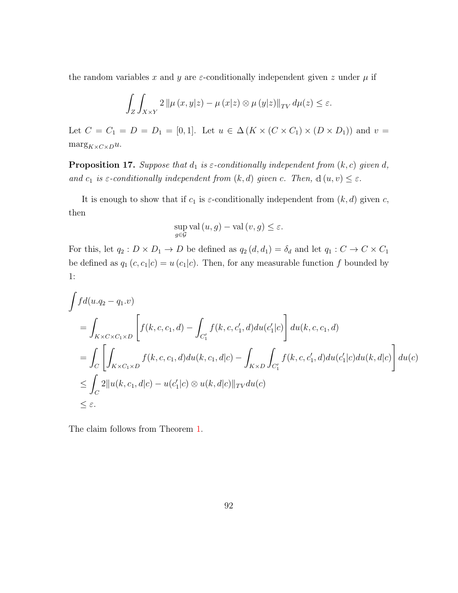the random variables x and y are  $\varepsilon$ -conditionally independent given z under  $\mu$  if

$$
\int_{Z} \int_{X \times Y} 2 \left\| \mu \left( x, y | z \right) - \mu \left( x | z \right) \otimes \mu \left( y | z \right) \right\|_{TV} d\mu(z) \le \varepsilon.
$$

Let  $C = C_1 = D = D_1 = [0, 1]$ . Let  $u \in \Delta(K \times (C \times C_1) \times (D \times D_1))$  and  $v =$  $\text{marg}_{K \times C \times D} u.$ 

**Proposition 17.** Suppose that  $d_1$  is  $\varepsilon$ -conditionally independent from  $(k, c)$  given  $d$ , and  $c_1$  is  $\varepsilon$ -conditionally independent from  $(k, d)$  given c. Then,  $d(u, v) \leq \varepsilon$ .

It is enough to show that if  $c_1$  is  $\varepsilon$ -conditionally independent from  $(k, d)$  given c, then

$$
\sup_{g\in\mathcal{G}}\mathrm{val}\left(u,g\right)-\mathrm{val}\left(v,g\right)\leq\varepsilon.
$$

For this, let  $q_2 : D \times D_1 \to D$  be defined as  $q_2(d, d_1) = \delta_d$  and let  $q_1 : C \to C \times C_1$ be defined as  $q_1(c, c_1|c) = u(c_1|c)$ . Then, for any measurable function f bounded by 1:

$$
\int f d(u.q_2 - q_1.v)
$$
\n
$$
= \int_{K \times C \times C_1 \times D} \left[ f(k, c, c_1, d) - \int_{C'_1} f(k, c, c'_1, d) du(c'_1|c) \right] du(k, c, c_1, d)
$$
\n
$$
= \int_C \left[ \int_{K \times C_1 \times D} f(k, c, c_1, d) du(k, c_1, d|c) - \int_{K \times D} \int_{C'_1} f(k, c, c'_1, d) du(c'_1|c) du(k, d|c) \right] du(c)
$$
\n
$$
\leq \int_C 2 \|u(k, c_1, d|c) - u(c'_1|c) \otimes u(k, d|c) \|_{TV} du(c)
$$
\n
$$
\leq \varepsilon.
$$

The claim follows from Theorem [1.](#page-9-0)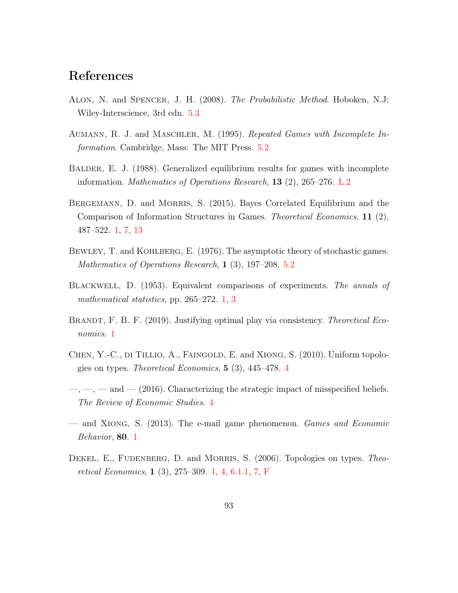# References

- Alon, N. and Spencer, J. H. (2008). The Probabilistic Method. Hoboken, N.J: Wiley-Interscience, 3rd edn. [5.3](#page-18-0)
- AUMANN, R. J. and MASCHLER, M. (1995). Repeated Games with Incomplete Information. Cambridge, Mass: The MIT Press. [5.2](#page-17-0)
- <span id="page-92-0"></span>BALDER, E. J. (1988). Generalized equilibrium results for games with incomplete information. Mathematics of Operations Research, 13 (2), 265–276. [L.2](#page-80-1)
- BERGEMANN, D. and MORRIS, S. (2015). Bayes Correlated Equilibrium and the Comparison of Information Structures in Games. Theoretical Economics, 11 (2), 487–522. [1,](#page-2-0) [7,](#page-15-2) [13](#page-26-0)
- BEWLEY, T. and KOHLBERG, E. (1976). The asymptotic theory of stochastic games. Mathematics of Operations Research, 1 (3), 197–208. [5.2](#page-17-0)
- Blackwell, D. (1953). Equivalent comparisons of experiments. The annals of mathematical statistics, pp. 265–272. [1,](#page-2-0) [3](#page-8-0)
- BRANDT, F. B. F. (2019). Justifying optimal play via consistency. Theoretical Economics. [1](#page-2-0)
- CHEN, Y.-C., DI TILLIO, A., FAINGOLD, E. and XIONG, S. (2010). Uniform topologies on types. *Theoretical Economics*,  $5(3)$ ,  $445-478$  $445-478$ .  $4$
- $\ldots$ ,  $\ldots$  and  $\ldots$  (2016). Characterizing the strategic impact of misspecified beliefs. The Review of Economic Studies. [4](#page-6-0)
- and Xiong, S. (2013). The e-mail game phenomenon. Games and Economic Behavior, 80. [1](#page-2-0)
- DEKEL, E., FUDENBERG, D. and MORRIS, S. (2006). Topologies on types. Theoretical Economics, 1 (3), 275–309. [1,](#page-2-0) [4,](#page-6-0) [6.1.1,](#page-21-0) [7,](#page-26-1) [F](#page-54-0)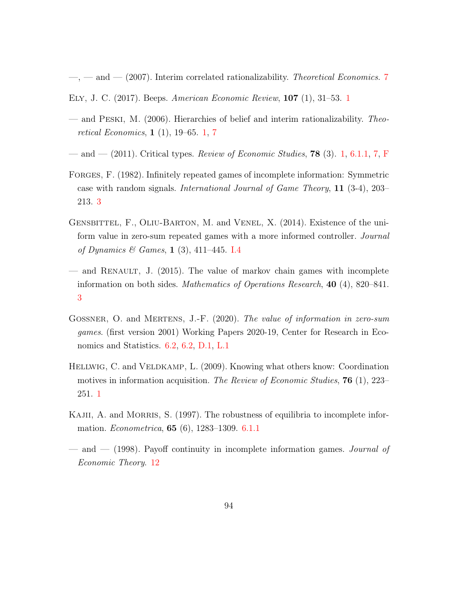$-$ ,  $-$  and  $-$  (200[7](#page-15-2)). Interim correlated rationalizability. Theoretical Economics. 7

- Ely, J. C. (2017). Beeps. American Economic Review, 107 (1), 31–53. [1](#page-2-0)
- and Peski, M. (2006). Hierarchies of belief and interim rationalizability. Theoretical Economics, 1 (1), 19–65. [1,](#page-2-0) [7](#page-15-2)
- and (2011). Critical types. Review of Economic Studies, **78** (3). [1,](#page-2-0) [6.1.1,](#page-21-0) [7,](#page-26-1) [F](#page-54-0)
- FORGES, F. (1982). Infinitely repeated games of incomplete information: Symmetric case with random signals. International Journal of Game Theory, 11 (3-4), 203– 213. [3](#page-5-0)
- GENSBITTEL, F., OLIU-BARTON, M. and VENEL, X. (2014). Existence of the uniform value in zero-sum repeated games with a more informed controller. Journal of Dynamics & Games, 1 (3), 411–445. [I.4](#page-69-0)
- and RENAULT, J.  $(2015)$ . The value of markov chain games with incomplete information on both sides. Mathematics of Operations Research, 40 (4), 820–841. [3](#page-5-0)
- <span id="page-93-0"></span>GOSSNER, O. and MERTENS, J.-F. (2020). The value of information in zero-sum games. (first version 2001) Working Papers 2020-19, Center for Research in Economics and Statistics. [6.2,](#page-23-0) [6.2,](#page-23-1) [D.1,](#page-48-0) [L.1](#page-78-0)
- Hellwig, C. and Veldkamp, L. (2009). Knowing what others know: Coordination motives in information acquisition. The Review of Economic Studies, **76** (1), 223– 251. [1](#page-4-0)
- KAJII, A. and MORRIS, S. (1997). The robustness of equilibria to incomplete information. *Econometrica*, **65** (6), 1283–1309. **[6.1.1](#page-21-0)**
- and (1998). Payoff continuity in incomplete information games. Journal of Economic Theory. [12](#page-25-0)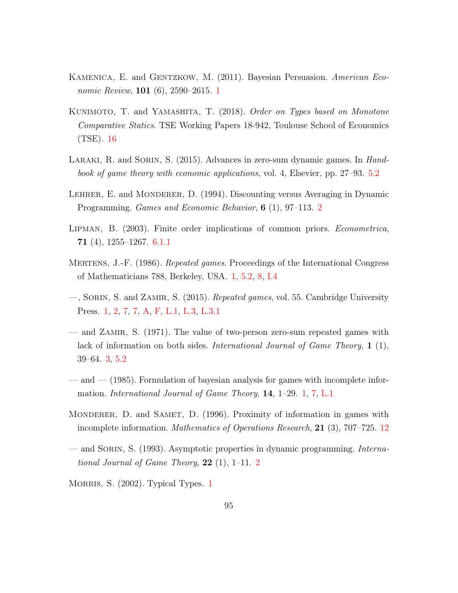- KAMENICA, E. and GENTZKOW, M. (2011). Bayesian Persuasion. American Eco*nomic Review*, **[1](#page-2-0)01** (6),  $2590-2615$ . **1**
- KUNIMOTO, T. and YAMASHITA, T. (2018). Order on Types based on Monotone Comparative Statics. TSE Working Papers 18-942, Toulouse School of Economics (TSE). [16](#page-28-0)
- LARAKI, R. and SORIN, S. (2015). Advances in zero-sum dynamic games. In *Hand*book of game theory with economic applications, vol. 4, Elsevier, pp. 27–93. [5.2](#page-17-0)
- LEHRER, E. and MONDERER, D. (1994). Discounting versus Averaging in Dynamic Programming. *Games and Economic Behavior*, **6** (1), 97–113. [2](#page-5-1)
- Lipman, B. (2003). Finite order implications of common priors. Econometrica, 71 (4), 1255–1267. [6.1.1](#page-21-0)
- MERTENS, J.-F. (1986). Repeated games. Proceedings of the International Congress of Mathematicians 788, Berkeley, USA. [1,](#page-2-0) [5.2,](#page-17-0) [8,](#page-28-1) [I.4](#page-69-0)
- <span id="page-94-1"></span>—, Sorin, S. and Zamir, S. (2015). Repeated games, vol. 55. Cambridge University Press. [1,](#page-2-0) [2,](#page-7-0) [7,](#page-25-1) [7,](#page-26-1) [A,](#page-30-0) [F,](#page-54-0) [L.1,](#page-78-0) [L.3,](#page-81-0) [L.3.1](#page-84-1)
- and Zamir, S. (1971). The value of two-person zero-sum repeated games with lack of information on both sides. International Journal of Game Theory, 1 (1), 39–64. [3,](#page-5-0) [5.2](#page-17-0)
- <span id="page-94-0"></span>— and — (1985). Formulation of bayesian analysis for games with incomplete information. International Journal of Game Theory, 14, 1–29. [1,](#page-2-0) [7,](#page-26-1) [L.1](#page-78-0)
- MONDERER, D. and SAMET, D. (1996). Proximity of information in games with incomplete information. *Mathematics of Operations Research*, **21** (3), 707–725. [12](#page-25-0)
- and Sorin, S. (1993). Asymptotic properties in dynamic programming. International Journal of Game Theory,  $22$  $22$  (1), 1–11. 2

MORRIS, S. (2002). Typical Types. [1](#page-2-0)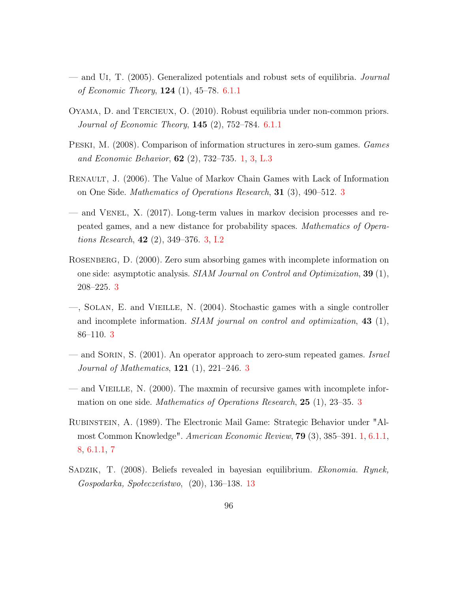- and Ui, T. (2005). Generalized potentials and robust sets of equilibria. Journal of Economic Theory,  $124$  (1),  $45-78.$  [6.1.1](#page-21-0)
- Oyama, D. and Tercieux, O. (2010). Robust equilibria under non-common priors. Journal of Economic Theory, 145 (2), 752–784. [6.1.1](#page-21-0)
- <span id="page-95-0"></span>Peski, M. (2008). Comparison of information structures in zero-sum games. Games and Economic Behavior, 62 (2), 732–735. [1,](#page-2-0) [3,](#page-10-0) [L.3](#page-82-0)
- Renault, J. (2006). The Value of Markov Chain Games with Lack of Information on One Side. Mathematics of Operations Research, 31 (3), 490–512. [3](#page-5-0)
- and Venel, X. (2017). Long-term values in markov decision processes and repeated games, and a new distance for probability spaces. Mathematics of Operations Research,  $42$   $(2)$ ,  $349-376$ .  $3$ , [I.2](#page-69-1)
- Rosenberg, D. (2000). Zero sum absorbing games with incomplete information on one side: asymptotic analysis. SIAM Journal on Control and Optimization, 39 (1), 208–225. [3](#page-5-0)
- —, Solan, E. and Vieille, N. (2004). Stochastic games with a single controller and incomplete information.  $SIAM$  journal on control and optimization, 43 (1), 86–110. [3](#page-5-0)
- and SORIN, S.  $(2001)$ . An operator approach to zero-sum repeated games. Israel *Journal of Mathematics*,  $121$  (1),  $221-246$ . [3](#page-5-0)
- and Vieille, N. (2000). The maxmin of recursive games with incomplete information on one side. *Mathematics of Operations Research*, **25** (1), 2[3](#page-5-0)–35. 3
- Rubinstein, A. (1989). The Electronic Mail Game: Strategic Behavior under "Almost Common Knowledge". American Economic Review, 79 (3), 385–391. [1,](#page-2-0) [6.1.1,](#page-20-0) [8,](#page-20-1) [6.1.1,](#page-21-0) [7](#page-25-2)
- Sadzik, T. (2008). Beliefs revealed in bayesian equilibrium. Ekonomia. Rynek, Gospodarka, Społeczeństwo, (20), 136–138. [13](#page-26-0)